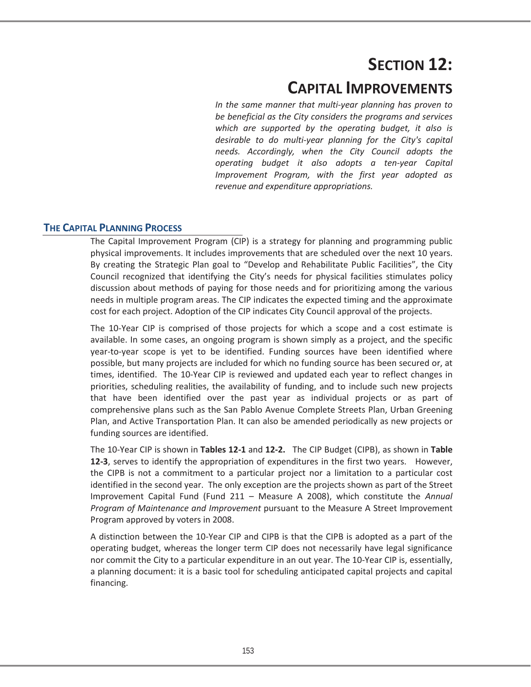# **SECTION 12:**

## **CAPITAL IMPROVEMENTS**

*In the same manner that multi-year planning has proven to be beneficial as the City considers the programs and services which are supported by the operating budget, it also is desirable to do multi-year planning for the City's capital needs. Accordingly, when the City Council adopts the operating budget it also adopts a ten-year Capital Improvement Program, with the first year adopted as revenue and expenditure appropriations.* 

## **THE CAPITAL PLANNING PROCESS**

The Capital Improvement Program (CIP) is a strategy for planning and programming public physical improvements. It includes improvements that are scheduled over the next 10 years. By creating the Strategic Plan goal to "Develop and Rehabilitate Public Facilities", the City Council recognized that identifying the City's needs for physical facilities stimulates policy discussion about methods of paying for those needs and for prioritizing among the various needs in multiple program areas. The CIP indicates the expected timing and the approximate cost for each project. Adoption of the CIP indicates City Council approval of the projects.

The 10-Year CIP is comprised of those projects for which a scope and a cost estimate is available. In some cases, an ongoing program is shown simply as a project, and the specific year-to-year scope is yet to be identified. Funding sources have been identified where possible, but many projects are included for which no funding source has been secured or, at times, identified. The 10-Year CIP is reviewed and updated each year to reflect changes in priorities, scheduling realities, the availability of funding, and to include such new projects that have been identified over the past year as individual projects or as part of comprehensive plans such as the San Pablo Avenue Complete Streets Plan, Urban Greening Plan, and Active Transportation Plan. It can also be amended periodically as new projects or funding sources are identified.

The 10-Year CIP is shown in **Tables 12-1** and **12-2.** The CIP Budget (CIPB), as shown in **Table 12-3**, serves to identify the appropriation of expenditures in the first two years. However, the CIPB is not a commitment to a particular project nor a limitation to a particular cost identified in the second year. The only exception are the projects shown as part of the Street Improvement Capital Fund (Fund 211 – Measure A 2008), which constitute the *Annual Program of Maintenance and Improvement* pursuant to the Measure A Street Improvement Program approved by voters in 2008.

A distinction between the 10-Year CIP and CIPB is that the CIPB is adopted as a part of the operating budget, whereas the longer term CIP does not necessarily have legal significance nor commit the City to a particular expenditure in an out year. The 10-Year CIP is, essentially, a planning document: it is a basic tool for scheduling anticipated capital projects and capital financing.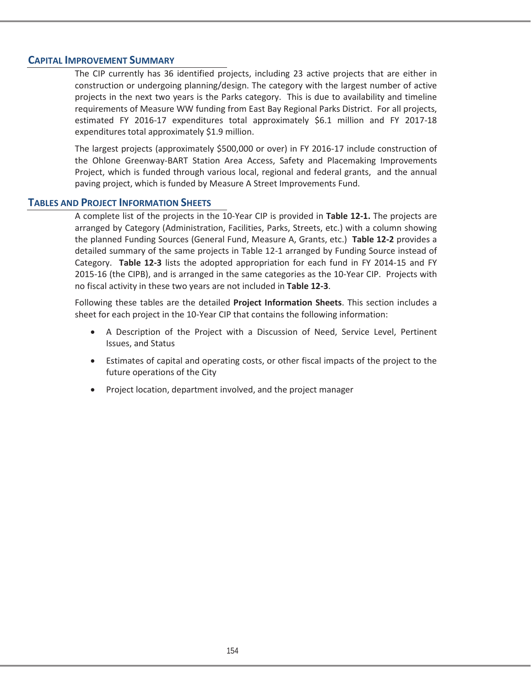## **CAPITAL IMPROVEMENT SUMMARY**

The CIP currently has 36 identified projects, including 23 active projects that are either in construction or undergoing planning/design. The category with the largest number of active projects in the next two years is the Parks category. This is due to availability and timeline requirements of Measure WW funding from East Bay Regional Parks District. For all projects, estimated FY 2016-17 expenditures total approximately \$6.1 million and FY 2017-18 expenditures total approximately \$1.9 million.

The largest projects (approximately \$500,000 or over) in FY 2016-17 include construction of the Ohlone Greenway-BART Station Area Access, Safety and Placemaking Improvements Project, which is funded through various local, regional and federal grants, and the annual paving project, which is funded by Measure A Street Improvements Fund.

## **TABLES AND PROJECT INFORMATION SHEETS**

A complete list of the projects in the 10-Year CIP is provided in **Table 12-1.** The projects are arranged by Category (Administration, Facilities, Parks, Streets, etc.) with a column showing the planned Funding Sources (General Fund, Measure A, Grants, etc.) **Table 12-2** provides a detailed summary of the same projects in Table 12-1 arranged by Funding Source instead of Category. **Table 12-3** lists the adopted appropriation for each fund in FY 2014-15 and FY 2015-16 (the CIPB), and is arranged in the same categories as the 10-Year CIP. Projects with no fiscal activity in these two years are not included in **Table 12-3**.

Following these tables are the detailed **Project Information Sheets**. This section includes a sheet for each project in the 10-Year CIP that contains the following information:

- x A Description of the Project with a Discussion of Need, Service Level, Pertinent Issues, and Status
- Estimates of capital and operating costs, or other fiscal impacts of the project to the future operations of the City
- Project location, department involved, and the project manager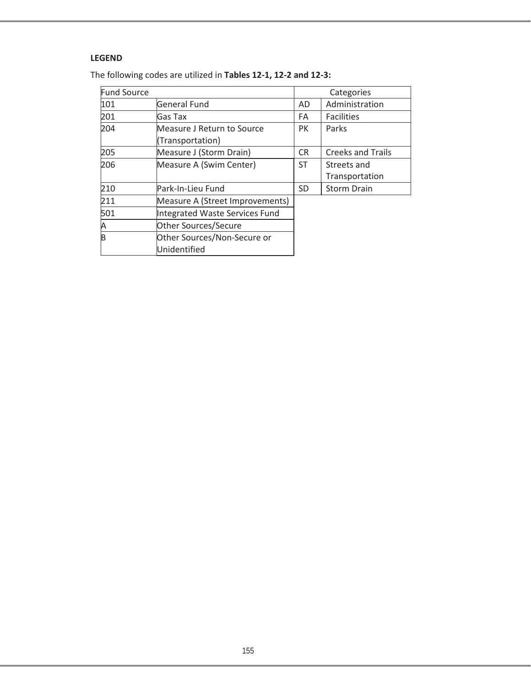## **LEGEND**

| The following codes are utilized in Tables 12-1, 12-2 and 12-3: |  |
|-----------------------------------------------------------------|--|
|-----------------------------------------------------------------|--|

| <b>Fund Source</b> |                                 |           | Categories               |
|--------------------|---------------------------------|-----------|--------------------------|
| 101                | General Fund                    | AD        | Administration           |
| 201                | Gas Tax                         | FA        | <b>Facilities</b>        |
| 204                | Measure J Return to Source      | PK        | Parks                    |
|                    | (Transportation)                |           |                          |
| 205                | Measure J (Storm Drain)         | <b>CR</b> | <b>Creeks and Trails</b> |
| 206                | Measure A (Swim Center)         | <b>ST</b> | Streets and              |
|                    |                                 |           | Transportation           |
| 210                | Park-In-Lieu Fund               | SD.       | <b>Storm Drain</b>       |
| 211                | Measure A (Street Improvements) |           |                          |
| 501                | Integrated Waste Services Fund  |           |                          |
| Α                  | <b>Other Sources/Secure</b>     |           |                          |
| b                  | Other Sources/Non-Secure or     |           |                          |
|                    | Unidentified                    |           |                          |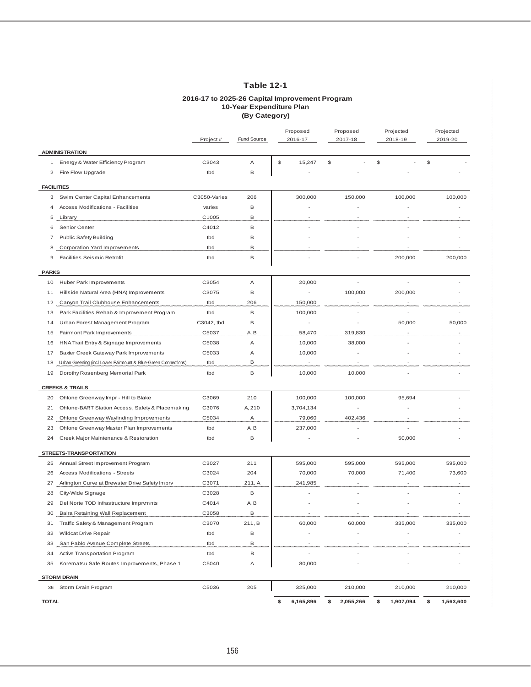## **Table 12-1**

#### **2016-17 to 2025-26 Capital Improvement Program 10-Year Expenditure Plan (By Category)**

|                                                 |                                                                |              | Proposed<br>Proposed |         |                          | Projected |                          | Projected |                          |      |           |
|-------------------------------------------------|----------------------------------------------------------------|--------------|----------------------|---------|--------------------------|-----------|--------------------------|-----------|--------------------------|------|-----------|
|                                                 |                                                                | Project#     | Fund Source          | 2016-17 |                          |           | 2017-18                  |           | 2018-19                  |      | 2019-20   |
|                                                 | <b>ADMINISTRATION</b>                                          |              |                      |         |                          |           |                          |           |                          |      |           |
|                                                 | 1 Energy & Water Efficiency Program                            | C3043        | Α                    | \$      | 15,247                   | \$        |                          | \$        |                          | $\$$ |           |
|                                                 | 2 Fire Flow Upgrade                                            | tbd          | B                    |         |                          |           |                          |           |                          |      |           |
| <b>FACILITIES</b>                               |                                                                |              |                      |         |                          |           |                          |           |                          |      |           |
|                                                 | 3 Swim Center Capital Enhancements                             | C3050-Varies | 206                  |         | 300,000                  |           | 150,000                  |           | 100,000                  |      | 100,000   |
| $\overline{4}$                                  | Access Modifications - Facilities                              | varies       | B                    |         |                          |           |                          |           |                          |      |           |
| 5                                               | Library                                                        | C1005        | В                    |         |                          |           |                          |           |                          |      |           |
| 6                                               | Senior Center                                                  | C4012        | B                    |         |                          |           |                          |           |                          |      |           |
| 7                                               | <b>Public Safety Building</b>                                  | tbd          | В                    |         |                          |           |                          |           |                          |      |           |
| 8                                               | Corporation Yard Improvements                                  | tbd          | В                    |         |                          |           |                          |           |                          |      |           |
| 9                                               | <b>Facilities Seismic Retrofit</b>                             | tbd          | В                    |         |                          |           |                          |           | 200,000                  |      | 200,000   |
| <b>PARKS</b>                                    |                                                                |              |                      |         |                          |           |                          |           |                          |      |           |
|                                                 | 10 Huber Park Improvements                                     | C3054        | Α                    |         | 20,000                   |           | $\overline{\phantom{a}}$ |           |                          |      |           |
| 11                                              | Hillside Natural Area (HNA) Improvements                       | C3075        | В                    |         | $\overline{\phantom{a}}$ |           | 100,000                  |           | 200,000                  |      |           |
| 12                                              | Canyon Trail Clubhouse Enhancements                            | tbd          | 206                  |         | 150,000                  |           |                          |           |                          |      |           |
| 13                                              | Park Facilities Rehab & Improvement Program                    | tbd          | B                    |         | 100,000                  |           |                          |           |                          |      |           |
| 14                                              | Urban Forest Management Program                                | C3042, tbd   | В                    |         | $\overline{\phantom{a}}$ |           |                          |           | 50,000                   |      | 50,000    |
| 15                                              | Fairmont Park Improvements                                     | C5037        | A, B                 |         | 58,470                   |           | 319,830                  |           |                          |      |           |
| 16                                              | HNA Trail Entry & Signage Improvements                         | C5038        | Α                    |         | 10,000                   |           | 38,000                   |           |                          |      |           |
| 17                                              | Baxter Creek Gateway Park Improvements                         | C5033        | Α                    |         | 10,000                   |           |                          |           |                          |      |           |
| 18                                              | Urban Greening (incl Lower Fairmount & Blue-Green Connections) | tbd          | В                    |         | $\sim$                   |           | ٠                        |           | $\overline{\phantom{a}}$ |      |           |
| 19                                              | Dorothy Rosenberg Memorial Park                                | tbd          | B                    |         | 10,000                   |           | 10,000                   |           |                          |      |           |
|                                                 | <b>CREEKS &amp; TRAILS</b>                                     |              |                      |         |                          |           |                          |           |                          |      |           |
| 20                                              | Ohlone Greenway Impr - Hill to Blake                           | C3069        | 210                  |         | 100,000                  |           | 100,000                  |           | 95,694                   |      |           |
| 21                                              | Ohlone-BART Station Access, Safety & Placemaking               | C3076        | A, 210               |         | 3,704,134                |           |                          |           |                          |      |           |
| 22                                              | Ohlone Greenway Wayfinding Improvements                        | C5034        | Α                    |         | 79,060                   |           | 402,436                  |           |                          |      |           |
| 23                                              | Ohlone Greenway Master Plan Improvements                       | tbd          | A, B                 |         | 237,000                  |           |                          |           |                          |      |           |
| 24                                              | Creek Major Maintenance & Restoration                          | tbd          | B                    |         |                          |           |                          |           | 50,000                   |      |           |
|                                                 |                                                                |              |                      |         |                          |           |                          |           |                          |      |           |
|                                                 | STREETS-TRANSPORTATION                                         |              |                      |         |                          |           |                          |           |                          |      |           |
| 25                                              | Annual Street Improvement Program                              | C3027        | 211                  |         | 595,000                  |           | 595,000                  |           | 595,000                  |      | 595,000   |
| 26                                              | <b>Access Modifications - Streets</b>                          | C3024        | 204                  |         | 70,000                   |           | 70,000                   |           | 71,400                   |      | 73,600    |
| 27                                              | Arlington Curve at Brewster Drive Safety Imprv                 | C3071        | 211, A               |         | 241,985                  |           |                          |           |                          |      |           |
| 28                                              | City-Wide Signage                                              | C3028        | B                    |         |                          |           |                          |           |                          |      |           |
| 29                                              | Del Norte TOD Infrastructure Imprymnts                         | C4014        | A, B                 |         |                          |           |                          |           |                          |      |           |
| 30                                              | Balra Retaining Wall Replacement                               | C3058        | В                    |         |                          |           |                          |           |                          |      |           |
|                                                 | 31 Traffic Safety & Management Program                         | C3070        | 211, B               |         | 60,000                   |           | 60,000                   |           | 335,000                  |      | 335,000   |
| 32                                              | Wildcat Drive Repair                                           | tbd          | B                    |         |                          |           |                          |           |                          |      |           |
| 33                                              | San Pablo Avenue Complete Streets                              | tbd          | В                    |         |                          |           |                          |           |                          |      |           |
| Active Transportation Program<br>В<br>34<br>tbd |                                                                |              |                      |         |                          |           |                          |           |                          |      |           |
| 35                                              | Korematsu Safe Routes Improvements, Phase 1                    | C5040        | Α                    |         | 80,000                   |           |                          |           |                          |      |           |
|                                                 | <b>STORM DRAIN</b>                                             |              |                      |         |                          |           |                          |           |                          |      |           |
| 36                                              | Storm Drain Program                                            | C5036        | 205                  |         | 325,000                  |           | 210,000                  |           | 210,000                  |      | 210,000   |
| <b>TOTAL</b>                                    |                                                                |              |                      | \$      | 6,165,896                | \$        | 2,055,266                | \$        | 1,907,094                | \$   | 1,563,600 |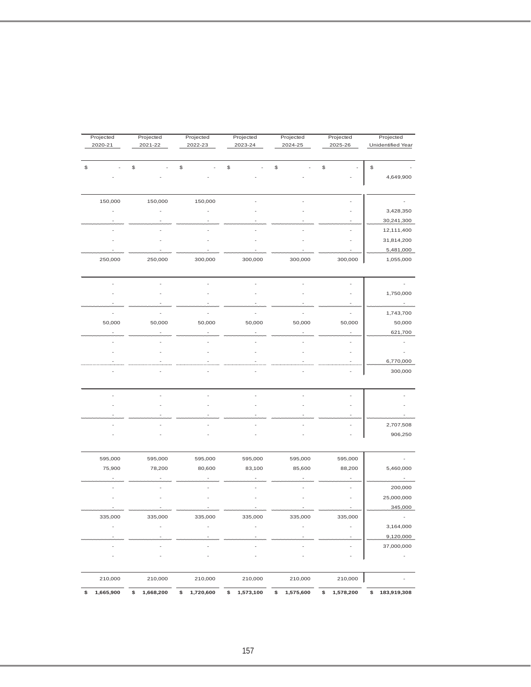| Projected<br>2020-21 | Projected<br>2021-22 | Projected<br>2022-23 | Projected<br>2023-24 | Projected<br>2024-25 | Projected<br>2025-26 | Projected<br>Unidentified Year |
|----------------------|----------------------|----------------------|----------------------|----------------------|----------------------|--------------------------------|
|                      | \$                   | \$                   | \$                   | \$                   | \$                   | \$                             |
|                      |                      |                      |                      |                      |                      | 4,649,900                      |
| 150,000              | 150,000              | 150,000              |                      |                      |                      |                                |
|                      |                      |                      |                      |                      |                      | 3,428,350                      |
|                      |                      |                      |                      |                      |                      | 30,241,300                     |
|                      |                      |                      |                      |                      |                      | 12,111,400                     |
|                      |                      |                      |                      |                      |                      | 31,814,200                     |
|                      |                      |                      |                      |                      |                      | 5,481,000                      |
| 250,000              | 250,000              | 300,000              | 300,000              | 300,000              | 300,000              | 1,055,000                      |
|                      |                      |                      |                      |                      |                      | $\overline{\phantom{a}}$       |
|                      |                      |                      |                      |                      |                      | 1,750,000                      |
|                      |                      |                      |                      |                      |                      |                                |
|                      |                      |                      |                      |                      |                      | 1,743,700                      |
| 50,000               | 50,000               | 50,000               | 50,000               | 50,000               | 50,000               | 50,000                         |
|                      |                      |                      |                      |                      |                      | 621,700                        |
|                      |                      |                      |                      |                      |                      |                                |
|                      |                      |                      |                      |                      |                      |                                |
|                      |                      |                      |                      |                      |                      | 6,770,000                      |
|                      |                      |                      |                      |                      |                      | 300,000                        |
|                      |                      |                      |                      |                      |                      |                                |
|                      |                      |                      |                      |                      |                      |                                |
|                      |                      |                      |                      |                      |                      |                                |
|                      |                      |                      |                      |                      |                      | 2,707,508                      |
|                      |                      |                      |                      |                      |                      | 906,250                        |
| 595,000              | 595,000              | 595,000              | 595,000              | 595,000              | 595,000              |                                |
| 75,900               | 78,200               | 80,600               | 83,100               | 85,600               | 88,200               | 5,460,000                      |
|                      |                      |                      |                      |                      |                      |                                |
|                      |                      |                      |                      |                      |                      | 200,000                        |
|                      |                      |                      |                      |                      |                      | 25,000,000                     |
|                      |                      |                      |                      |                      |                      | 345,000                        |
| 335,000              | 335,000              | 335,000              | 335,000              | 335,000              | 335,000              | ÷                              |
|                      |                      |                      |                      |                      |                      | 3,164,000                      |
|                      |                      |                      |                      |                      |                      | 9,120,000                      |
|                      |                      |                      |                      |                      |                      | 37,000,000                     |
|                      |                      |                      |                      |                      |                      | $\overline{\phantom{a}}$       |
| 210,000              | 210,000              | 210,000              | 210,000              | 210,000              | 210,000              |                                |
| 1,665,900            | 1,668,200<br>\$      | 1,720,600<br>\$      | 1,573,100<br>\$      | \$<br>1,575,600      | 1,578,200<br>\$      | \$183,919,308                  |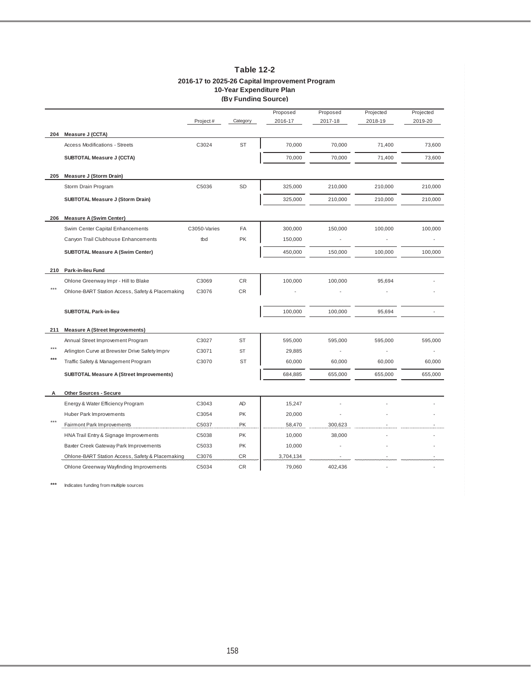|       |                                                  |              | (By Funding Source) |                     |                     |                      |                      |
|-------|--------------------------------------------------|--------------|---------------------|---------------------|---------------------|----------------------|----------------------|
|       |                                                  | Project#     | Category            | Proposed<br>2016-17 | Proposed<br>2017-18 | Projected<br>2018-19 | Projected<br>2019-20 |
| 204   | Measure J (CCTA)                                 |              |                     |                     |                     |                      |                      |
|       | <b>Access Modifications - Streets</b>            | C3024        | <b>ST</b>           | 70,000              | 70,000              | 71,400               | 73,600               |
|       | SUBTOTAL Measure J (CCTA)                        |              |                     | 70,000              | 70,000              | 71,400               | 73,600               |
| 205   | Measure J (Storm Drain)                          |              |                     |                     |                     |                      |                      |
|       | Storm Drain Program                              | C5036        | <b>SD</b>           | 325,000             | 210,000             | 210,000              | 210,000              |
|       | SUBTOTAL Measure J (Storm Drain)                 |              |                     | 325,000             | 210,000             | 210,000              | 210,000              |
| 206   | <b>Measure A (Swim Center)</b>                   |              |                     |                     |                     |                      |                      |
|       | Swim Center Capital Enhancements                 | C3050-Varies | FA                  | 300,000             | 150,000             | 100,000              | 100,000              |
|       | Canyon Trail Clubhouse Enhancements              | tbd          | <b>PK</b>           | 150,000             |                     |                      |                      |
|       | <b>SUBTOTAL Measure A (Swim Center)</b>          |              |                     | 450,000             | 150,000             | 100,000              | 100,000              |
| 210   | Park-in-lieu Fund                                |              |                     |                     |                     |                      |                      |
|       | Ohlone Greenway Impr - Hill to Blake             | C3069        | CR                  | 100,000             | 100,000             | 95,694               |                      |
| $***$ | Ohlone-BART Station Access, Safety & Placemaking | C3076        | CR                  |                     |                     |                      |                      |
|       | <b>SUBTOTAL Park-in-lieu</b>                     |              |                     | 100,000             | 100,000             | 95,694               |                      |
| 211   | <b>Measure A (Street Improvements)</b>           |              |                     |                     |                     |                      |                      |
|       | Annual Street Improvement Program                | C3027        | <b>ST</b>           | 595,000             | 595,000             | 595,000              | 595,000              |
| $***$ | Arlington Curve at Brewster Drive Safety Imprv   | C3071        | <b>ST</b>           | 29,885              |                     |                      |                      |
| ***   | Traffic Safety & Management Program              | C3070        | <b>ST</b>           | 60,000              | 60,000              | 60,000               | 60,000               |
|       | <b>SUBTOTAL Measure A (Street Improvements)</b>  |              |                     | 684,885             | 655,000             | 655,000              | 655,000              |
| A     | Other Sources - Secure                           |              |                     |                     |                     |                      |                      |
|       | Energy & Water Efficiency Program                | C3043        | AD                  | 15,247              |                     |                      |                      |
|       | Huber Park Improvements                          | C3054        | PK                  | 20,000              |                     |                      |                      |
|       | Fairmont Park Improvements                       | C5037        | PK                  | 58,470              | 300,623             |                      |                      |
|       | HNA Trail Entry & Signage Improvements           | C5038        | PK                  | 10,000              | 38,000              |                      |                      |
|       | Baxter Creek Gateway Park Improvements           | C5033        | PK                  | 10,000              |                     |                      |                      |
|       | Ohlone-BART Station Access, Safety & Placemaking | C3076        | <b>CR</b>           | 3,704,134           |                     |                      |                      |
|       | Ohlone Greenway Wayfinding Improvements          | C5034        | CR                  | 79,060              | 402,436             |                      |                      |

## **Table 12-2 2016-17 to 2025-26 Capital Improvement Program 10-Year Expenditure Plan**

**(By Funding Source)**

**\*\*\*** Indicates funding from multiple sources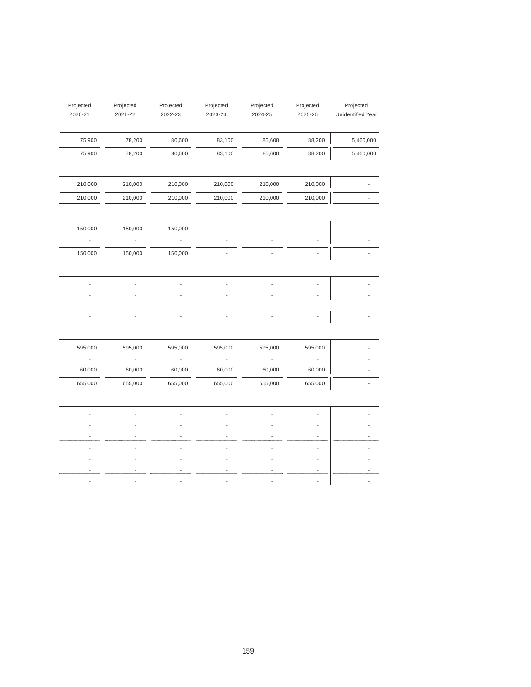| Projected<br>2020-21     | Projected<br>2021-22     | Projected<br>2022-23     | Projected<br>2023-24 | Projected<br>2024-25 | Projected<br>2025-26 | Projected<br>Unidentified Year |
|--------------------------|--------------------------|--------------------------|----------------------|----------------------|----------------------|--------------------------------|
| 75,900                   | 78,200                   | 80,600                   | 83,100               | 85,600               | 88,200               | 5,460,000                      |
| 75,900                   | 78,200                   | 80,600                   | 83,100               | 85,600               | 88,200               | 5,460,000                      |
| 210,000                  | 210,000                  | 210,000                  | 210,000              | 210,000              | 210,000              |                                |
| 210,000                  | 210,000                  | 210,000                  | 210,000              | 210,000              | 210,000              |                                |
| 150,000                  | 150,000                  | 150,000                  |                      |                      |                      |                                |
| $\frac{1}{2}$            | $\overline{\phantom{a}}$ | $\blacksquare$           |                      |                      |                      |                                |
| 150,000                  | 150,000                  | 150,000                  |                      |                      |                      |                                |
|                          |                          |                          |                      |                      |                      |                                |
|                          |                          |                          |                      |                      |                      |                                |
|                          |                          |                          |                      |                      |                      |                                |
| $\overline{\phantom{a}}$ | $\frac{1}{2}$            | $\overline{\phantom{a}}$ | ÷,                   |                      |                      |                                |
|                          |                          |                          |                      |                      |                      |                                |
| 595,000                  | 595,000                  | 595,000                  | 595,000              | 595,000              | 595,000              |                                |
|                          |                          |                          |                      |                      |                      |                                |
| 60,000                   | 60,000                   | 60,000                   | 60,000               | 60,000               | 60,000               |                                |
| 655,000                  | 655,000                  | 655,000                  | 655,000              | 655,000              | 655,000              | $\overline{\phantom{a}}$       |
|                          |                          |                          |                      |                      |                      |                                |
|                          |                          |                          |                      |                      |                      |                                |
|                          |                          |                          |                      |                      |                      |                                |
|                          |                          |                          |                      |                      |                      |                                |
|                          |                          |                          |                      |                      |                      |                                |
|                          |                          |                          |                      |                      |                      |                                |
|                          |                          |                          |                      |                      |                      |                                |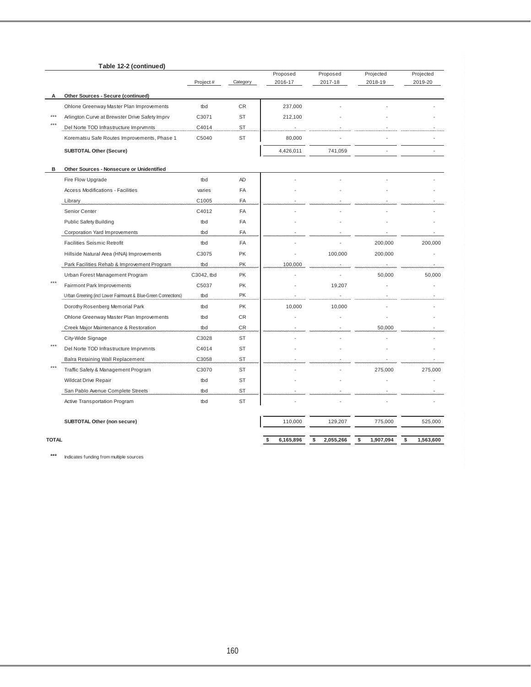|              | Table 12-2 (continued)                                         |            |           |           |                 |                 |                 |
|--------------|----------------------------------------------------------------|------------|-----------|-----------|-----------------|-----------------|-----------------|
|              |                                                                |            |           | Proposed  | Proposed        | Projected       | Projected       |
|              |                                                                | Project#   | Category  | 2016-17   | 2017-18         | 2018-19         | 2019-20         |
| А            | Other Sources - Secure (continued)                             |            |           |           |                 |                 |                 |
|              | Ohlone Greenway Master Plan Improvements                       | tbd        | CR        | 237,000   |                 |                 |                 |
|              | Arlington Curve at Brewster Drive Safety Imprv                 | C3071      | <b>ST</b> | 212,100   |                 |                 |                 |
|              | Del Norte TOD Infrastructure Imprvmnts                         | C4014      | ST        |           |                 |                 |                 |
|              | Korematsu Safe Routes Improvements, Phase 1                    | C5040      | <b>ST</b> | 80,000    |                 |                 |                 |
|              | <b>SUBTOTAL Other (Secure)</b>                                 |            |           | 4,426,011 | 741,059         |                 |                 |
| в            | Other Sources - Nonsecure or Unidentified                      |            |           |           |                 |                 |                 |
|              | Fire Flow Upgrade                                              | thd        | AD        |           |                 |                 |                 |
|              | Access Modifications - Facilities                              | varies     | FA        |           |                 |                 |                 |
|              | Library                                                        | C1005      | FA        |           |                 |                 |                 |
|              | Senior Center                                                  | C4012      | FA        |           |                 |                 |                 |
|              | <b>Public Safety Building</b>                                  | tbd        | FA        |           |                 |                 |                 |
|              | Corporation Yard Improvements                                  | tbd        | FA        |           |                 |                 |                 |
|              | <b>Facilities Seismic Retrofit</b>                             | tbd        | FA        |           |                 | 200,000         | 200,000         |
|              | Hillside Natural Area (HNA) Improvements                       | C3075      | PK        |           | 100,000         | 200,000         |                 |
|              | Park Facilities Rehab & Improvement Program                    | tbd        | PK        | 100,000   |                 |                 |                 |
|              | Urban Forest Management Program                                | C3042, tbd | PK        |           |                 | 50,000          | 50,000          |
|              | Fairmont Park Improvements                                     | C5037      | <b>PK</b> |           | 19,207          |                 |                 |
|              | Urban Greening (incl Lower Fairmount & Blue-Green Connections) | tbd        | PK        |           |                 |                 |                 |
|              | Dorothy Rosenberg Memorial Park                                | tbd        | PK        | 10,000    | 10,000          |                 |                 |
|              | Ohlone Greenway Master Plan Improvements                       | tbd        | CR.       |           |                 |                 |                 |
|              | Creek Major Maintenance & Restoration                          | tbd        | CR        |           |                 | 50,000          |                 |
|              | City-Wide Signage                                              | C3028      | ST        |           |                 |                 |                 |
| $***$        | Del Norte TOD Infrastructure Imprymnts                         | C4014      | <b>ST</b> |           |                 |                 |                 |
|              | Balra Retaining Wall Replacement                               | C3058      | <b>ST</b> |           |                 |                 |                 |
|              | Traffic Safety & Management Program                            | C3070      | <b>ST</b> |           |                 | 275,000         | 275,000         |
|              | <b>Wildcat Drive Repair</b>                                    | tbd        | <b>ST</b> |           |                 |                 |                 |
|              | San Pablo Avenue Complete Streets                              | tbd        | <b>ST</b> |           |                 |                 |                 |
|              | Active Transportation Program                                  | tbd        | <b>ST</b> |           |                 |                 |                 |
|              | SUBTOTAL Other (non secure)                                    |            |           | 110,000   | 129,207         | 775,000         | 525,000         |
| <b>TOTAL</b> |                                                                |            |           | 6,165,896 | 2,055,266<br>\$ | \$<br>1,907,094 | 1,563,600<br>\$ |

**\*\*\*** Indicates funding from multiple sources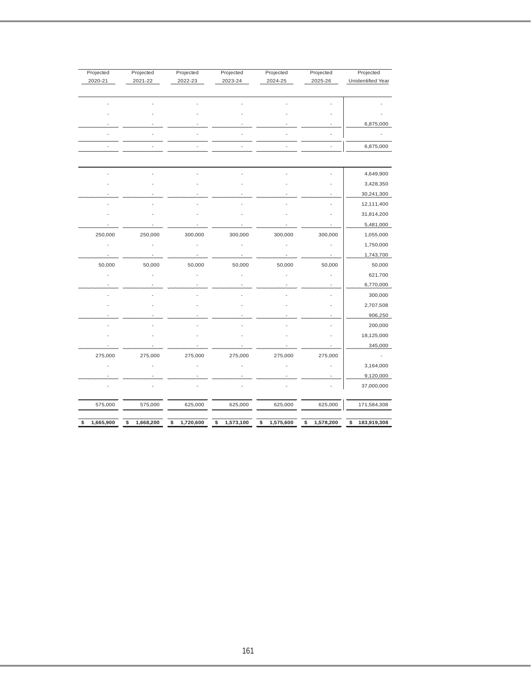| Projected       | Projected       | Projected       | Projected       | Projected       | Projected       | Projected         |
|-----------------|-----------------|-----------------|-----------------|-----------------|-----------------|-------------------|
| 2020-21         | 2021-22         | 2022-23         | 2023-24         | 2024-25         | 2025-26         | Unidentified Year |
|                 |                 |                 |                 |                 |                 |                   |
|                 |                 |                 |                 |                 |                 |                   |
|                 |                 |                 |                 |                 |                 |                   |
|                 |                 |                 |                 |                 |                 | 6,875,000         |
|                 |                 |                 |                 |                 |                 |                   |
|                 |                 |                 |                 |                 | L.              | 6,875,000         |
|                 |                 |                 |                 |                 |                 |                   |
|                 |                 |                 |                 |                 |                 | 4,649,900         |
|                 |                 |                 |                 |                 |                 | 3,428,350         |
|                 |                 |                 |                 |                 |                 | 30,241,300        |
|                 |                 |                 |                 |                 |                 | 12,111,400        |
|                 |                 |                 |                 |                 |                 | 31,814,200        |
|                 |                 |                 |                 |                 |                 | 5,481,000         |
| 250,000         | 250,000         | 300,000         | 300,000         | 300,000         | 300,000         | 1,055,000         |
|                 |                 |                 |                 |                 |                 | 1,750,000         |
|                 |                 |                 |                 |                 |                 | 1,743,700         |
| 50,000          | 50,000          | 50,000          | 50,000          | 50,000          | 50,000          | 50,000            |
|                 |                 |                 |                 |                 |                 | 621,700           |
|                 |                 |                 |                 |                 |                 | 6,770,000         |
|                 |                 |                 |                 |                 |                 | 300,000           |
|                 |                 |                 |                 |                 |                 | 2,707,508         |
|                 |                 |                 |                 |                 |                 | 906,250           |
|                 |                 |                 |                 |                 |                 | 200,000           |
|                 |                 |                 |                 |                 |                 | 18,125,000        |
|                 |                 |                 |                 |                 |                 | 345,000           |
| 275,000         | 275,000         | 275,000         | 275,000         | 275,000         | 275,000         |                   |
|                 |                 |                 |                 |                 |                 | 3,164,000         |
|                 |                 |                 |                 |                 |                 | 9,120,000         |
|                 |                 |                 |                 |                 |                 | 37,000,000        |
| 575,000         | 575,000         | 625,000         | 625,000         | 625,000         | 625,000         | 171,584,308       |
|                 |                 |                 |                 |                 |                 |                   |
| \$<br>1,665,900 | 1,668,200<br>\$ | 1,720,600<br>\$ | 1,573,100<br>\$ | 1,575,600<br>\$ | 1,578,200<br>\$ | 183,919,308<br>\$ |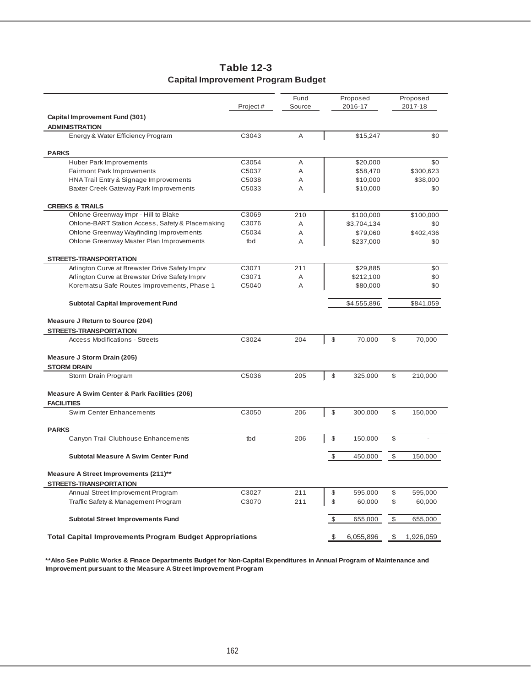|                                                                                 | Project# | Fund<br>Source |               | Proposed<br>2016-17 |             | Proposed<br>2017-18 |
|---------------------------------------------------------------------------------|----------|----------------|---------------|---------------------|-------------|---------------------|
| Capital Improvement Fund (301)                                                  |          |                |               |                     |             |                     |
| <b>ADMINISTRATION</b>                                                           |          |                |               |                     |             |                     |
| Energy & Water Efficiency Program                                               | C3043    | A              |               | \$15,247            |             | \$0                 |
| <b>PARKS</b>                                                                    |          |                |               |                     |             |                     |
| <b>Huber Park Improvements</b>                                                  | C3054    | Α              |               | \$20,000            |             | \$0                 |
| Fairmont Park Improvements                                                      | C5037    | A              |               | \$58,470            |             | \$300,623           |
| HNA Trail Entry & Signage Improvements                                          | C5038    | A              |               | \$10,000            |             | \$38,000            |
| Baxter Creek Gateway Park Improvements                                          | C5033    | A              |               | \$10,000            |             | \$0                 |
| <b>CREEKS &amp; TRAILS</b>                                                      |          |                |               |                     |             |                     |
| Ohlone Greenway Impr - Hill to Blake                                            | C3069    | 210            |               | \$100,000           |             | \$100,000           |
| Ohlone-BART Station Access, Safety & Placemaking                                | C3076    | A              |               | \$3,704,134         |             | \$0                 |
| Ohlone Greenway Wayfinding Improvements                                         | C5034    | A              |               | \$79,060            |             | \$402,436           |
| Ohlone Greenway Master Plan Improvements                                        | tbd      | A              |               | \$237,000           |             | \$0                 |
|                                                                                 |          |                |               |                     |             |                     |
| <b>STREETS-TRANSPORTATION</b><br>Arlington Curve at Brewster Drive Safety Imprv | C3071    | 211            |               | \$29,885            |             | \$0                 |
| Arlington Curve at Brewster Drive Safety Imprv                                  | C3071    | A              |               | \$212,100           |             | \$0                 |
| Korematsu Safe Routes Improvements, Phase 1                                     | C5040    | A              |               | \$80,000            |             | \$0                 |
|                                                                                 |          |                |               |                     |             |                     |
| <b>Subtotal Capital Improvement Fund</b>                                        |          |                |               | \$4,555,896         |             | \$841,059           |
| Measure J Return to Source (204)                                                |          |                |               |                     |             |                     |
| <b>STREETS-TRANSPORTATION</b>                                                   |          |                |               |                     |             |                     |
| <b>Access Modifications - Streets</b>                                           | C3024    | 204            | $\mathbb{S}$  | 70,000              | \$          | 70,000              |
|                                                                                 |          |                |               |                     |             |                     |
| Measure J Storm Drain (205)                                                     |          |                |               |                     |             |                     |
| <b>STORM DRAIN</b>                                                              |          |                | \$            |                     | \$          |                     |
| Storm Drain Program                                                             | C5036    | 205            |               | 325,000             |             | 210,000             |
| Measure A Swim Center & Park Facilities (206)                                   |          |                |               |                     |             |                     |
| <b>FACILITIES</b>                                                               |          |                |               |                     |             |                     |
| Swim Center Enhancements                                                        | C3050    | 206            | $\mathbb S$   | 300,000             | $\mathbb S$ | 150,000             |
|                                                                                 |          |                |               |                     |             |                     |
| <b>PARKS</b><br>Canyon Trail Clubhouse Enhancements                             | tbd      | 206            | \$            | 150,000             | \$          |                     |
|                                                                                 |          |                |               |                     |             |                     |
| <b>Subtotal Measure A Swim Center Fund</b>                                      |          |                | $\mathfrak s$ | 450,000             | \$          | 150,000             |
| Measure A Street Improvements (211)**                                           |          |                |               |                     |             |                     |
| STREETS-TRANSPORTATION                                                          |          |                |               |                     |             |                     |
| Annual Street Improvement Program                                               | C3027    | 211            | \$            | 595,000             | \$          | 595,000             |
| Traffic Safety & Management Program                                             | C3070    | 211            | \$            | 60,000              | \$          | 60,000              |
|                                                                                 |          |                |               |                     |             |                     |
| <b>Subtotal Street Improvements Fund</b>                                        |          |                | \$            | 655,000             | \$          | 655,000             |
| <b>Total Capital Improvements Program Budget Appropriations</b>                 |          |                | \$            | 6,055,896           | \$          | 1,926,059           |
|                                                                                 |          |                |               |                     |             |                     |

## **Table 12-3 Capital Improvement Program Budget**

**\*\*Also See Public Works & Finace Departments Budget for Non-Capital Expenditures in Annual Program of Maintenance and Improvement pursuant to the Measure A Street Improvement Program**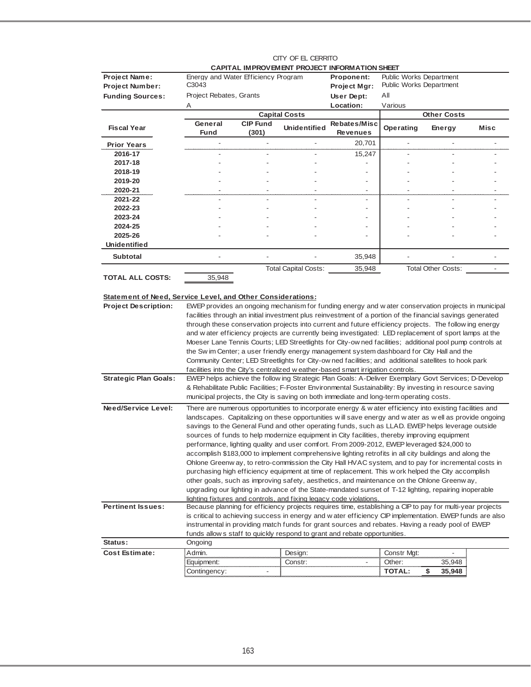|                                                             |                                                                                                                                                                                                  |                 |                             | CAPITAL IMPROVEMENT PROJECT INFORMATION SHEET                                                                                                                                                                     |                                                                  |                           |      |  |  |
|-------------------------------------------------------------|--------------------------------------------------------------------------------------------------------------------------------------------------------------------------------------------------|-----------------|-----------------------------|-------------------------------------------------------------------------------------------------------------------------------------------------------------------------------------------------------------------|------------------------------------------------------------------|---------------------------|------|--|--|
| <b>Project Name:</b><br><b>Project Number:</b>              | Energy and Water Efficiency Program<br>C3043                                                                                                                                                     |                 |                             | Proponent:<br><b>Project Mgr:</b>                                                                                                                                                                                 | <b>Public Works Department</b><br><b>Public Works Department</b> |                           |      |  |  |
| <b>Funding Sources:</b>                                     | Project Rebates, Grants                                                                                                                                                                          |                 |                             | User Dept:                                                                                                                                                                                                        | All                                                              |                           |      |  |  |
|                                                             | Α                                                                                                                                                                                                |                 |                             | Location:                                                                                                                                                                                                         | Various                                                          |                           |      |  |  |
|                                                             |                                                                                                                                                                                                  |                 | <b>Capital Costs</b>        |                                                                                                                                                                                                                   |                                                                  | <b>Other Costs</b>        |      |  |  |
| <b>Fiscal Year</b>                                          | General                                                                                                                                                                                          | <b>CIP Fund</b> | <b>Unidentified</b>         | Rebates/Misc                                                                                                                                                                                                      | Operating                                                        | Energy                    | Misc |  |  |
|                                                             | <b>Fund</b>                                                                                                                                                                                      | (301)           |                             | <b>Revenues</b>                                                                                                                                                                                                   |                                                                  |                           |      |  |  |
| <b>Prior Years</b>                                          |                                                                                                                                                                                                  |                 |                             | 20,701                                                                                                                                                                                                            |                                                                  |                           |      |  |  |
| 2016-17                                                     |                                                                                                                                                                                                  |                 |                             | 15,247                                                                                                                                                                                                            |                                                                  |                           |      |  |  |
| 2017-18                                                     |                                                                                                                                                                                                  |                 |                             |                                                                                                                                                                                                                   |                                                                  |                           |      |  |  |
| 2018-19                                                     |                                                                                                                                                                                                  |                 |                             |                                                                                                                                                                                                                   |                                                                  |                           |      |  |  |
| 2019-20                                                     |                                                                                                                                                                                                  |                 |                             |                                                                                                                                                                                                                   |                                                                  |                           |      |  |  |
| 2020-21                                                     |                                                                                                                                                                                                  |                 |                             |                                                                                                                                                                                                                   |                                                                  |                           |      |  |  |
| 2021-22                                                     |                                                                                                                                                                                                  |                 |                             |                                                                                                                                                                                                                   |                                                                  |                           |      |  |  |
| 2022-23                                                     |                                                                                                                                                                                                  |                 |                             |                                                                                                                                                                                                                   |                                                                  |                           |      |  |  |
| 2023-24                                                     |                                                                                                                                                                                                  |                 |                             |                                                                                                                                                                                                                   |                                                                  |                           |      |  |  |
| 2024-25<br>2025-26                                          |                                                                                                                                                                                                  |                 |                             |                                                                                                                                                                                                                   |                                                                  |                           |      |  |  |
| <b>Unidentified</b>                                         |                                                                                                                                                                                                  |                 |                             |                                                                                                                                                                                                                   |                                                                  |                           |      |  |  |
|                                                             |                                                                                                                                                                                                  |                 |                             |                                                                                                                                                                                                                   |                                                                  |                           |      |  |  |
| <b>Subtotal</b>                                             |                                                                                                                                                                                                  |                 |                             | 35,948                                                                                                                                                                                                            |                                                                  |                           |      |  |  |
|                                                             |                                                                                                                                                                                                  |                 | <b>Total Capital Costs:</b> | 35,948                                                                                                                                                                                                            |                                                                  | <b>Total Other Costs:</b> |      |  |  |
| <b>TOTAL ALL COSTS:</b>                                     | 35,948                                                                                                                                                                                           |                 |                             |                                                                                                                                                                                                                   |                                                                  |                           |      |  |  |
|                                                             |                                                                                                                                                                                                  |                 |                             |                                                                                                                                                                                                                   |                                                                  |                           |      |  |  |
| Statement of Need, Service Level, and Other Considerations: |                                                                                                                                                                                                  |                 |                             |                                                                                                                                                                                                                   |                                                                  |                           |      |  |  |
| <b>Project Description:</b>                                 |                                                                                                                                                                                                  |                 |                             | EWEP provides an ongoing mechanism for funding energy and water conservation projects in municipal                                                                                                                |                                                                  |                           |      |  |  |
|                                                             |                                                                                                                                                                                                  |                 |                             | facilities through an initial investment plus reinvestment of a portion of the financial savings generated                                                                                                        |                                                                  |                           |      |  |  |
|                                                             |                                                                                                                                                                                                  |                 |                             | through these conservation projects into current and future efficiency projects. The follow ing energy                                                                                                            |                                                                  |                           |      |  |  |
|                                                             |                                                                                                                                                                                                  |                 |                             | and water efficiency projects are currently being investigated: LED replacement of sport lamps at the<br>Moeser Lane Tennis Courts; LED Streetlights for City-ow ned facilities; additional pool pump controls at |                                                                  |                           |      |  |  |
|                                                             |                                                                                                                                                                                                  |                 |                             | the Sw im Center; a user friendly energy management system dashboard for City Hall and the                                                                                                                        |                                                                  |                           |      |  |  |
|                                                             |                                                                                                                                                                                                  |                 |                             | Community Center; LED Streetlights for City-ow ned facilities; and additional satellites to hook park                                                                                                             |                                                                  |                           |      |  |  |
|                                                             |                                                                                                                                                                                                  |                 |                             | facilities into the City's centralized w eather-based smart irrigation controls.                                                                                                                                  |                                                                  |                           |      |  |  |
| <b>Strategic Plan Goals:</b>                                |                                                                                                                                                                                                  |                 |                             | EWEP helps achieve the follow ing Strategic Plan Goals: A-Deliver Exemplary Govt Services; D-Develop                                                                                                              |                                                                  |                           |      |  |  |
|                                                             |                                                                                                                                                                                                  |                 |                             | & Rehabilitate Public Facilities; F-Foster Environmental Sustainability: By investing in resource saving                                                                                                          |                                                                  |                           |      |  |  |
|                                                             |                                                                                                                                                                                                  |                 |                             | municipal projects, the City is saving on both immediate and long-term operating costs.                                                                                                                           |                                                                  |                           |      |  |  |
|                                                             |                                                                                                                                                                                                  |                 |                             |                                                                                                                                                                                                                   |                                                                  |                           |      |  |  |
| <b>Need/Service Level:</b>                                  |                                                                                                                                                                                                  |                 |                             | There are numerous opportunities to incorporate energy & w ater efficiency into existing facilities and                                                                                                           |                                                                  |                           |      |  |  |
|                                                             | landscapes. Capitalizing on these opportunities will save energy and water as well as provide ongoing                                                                                            |                 |                             |                                                                                                                                                                                                                   |                                                                  |                           |      |  |  |
|                                                             | savings to the General Fund and other operating funds, such as LLAD. EWEP helps leverage outside<br>sources of funds to help modernize equipment in City facilities, thereby improving equipment |                 |                             |                                                                                                                                                                                                                   |                                                                  |                           |      |  |  |
|                                                             |                                                                                                                                                                                                  |                 |                             | performance, lighting quality and user comfort. From 2009-2012, EWEP leveraged \$24,000 to                                                                                                                        |                                                                  |                           |      |  |  |
|                                                             |                                                                                                                                                                                                  |                 |                             | accomplish \$183,000 to implement comprehensive lighting retrofits in all city buildings and along the                                                                                                            |                                                                  |                           |      |  |  |
|                                                             |                                                                                                                                                                                                  |                 |                             | Ohlone Greenway, to retro-commission the City Hall HVAC system, and to pay for incremental costs in                                                                                                               |                                                                  |                           |      |  |  |
|                                                             |                                                                                                                                                                                                  |                 |                             | purchasing high efficiency equipment at time of replacement. This w ork helped the City accomplish                                                                                                                |                                                                  |                           |      |  |  |
|                                                             |                                                                                                                                                                                                  |                 |                             | other goals, such as improving safety, aesthetics, and maintenance on the Ohlone Greenway,                                                                                                                        |                                                                  |                           |      |  |  |
|                                                             |                                                                                                                                                                                                  |                 |                             | upgrading our lighting in advance of the State-mandated sunset of T-12 lighting, repairing inoperable                                                                                                             |                                                                  |                           |      |  |  |
|                                                             |                                                                                                                                                                                                  |                 |                             | lighting fixtures and controls, and fixing legacy code violations.                                                                                                                                                |                                                                  |                           |      |  |  |
| <b>Pertinent Issues:</b>                                    |                                                                                                                                                                                                  |                 |                             | Because planning for efficiency projects requires time, establishing a CIP to pay for multi-year projects                                                                                                         |                                                                  |                           |      |  |  |
|                                                             |                                                                                                                                                                                                  |                 |                             | is critical to achieving success in energy and w ater efficiency CIP implementation. EWEP funds are also                                                                                                          |                                                                  |                           |      |  |  |
|                                                             |                                                                                                                                                                                                  |                 |                             | instrumental in providing match funds for grant sources and rebates. Having a ready pool of EWEP                                                                                                                  |                                                                  |                           |      |  |  |
|                                                             |                                                                                                                                                                                                  |                 |                             | funds allow s staff to quickly respond to grant and rebate opportunities.                                                                                                                                         |                                                                  |                           |      |  |  |
| Status:                                                     | Ongoing                                                                                                                                                                                          |                 |                             |                                                                                                                                                                                                                   |                                                                  |                           |      |  |  |
| <b>Cost Estimate:</b>                                       | Admin.                                                                                                                                                                                           |                 | Design:                     |                                                                                                                                                                                                                   | Constr Mgt:                                                      |                           |      |  |  |
|                                                             | Equipment:                                                                                                                                                                                       |                 | Constr:                     |                                                                                                                                                                                                                   | Other:                                                           | 35,948                    |      |  |  |
|                                                             | Contingency:                                                                                                                                                                                     |                 |                             |                                                                                                                                                                                                                   | <b>TOTAL:</b>                                                    | \$<br>35,948              |      |  |  |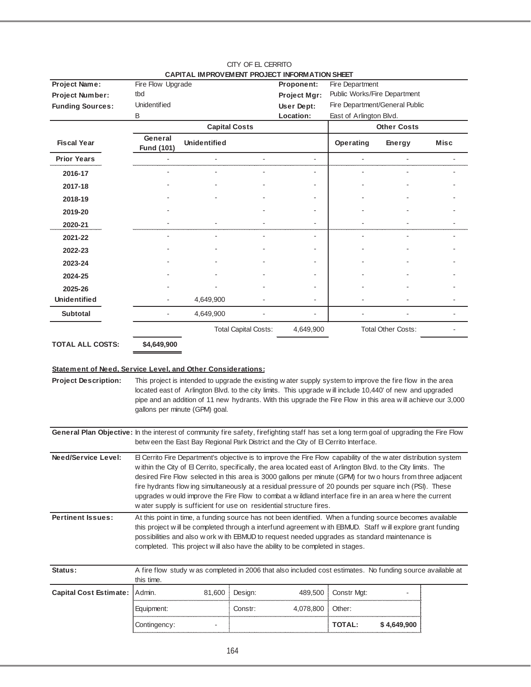|                                                                                                                                          |                                                                                                                                                                                                                                                                                                                                                                                                                                                                                                                                                                                                                                          |                                |                             | CAPITAL IMPROVEMENT PROJECT INFORMATION SHEET |                                                                                                                                                                                                                                                                                                                                         |                           |      |
|------------------------------------------------------------------------------------------------------------------------------------------|------------------------------------------------------------------------------------------------------------------------------------------------------------------------------------------------------------------------------------------------------------------------------------------------------------------------------------------------------------------------------------------------------------------------------------------------------------------------------------------------------------------------------------------------------------------------------------------------------------------------------------------|--------------------------------|-----------------------------|-----------------------------------------------|-----------------------------------------------------------------------------------------------------------------------------------------------------------------------------------------------------------------------------------------------------------------------------------------------------------------------------------------|---------------------------|------|
| Project Name:                                                                                                                            | Fire Flow Upgrade                                                                                                                                                                                                                                                                                                                                                                                                                                                                                                                                                                                                                        |                                |                             | Proponent:                                    | Fire Department                                                                                                                                                                                                                                                                                                                         |                           |      |
| <b>Project Number:</b>                                                                                                                   | tbd                                                                                                                                                                                                                                                                                                                                                                                                                                                                                                                                                                                                                                      |                                |                             | Project Mgr:                                  | Public Works/Fire Department                                                                                                                                                                                                                                                                                                            |                           |      |
| <b>Funding Sources:</b>                                                                                                                  | <b>Unidentified</b>                                                                                                                                                                                                                                                                                                                                                                                                                                                                                                                                                                                                                      |                                |                             | User Dept:                                    | Fire Department/General Public                                                                                                                                                                                                                                                                                                          |                           |      |
|                                                                                                                                          | B                                                                                                                                                                                                                                                                                                                                                                                                                                                                                                                                                                                                                                        |                                | <b>Capital Costs</b>        | Location:                                     | East of Arlington Blvd.                                                                                                                                                                                                                                                                                                                 | <b>Other Costs</b>        |      |
|                                                                                                                                          | General                                                                                                                                                                                                                                                                                                                                                                                                                                                                                                                                                                                                                                  |                                |                             |                                               |                                                                                                                                                                                                                                                                                                                                         |                           |      |
| <b>Fiscal Year</b>                                                                                                                       | Fund (101)                                                                                                                                                                                                                                                                                                                                                                                                                                                                                                                                                                                                                               | <b>Unidentified</b>            |                             |                                               | Operating                                                                                                                                                                                                                                                                                                                               | Energy                    | Misc |
| <b>Prior Years</b>                                                                                                                       | ÷,                                                                                                                                                                                                                                                                                                                                                                                                                                                                                                                                                                                                                                       |                                |                             | ÷,                                            |                                                                                                                                                                                                                                                                                                                                         |                           |      |
| 2016-17                                                                                                                                  |                                                                                                                                                                                                                                                                                                                                                                                                                                                                                                                                                                                                                                          |                                |                             | $\blacksquare$                                |                                                                                                                                                                                                                                                                                                                                         |                           |      |
| 2017-18                                                                                                                                  |                                                                                                                                                                                                                                                                                                                                                                                                                                                                                                                                                                                                                                          |                                |                             |                                               |                                                                                                                                                                                                                                                                                                                                         |                           |      |
| 2018-19                                                                                                                                  |                                                                                                                                                                                                                                                                                                                                                                                                                                                                                                                                                                                                                                          |                                |                             |                                               |                                                                                                                                                                                                                                                                                                                                         |                           |      |
| 2019-20                                                                                                                                  |                                                                                                                                                                                                                                                                                                                                                                                                                                                                                                                                                                                                                                          |                                |                             |                                               |                                                                                                                                                                                                                                                                                                                                         |                           |      |
| 2020-21                                                                                                                                  |                                                                                                                                                                                                                                                                                                                                                                                                                                                                                                                                                                                                                                          |                                |                             |                                               |                                                                                                                                                                                                                                                                                                                                         |                           |      |
| 2021-22                                                                                                                                  |                                                                                                                                                                                                                                                                                                                                                                                                                                                                                                                                                                                                                                          |                                |                             | $\blacksquare$                                |                                                                                                                                                                                                                                                                                                                                         |                           |      |
| 2022-23                                                                                                                                  |                                                                                                                                                                                                                                                                                                                                                                                                                                                                                                                                                                                                                                          |                                |                             |                                               |                                                                                                                                                                                                                                                                                                                                         |                           |      |
| 2023-24                                                                                                                                  |                                                                                                                                                                                                                                                                                                                                                                                                                                                                                                                                                                                                                                          |                                |                             |                                               |                                                                                                                                                                                                                                                                                                                                         |                           |      |
| 2024-25                                                                                                                                  |                                                                                                                                                                                                                                                                                                                                                                                                                                                                                                                                                                                                                                          |                                |                             |                                               |                                                                                                                                                                                                                                                                                                                                         |                           |      |
| 2025-26                                                                                                                                  |                                                                                                                                                                                                                                                                                                                                                                                                                                                                                                                                                                                                                                          |                                |                             |                                               |                                                                                                                                                                                                                                                                                                                                         |                           |      |
| <b>Unidentified</b>                                                                                                                      |                                                                                                                                                                                                                                                                                                                                                                                                                                                                                                                                                                                                                                          | 4,649,900                      |                             |                                               |                                                                                                                                                                                                                                                                                                                                         |                           |      |
| <b>Subtotal</b>                                                                                                                          |                                                                                                                                                                                                                                                                                                                                                                                                                                                                                                                                                                                                                                          | 4,649,900                      |                             |                                               |                                                                                                                                                                                                                                                                                                                                         |                           |      |
|                                                                                                                                          |                                                                                                                                                                                                                                                                                                                                                                                                                                                                                                                                                                                                                                          |                                | <b>Total Capital Costs:</b> | 4,649,900                                     |                                                                                                                                                                                                                                                                                                                                         | <b>Total Other Costs:</b> |      |
| <b>TOTAL ALL COSTS:</b>                                                                                                                  | \$4,649,900                                                                                                                                                                                                                                                                                                                                                                                                                                                                                                                                                                                                                              |                                |                             |                                               |                                                                                                                                                                                                                                                                                                                                         |                           |      |
| Statement of Need, Service Level, and Other Considerations:<br><b>Project Description:</b>                                               |                                                                                                                                                                                                                                                                                                                                                                                                                                                                                                                                                                                                                                          | gallons per minute (GPM) goal. |                             |                                               | This project is intended to upgrade the existing w ater supply system to improve the fire flow in the area<br>located east of Arlington Blvd. to the city limits. This upgrade will include 10,440' of new and upgraded<br>pipe and an addition of 11 new hydrants. With this upgrade the Fire Flow in this area will achieve our 3,000 |                           |      |
| General Plan Objective: In the interest of community fire safety, firefighting staff has set a long term goal of upgrading the Fire Flow |                                                                                                                                                                                                                                                                                                                                                                                                                                                                                                                                                                                                                                          |                                |                             |                                               |                                                                                                                                                                                                                                                                                                                                         |                           |      |
|                                                                                                                                          |                                                                                                                                                                                                                                                                                                                                                                                                                                                                                                                                                                                                                                          |                                |                             |                                               | betw een the East Bay Regional Park District and the City of El Cerrito Interface.                                                                                                                                                                                                                                                      |                           |      |
| Need/Service Level:                                                                                                                      | El Cerrito Fire Department's objective is to improve the Fire Flow capability of the water distribution system<br>within the City of El Cerrito, specifically, the area located east of Arlington Blvd. to the City limits. The<br>desired Fire Flow selected in this area is 3000 gallons per minute (GPM) for two hours from three adjacent<br>fire hydrants flow ing simultaneously at a residual pressure of 20 pounds per square inch (PSI). These<br>upgrades w ould improve the Fire Flow to combat a wildland interface fire in an area w here the current<br>water supply is sufficient for use on residential structure fires. |                                |                             |                                               |                                                                                                                                                                                                                                                                                                                                         |                           |      |
| <b>Pertinent Issues:</b>                                                                                                                 | At this point in time, a funding source has not been identified. When a funding source becomes available<br>this project will be completed through a interfund agreement with EBMUD. Staff will explore grant funding<br>possibilities and also w ork w ith EBMUD to request needed upgrades as standard maintenance is<br>completed. This project will also have the ability to be completed in stages.                                                                                                                                                                                                                                 |                                |                             |                                               |                                                                                                                                                                                                                                                                                                                                         |                           |      |
| Status:                                                                                                                                  | this time.                                                                                                                                                                                                                                                                                                                                                                                                                                                                                                                                                                                                                               |                                |                             |                                               | A fire flow study was completed in 2006 that also included cost estimates. No funding source available at                                                                                                                                                                                                                               |                           |      |
| <b>Capital Cost Estimate:</b>                                                                                                            | Admin.                                                                                                                                                                                                                                                                                                                                                                                                                                                                                                                                                                                                                                   | 81,600                         | Design:                     | 489,500                                       | Constr Mgt:                                                                                                                                                                                                                                                                                                                             |                           |      |
|                                                                                                                                          | Equipment:                                                                                                                                                                                                                                                                                                                                                                                                                                                                                                                                                                                                                               |                                | Constr:                     | 4,078,800                                     | Other:                                                                                                                                                                                                                                                                                                                                  |                           |      |
|                                                                                                                                          | Contingency:                                                                                                                                                                                                                                                                                                                                                                                                                                                                                                                                                                                                                             |                                |                             |                                               | <b>TOTAL:</b>                                                                                                                                                                                                                                                                                                                           | \$4,649,900               |      |
|                                                                                                                                          |                                                                                                                                                                                                                                                                                                                                                                                                                                                                                                                                                                                                                                          |                                |                             |                                               |                                                                                                                                                                                                                                                                                                                                         |                           |      |

| CITY OF EL CERRITO                             |
|------------------------------------------------|
| ^ΔΡΙΤΔΙ IMPROVEMENT PRO IECT INFORM ΔΤΙΟΝ SHEI |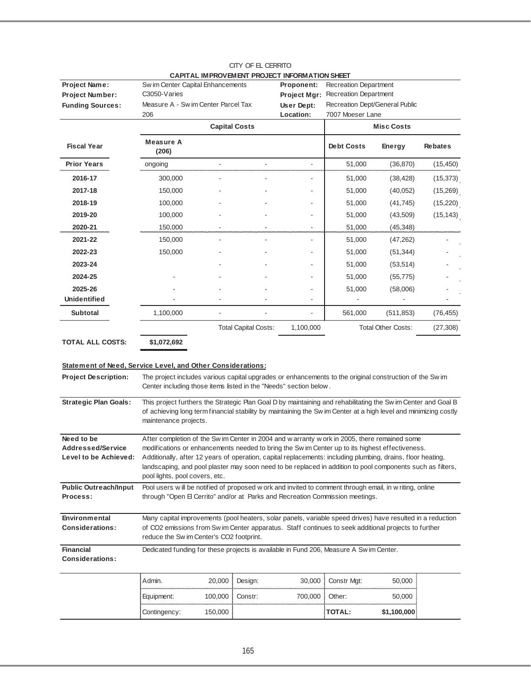| Project Name:                                                                                     | Sw im Center Capital Enhancements                                                                                                                                                                                                                              |         |                             | CAPITAL IMPROVEMENT PROJECT INFORMATION SHEET<br><b>Proponent:</b> | <b>Recreation Department</b>   |                    |                |
|---------------------------------------------------------------------------------------------------|----------------------------------------------------------------------------------------------------------------------------------------------------------------------------------------------------------------------------------------------------------------|---------|-----------------------------|--------------------------------------------------------------------|--------------------------------|--------------------|----------------|
| Project Number:                                                                                   | C <sub>3050</sub> -Varies                                                                                                                                                                                                                                      |         |                             | Project Mgr:                                                       | Recreation Department          |                    |                |
| <b>Funding Sources:</b>                                                                           | Measure A - Sw im Center Parcel Tax                                                                                                                                                                                                                            |         |                             | User Dept:                                                         | Recreation Dept/General Public |                    |                |
|                                                                                                   | 206                                                                                                                                                                                                                                                            |         |                             | Location:                                                          | 7007 Moeser Lane               |                    |                |
|                                                                                                   |                                                                                                                                                                                                                                                                |         | <b>Capital Costs</b>        |                                                                    |                                | <b>Misc Costs</b>  |                |
| <b>Fiscal Year</b>                                                                                | <b>Measure A</b><br>(206)                                                                                                                                                                                                                                      |         |                             |                                                                    | <b>Debt Costs</b>              | Energy             | <b>Rebates</b> |
| <b>Prior Years</b>                                                                                | ongoing                                                                                                                                                                                                                                                        |         |                             |                                                                    | 51,000                         | (36, 870)          | (15, 450)      |
| 2016-17                                                                                           | 300,000                                                                                                                                                                                                                                                        |         |                             |                                                                    | 51,000                         | (38, 428)          | (15, 373)      |
| 2017-18                                                                                           | 150,000                                                                                                                                                                                                                                                        |         |                             |                                                                    | 51,000                         | (40, 052)          | (15,269)       |
| 2018-19                                                                                           | 100,000                                                                                                                                                                                                                                                        |         |                             |                                                                    | 51,000                         | (41, 745)          | (15, 220)      |
| 2019-20                                                                                           | 100,000                                                                                                                                                                                                                                                        |         |                             |                                                                    | 51,000                         | (43,509)           | (15, 143)      |
| 2020-21                                                                                           | 150,000                                                                                                                                                                                                                                                        |         |                             |                                                                    | 51,000                         | (45, 348)          |                |
| 2021-22                                                                                           | 150,000                                                                                                                                                                                                                                                        |         |                             |                                                                    | 51,000                         | (47, 262)          |                |
| 2022-23                                                                                           | 150,000                                                                                                                                                                                                                                                        |         |                             |                                                                    | 51,000                         | (51, 344)          |                |
| 2023-24                                                                                           |                                                                                                                                                                                                                                                                |         |                             |                                                                    | 51,000                         | (53, 514)          |                |
| 2024-25                                                                                           |                                                                                                                                                                                                                                                                |         |                             |                                                                    | 51,000                         | (55, 775)          |                |
| 2025-26                                                                                           |                                                                                                                                                                                                                                                                |         |                             |                                                                    | 51,000                         | (58,006)           |                |
| <b>Unidentified</b>                                                                               |                                                                                                                                                                                                                                                                |         |                             |                                                                    |                                |                    |                |
| <b>Subtotal</b>                                                                                   | 1,100,000                                                                                                                                                                                                                                                      |         |                             |                                                                    | 561,000                        | (511, 853)         | (76, 455)      |
|                                                                                                   |                                                                                                                                                                                                                                                                |         | <b>Total Capital Costs:</b> | 1,100,000                                                          |                                | Total Other Costs: | (27, 308)      |
| <b>TOTAL ALL COSTS:</b>                                                                           | \$1,072,692                                                                                                                                                                                                                                                    |         |                             |                                                                    |                                |                    |                |
| <b>Statement of Need, Service Level, and Other Considerations:</b><br><b>Project Description:</b> | The project includes various capital upgrades or enhancements to the original construction of the Sw im<br>Center including those items listed in the "Needs" section below.                                                                                   |         |                             |                                                                    |                                |                    |                |
| <b>Strategic Plan Goals:</b>                                                                      | This project furthers the Strategic Plan Goal D by maintaining and rehabilitating the Sw im Center and Goal B<br>of achieving long term financial stability by maintaining the Sw im Center at a high level and minimizing costly<br>maintenance projects.     |         |                             |                                                                    |                                |                    |                |
| Need to be                                                                                        | After completion of the Sw im Center in 2004 and w arranty w ork in 2005, there remained some                                                                                                                                                                  |         |                             |                                                                    |                                |                    |                |
| <b>Addressed/Service</b>                                                                          | modifications or enhancements needed to bring the Sw im Center up to its highest effectiveness.<br>Additionally, after 12 years of operation, capital replacements: including plumbing, drains, floor heating,                                                 |         |                             |                                                                    |                                |                    |                |
| Level to be Achieved:                                                                             | landscaping, and pool plaster may soon need to be replaced in addition to pool components such as filters,                                                                                                                                                     |         |                             |                                                                    |                                |                    |                |
|                                                                                                   | pool lights, pool covers, etc.                                                                                                                                                                                                                                 |         |                             |                                                                    |                                |                    |                |
| <b>Public Outreach/Input</b><br>Process:                                                          | Pool users will be notified of proposed w ork and invited to comment through email, in w riting, online<br>through "Open El Cerrito" and/or at Parks and Recreation Commission meetings.                                                                       |         |                             |                                                                    |                                |                    |                |
| Environmental<br><b>Considerations:</b>                                                           | Many capital improvements (pool heaters, solar panels, variable speed drives) have resulted in a reduction<br>of CO2 emissions from Sw im Center apparatus. Staff continues to seek additional projects to further<br>reduce the Sw im Center's CO2 footprint. |         |                             |                                                                    |                                |                    |                |
| <b>Financial</b><br><b>Considerations:</b>                                                        | Dedicated funding for these projects is available in Fund 206, Measure A Sw im Center.                                                                                                                                                                         |         |                             |                                                                    |                                |                    |                |
|                                                                                                   | Admin.                                                                                                                                                                                                                                                         | 20,000  | Design:                     | 30,000                                                             | Constr Mgt:                    | 50,000             |                |
|                                                                                                   | Equipment:                                                                                                                                                                                                                                                     | 100,000 | Constr:                     | 700,000                                                            | Other:                         | 50,000             |                |
|                                                                                                   | Contingency:                                                                                                                                                                                                                                                   | 150,000 |                             |                                                                    | TOTAL:                         | \$1,100,000        |                |

CITY OF EL CERRITO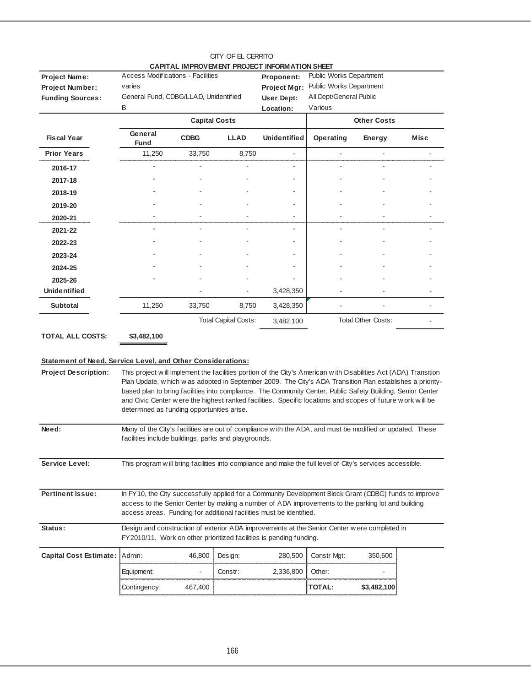|                                                                                            |                                                                                                                                                                                                                                                                                                                                                                                                                                                                                                            |                      | CITY OF EL CERRITO          | CAPITAL IMPROVEMENT PROJECT INFORMATION SHEET         |                                                                                          |                           |      |
|--------------------------------------------------------------------------------------------|------------------------------------------------------------------------------------------------------------------------------------------------------------------------------------------------------------------------------------------------------------------------------------------------------------------------------------------------------------------------------------------------------------------------------------------------------------------------------------------------------------|----------------------|-----------------------------|-------------------------------------------------------|------------------------------------------------------------------------------------------|---------------------------|------|
| <b>Project Name:</b><br><b>Project Number:</b><br><b>Funding Sources:</b>                  | <b>Access Modifications - Facilities</b><br>varies<br>General Fund, CDBG/LLAD, Unidentified<br>В                                                                                                                                                                                                                                                                                                                                                                                                           |                      |                             | Proponent:<br>Project Mgr:<br>User Dept:<br>Location: | Public Works Department<br>Public Works Department<br>All Dept/General Public<br>Various |                           |      |
|                                                                                            |                                                                                                                                                                                                                                                                                                                                                                                                                                                                                                            | <b>Capital Costs</b> |                             |                                                       |                                                                                          | <b>Other Costs</b>        |      |
| <b>Fiscal Year</b>                                                                         | General<br>Fund                                                                                                                                                                                                                                                                                                                                                                                                                                                                                            | <b>CDBG</b>          | <b>LLAD</b>                 | <b>Unidentified</b>                                   | Operating                                                                                | Energy                    | Misc |
| <b>Prior Years</b>                                                                         | 11,250                                                                                                                                                                                                                                                                                                                                                                                                                                                                                                     | 33,750               | 8,750                       |                                                       |                                                                                          |                           |      |
| 2016-17                                                                                    |                                                                                                                                                                                                                                                                                                                                                                                                                                                                                                            |                      |                             |                                                       |                                                                                          |                           |      |
| 2017-18                                                                                    |                                                                                                                                                                                                                                                                                                                                                                                                                                                                                                            |                      |                             |                                                       |                                                                                          |                           |      |
| 2018-19                                                                                    |                                                                                                                                                                                                                                                                                                                                                                                                                                                                                                            |                      |                             |                                                       |                                                                                          |                           |      |
| 2019-20                                                                                    |                                                                                                                                                                                                                                                                                                                                                                                                                                                                                                            |                      |                             |                                                       |                                                                                          |                           |      |
| 2020-21                                                                                    |                                                                                                                                                                                                                                                                                                                                                                                                                                                                                                            |                      |                             |                                                       |                                                                                          |                           |      |
| 2021-22                                                                                    |                                                                                                                                                                                                                                                                                                                                                                                                                                                                                                            |                      |                             |                                                       |                                                                                          |                           |      |
| 2022-23                                                                                    |                                                                                                                                                                                                                                                                                                                                                                                                                                                                                                            |                      |                             |                                                       |                                                                                          |                           |      |
| 2023-24                                                                                    |                                                                                                                                                                                                                                                                                                                                                                                                                                                                                                            |                      |                             |                                                       |                                                                                          |                           |      |
| 2024-25                                                                                    |                                                                                                                                                                                                                                                                                                                                                                                                                                                                                                            |                      |                             |                                                       |                                                                                          |                           |      |
| 2025-26                                                                                    |                                                                                                                                                                                                                                                                                                                                                                                                                                                                                                            |                      |                             |                                                       |                                                                                          |                           |      |
| <b>Unidentified</b>                                                                        |                                                                                                                                                                                                                                                                                                                                                                                                                                                                                                            |                      |                             | 3,428,350                                             |                                                                                          |                           |      |
| <b>Subtotal</b>                                                                            | 11,250                                                                                                                                                                                                                                                                                                                                                                                                                                                                                                     | 33,750               | 8,750                       | 3,428,350                                             |                                                                                          |                           |      |
|                                                                                            |                                                                                                                                                                                                                                                                                                                                                                                                                                                                                                            |                      | <b>Total Capital Costs:</b> | 3,482,100                                             |                                                                                          | <b>Total Other Costs:</b> |      |
| <b>TOTAL ALL COSTS:</b>                                                                    | \$3,482,100                                                                                                                                                                                                                                                                                                                                                                                                                                                                                                |                      |                             |                                                       |                                                                                          |                           |      |
| Statement of Need, Service Level, and Other Considerations:<br><b>Project Description:</b> | This project will implement the facilities portion of the City's American with Disabilities Act (ADA) Transition<br>Plan Update, w hich w as adopted in September 2009. The City's ADA Transition Plan establishes a priority-<br>based plan to bring facilities into compliance. The Community Center, Public Safety Building, Senior Center<br>and Civic Center w ere the highest ranked facilities. Specific locations and scopes of future w ork will be<br>determined as funding opportunities arise. |                      |                             |                                                       |                                                                                          |                           |      |
| Need:                                                                                      | Many of the City's facilities are out of compliance with the ADA, and must be modified or updated. These<br>facilities include buildings, parks and playgrounds.                                                                                                                                                                                                                                                                                                                                           |                      |                             |                                                       |                                                                                          |                           |      |
| Service Level:                                                                             | This program will bring facilities into compliance and make the full level of City's services accessible.                                                                                                                                                                                                                                                                                                                                                                                                  |                      |                             |                                                       |                                                                                          |                           |      |
| <b>Pertinent Issue:</b>                                                                    | In FY10, the City successfully applied for a Community Development Block Grant (CDBG) funds to improve<br>access to the Senior Center by making a number of ADA improvements to the parking lot and building<br>access areas. Funding for additional facilities must be identified.                                                                                                                                                                                                                        |                      |                             |                                                       |                                                                                          |                           |      |
| Status:                                                                                    | Design and construction of exterior ADA improvements at the Senior Center w ere completed in<br>FY2010/11. Work on other prioritized facilities is pending funding.                                                                                                                                                                                                                                                                                                                                        |                      |                             |                                                       |                                                                                          |                           |      |
| <b>Capital Cost Estimate:</b>                                                              | Admin:                                                                                                                                                                                                                                                                                                                                                                                                                                                                                                     | 46,800               | Design:                     | 280,500                                               | Constr Mgt:                                                                              | 350,600                   |      |
|                                                                                            | Equipment:                                                                                                                                                                                                                                                                                                                                                                                                                                                                                                 |                      | Constr:                     | 2,336,800                                             | Other:                                                                                   |                           |      |
|                                                                                            | Contingency:                                                                                                                                                                                                                                                                                                                                                                                                                                                                                               | 467,400              |                             |                                                       | <b>TOTAL:</b>                                                                            | \$3,482,100               |      |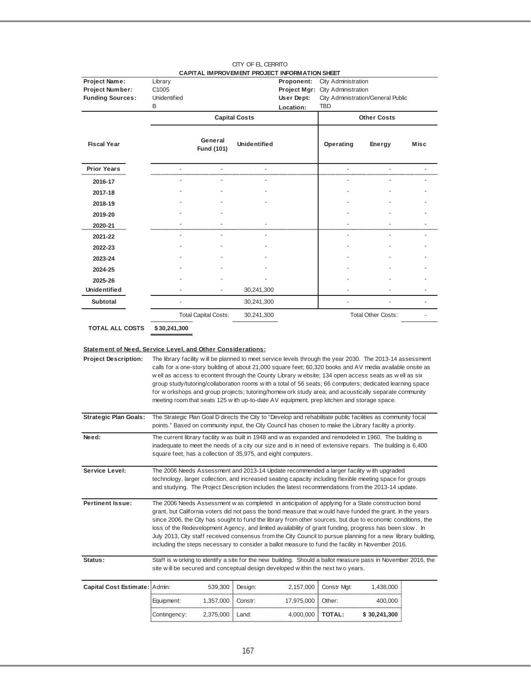|                                                             |                     |                             | CAPITAL IMPROVEMENT PROJECT INFORMATION SHEET                                                                                                                                                                                                                                                                                                                                                                                                                                                                                                                                                                                                    |            |                                  |                                    |      |
|-------------------------------------------------------------|---------------------|-----------------------------|--------------------------------------------------------------------------------------------------------------------------------------------------------------------------------------------------------------------------------------------------------------------------------------------------------------------------------------------------------------------------------------------------------------------------------------------------------------------------------------------------------------------------------------------------------------------------------------------------------------------------------------------------|------------|----------------------------------|------------------------------------|------|
| Project Name:                                               | Library<br>C1005    |                             |                                                                                                                                                                                                                                                                                                                                                                                                                                                                                                                                                                                                                                                  | Proponent: | <b>City Administration</b>       |                                    |      |
| Project Number:<br><b>Funding Sources:</b>                  | <b>Unidentified</b> |                             |                                                                                                                                                                                                                                                                                                                                                                                                                                                                                                                                                                                                                                                  | User Dept: | Project Mgr: City Administration | City Administration/General Public |      |
|                                                             | B                   |                             |                                                                                                                                                                                                                                                                                                                                                                                                                                                                                                                                                                                                                                                  | Location:  | <b>TBD</b>                       |                                    |      |
|                                                             |                     |                             | <b>Capital Costs</b>                                                                                                                                                                                                                                                                                                                                                                                                                                                                                                                                                                                                                             |            |                                  | <b>Other Costs</b>                 |      |
| <b>Fiscal Year</b>                                          |                     | General<br>Fund (101)       | <b>Unidentified</b>                                                                                                                                                                                                                                                                                                                                                                                                                                                                                                                                                                                                                              |            | Operating                        | Energy                             | Misc |
| <b>Prior Years</b>                                          |                     |                             |                                                                                                                                                                                                                                                                                                                                                                                                                                                                                                                                                                                                                                                  |            |                                  |                                    |      |
| 2016-17                                                     |                     |                             |                                                                                                                                                                                                                                                                                                                                                                                                                                                                                                                                                                                                                                                  |            |                                  |                                    |      |
| 2017-18                                                     |                     |                             |                                                                                                                                                                                                                                                                                                                                                                                                                                                                                                                                                                                                                                                  |            |                                  |                                    |      |
| 2018-19                                                     |                     |                             |                                                                                                                                                                                                                                                                                                                                                                                                                                                                                                                                                                                                                                                  |            |                                  |                                    |      |
| 2019-20                                                     |                     |                             |                                                                                                                                                                                                                                                                                                                                                                                                                                                                                                                                                                                                                                                  |            |                                  |                                    |      |
| 2020-21                                                     |                     |                             |                                                                                                                                                                                                                                                                                                                                                                                                                                                                                                                                                                                                                                                  |            |                                  |                                    |      |
| 2021-22                                                     |                     |                             |                                                                                                                                                                                                                                                                                                                                                                                                                                                                                                                                                                                                                                                  |            |                                  |                                    |      |
| 2022-23                                                     |                     |                             |                                                                                                                                                                                                                                                                                                                                                                                                                                                                                                                                                                                                                                                  |            |                                  |                                    |      |
| 2023-24                                                     |                     |                             |                                                                                                                                                                                                                                                                                                                                                                                                                                                                                                                                                                                                                                                  |            |                                  |                                    |      |
| 2024-25                                                     |                     |                             |                                                                                                                                                                                                                                                                                                                                                                                                                                                                                                                                                                                                                                                  |            |                                  |                                    |      |
| 2025-26                                                     |                     |                             |                                                                                                                                                                                                                                                                                                                                                                                                                                                                                                                                                                                                                                                  |            |                                  |                                    |      |
| Unidentified                                                |                     |                             | 30,241,300                                                                                                                                                                                                                                                                                                                                                                                                                                                                                                                                                                                                                                       |            |                                  |                                    |      |
| <b>Subtotal</b>                                             |                     |                             | 30,241,300                                                                                                                                                                                                                                                                                                                                                                                                                                                                                                                                                                                                                                       |            |                                  |                                    |      |
|                                                             |                     | <b>Total Capital Costs:</b> | 30,241,300                                                                                                                                                                                                                                                                                                                                                                                                                                                                                                                                                                                                                                       |            |                                  | <b>Total Other Costs:</b>          |      |
| <b>TOTAL ALL COSTS</b>                                      | \$30,241,300        |                             |                                                                                                                                                                                                                                                                                                                                                                                                                                                                                                                                                                                                                                                  |            |                                  |                                    |      |
|                                                             |                     |                             |                                                                                                                                                                                                                                                                                                                                                                                                                                                                                                                                                                                                                                                  |            |                                  |                                    |      |
| Statement of Need, Service Level, and Other Considerations: |                     |                             |                                                                                                                                                                                                                                                                                                                                                                                                                                                                                                                                                                                                                                                  |            |                                  |                                    |      |
| <b>Project Description:</b>                                 |                     |                             | The library facility will be planned to meet service levels through the year 2030. The 2013-14 assessment<br>calls for a one-story building of about 21,000 square feet; 60,320 books and AV media available onsite as<br>well as access to econtent through the County Library website; 134 open access seats as well as six<br>group study/tutoring/collaboration rooms with a total of 56 seats; 66 computers; dedicated learning space<br>for w orkshops and group projects; tutoring/homew ork study area; and acoustically separate community<br>meeting room that seats 125 with up-to-date AV equipment, prep kitchen and storage space. |            |                                  |                                    |      |
| <b>Strategic Plan Goals:</b>                                |                     |                             | The Strategic Plan Goal D directs the City to "Develop and rehabilitate public facilities as community focal<br>points." Based on community input, the City Council has chosen to make the Library facility a priority.                                                                                                                                                                                                                                                                                                                                                                                                                          |            |                                  |                                    |      |
| Need:                                                       |                     |                             | The current library facility w as built in 1948 and w as expanded and remodeled in 1960. The building is<br>inadequate to meet the needs of a city our size and is in need of extensive repairs. The building is 6,400                                                                                                                                                                                                                                                                                                                                                                                                                           |            |                                  |                                    |      |

**Service Level: Pertinent Issue: Status: Capital Cost Estimate:** Admin: 539,300 Design: 2,157,000 Constr Mgt: 1,438,000 Equipment: 1,357,000 Constr: 17,975,000 Other: 400,000 The 2006 Needs Assessment w as completed in anticipation of applying for a State construction bond grant, but California voters did not pass the bond measure that w ould have funded the grant. In the years since 2006, the City has sought to fund the library from other sources, but due to economic conditions, the loss of the Redevelopment Agency, and limited availability of grant funding, progress has been slow . In July 2013, City staff received consensus from the City Council to pursue planning for a new library building, including the steps necessary to consider a ballot measure to fund the facility in November 2016. Staff is w orking to identify a site for the new building. Should a ballot measure pass in November 2016, the site w ill be secured and conceptual design developed w ithin the next tw o years. The 2006 Needs Assessment and 2013-14 Update recommended a larger facility w ith upgraded technology, larger collection, and increased seating capacity including flexible meeting space for groups and studying. The Project Description includes the latest recommendations from the 2013-14 update.

square feet, has a collection of 35,975, and eight computers.

Contingency: 2,375,000 Land: 4,000,000 **TOTAL: 30,241,300 \$**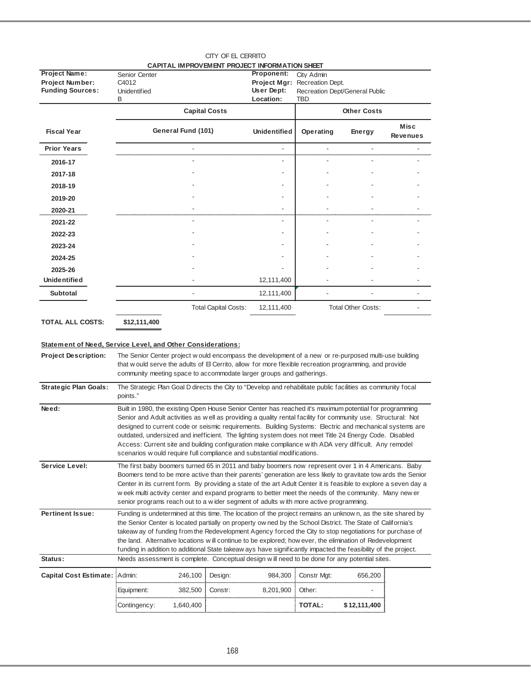|                         |                                               | CITY OF EL CERRITO           |                               |                                |                                |
|-------------------------|-----------------------------------------------|------------------------------|-------------------------------|--------------------------------|--------------------------------|
|                         | CAPITAL IMPROVEMENT PROJECT INFORMATION SHEET |                              |                               |                                |                                |
| <b>Project Name:</b>    | Senior Center                                 | Proponent:                   | City Admin                    |                                |                                |
| Project Number:         | C4012                                         |                              | Project Mgr: Recreation Dept. |                                |                                |
| <b>Funding Sources:</b> | <b>Unidentified</b>                           | User Dept:                   |                               | Recreation Dept/General Public |                                |
|                         | B                                             | Location:                    | <b>TBD</b>                    |                                |                                |
|                         | <b>Capital Costs</b>                          |                              |                               | <b>Other Costs</b>             |                                |
| <b>Fiscal Year</b>      | General Fund (101)                            | <b>Unidentified</b>          | Operating                     | Energy                         | <b>Misc</b><br><b>Revenues</b> |
| <b>Prior Years</b>      |                                               | ٠                            |                               |                                |                                |
| 2016-17                 |                                               | $\qquad \qquad \blacksquare$ |                               |                                |                                |
| 2017-18                 |                                               |                              |                               |                                |                                |
| 2018-19                 |                                               |                              |                               |                                |                                |
| 2019-20                 |                                               | ٠                            |                               |                                |                                |
| 2020-21                 |                                               |                              |                               |                                |                                |
| 2021-22                 |                                               |                              |                               |                                |                                |
| 2022-23                 |                                               |                              |                               |                                |                                |
| 2023-24                 |                                               | ٠                            |                               |                                |                                |
| 2024-25                 |                                               |                              |                               |                                |                                |
| 2025-26                 |                                               |                              |                               |                                |                                |
| <b>Unidentified</b>     |                                               | 12,111,400                   |                               |                                |                                |
| <b>Subtotal</b>         |                                               | 12,111,400                   |                               |                                |                                |
|                         | <b>Total Capital Costs:</b>                   | 12,111,400                   |                               | <b>Total Other Costs:</b>      |                                |
| <b>ATAL ALL AAATI</b>   |                                               |                              |                               |                                |                                |

**TOTAL ALL COSTS:**

**\$12,111,400**

## **Statement of Need, Service Level, and Other Considerations:**

| <b>Project Description:</b>   |              |           |         | The Senior Center project w ould encompass the development of a new or re-purposed multi-use building<br>that w ould serve the adults of El Cerrito, allow for more flexible recreation programming, and provide<br>community meeting space to accommodate larger groups and gatherings.                                                                                                                                                                                                                                                                                                                                         |               |              |  |
|-------------------------------|--------------|-----------|---------|----------------------------------------------------------------------------------------------------------------------------------------------------------------------------------------------------------------------------------------------------------------------------------------------------------------------------------------------------------------------------------------------------------------------------------------------------------------------------------------------------------------------------------------------------------------------------------------------------------------------------------|---------------|--------------|--|
| <b>Strategic Plan Goals:</b>  | points."     |           |         | The Strategic Plan Goal D directs the City to "Develop and rehabilitate public facilities as community focal                                                                                                                                                                                                                                                                                                                                                                                                                                                                                                                     |               |              |  |
| Need:                         |              |           |         | Built in 1980, the existing Open House Senior Center has reached it's maximum potential for programming<br>Senior and Adult activities as well as providing a quality rental facility for community use. Structural: Not<br>designed to current code or seismic requirements. Building Systems: Electric and mechanical systems are<br>outdated, undersized and inefficient. The lighting system does not meet Title 24 Energy Code. Disabled<br>Access: Current site and building configuration make compliance with ADA very difficult. Any remodel<br>scenarios w ould require full compliance and substantial modifications. |               |              |  |
| Service Level:                |              |           |         | The first baby boomers turned 65 in 2011 and baby boomers now represent over 1 in 4 Americans. Baby<br>Boomers tend to be more active than their parents' generation are less likely to gravitate tow ards the Senior<br>Center in its current form. By providing a state of the art Adult Center it is feasible to explore a seven day a<br>w eek multi activity center and expand programs to better meet the needs of the community. Many new er<br>senior programs reach out to a wider segment of adults with more active programming.                                                                                      |               |              |  |
| <b>Pertinent Issue:</b>       |              |           |         | Funding is undetermined at this time. The location of the project remains an unknown, as the site shared by<br>the Senior Center is located partially on property ow ned by the School District. The State of California's<br>takeaw ay of funding from the Redevelopment Agency forced the City to stop negotiations for purchase of<br>the land. Alternative locations will continue to be explored; how ever, the elimination of Redevelopment<br>funding in addition to additional State takeaw ays have significantly impacted the feasibility of the project.                                                              |               |              |  |
| Status:                       |              |           |         | Needs assessment is complete. Conceptual design will need to be done for any potential sites.                                                                                                                                                                                                                                                                                                                                                                                                                                                                                                                                    |               |              |  |
| <b>Capital Cost Estimate:</b> | Admin:       | 246,100   | Design: | 984,300                                                                                                                                                                                                                                                                                                                                                                                                                                                                                                                                                                                                                          | Constr Mgt:   | 656.200      |  |
|                               | Equipment:   | 382,500   | Constr: | 8,201,900                                                                                                                                                                                                                                                                                                                                                                                                                                                                                                                                                                                                                        | Other:        |              |  |
|                               | Contingency: | 1,640,400 |         |                                                                                                                                                                                                                                                                                                                                                                                                                                                                                                                                                                                                                                  | <b>TOTAL:</b> | \$12,111,400 |  |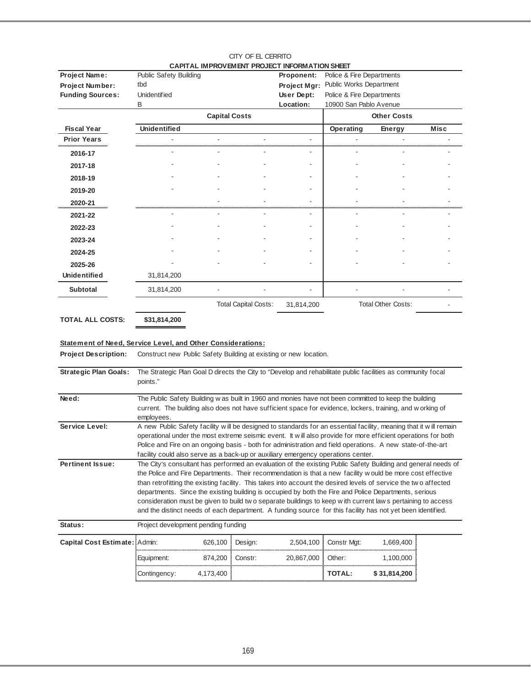|                         |                        |                             | CAPITAL IMPROVEMENT PROJECT INFORMATION SHEET |                           |                           |             |
|-------------------------|------------------------|-----------------------------|-----------------------------------------------|---------------------------|---------------------------|-------------|
| Project Name:           | Public Safety Building |                             | Proponent:                                    | Police & Fire Departments |                           |             |
| <b>Project Number:</b>  | tbd                    |                             | Project Mgr:                                  | Public Works Department   |                           |             |
| <b>Funding Sources:</b> | <b>Unidentified</b>    |                             | User Dept:                                    | Police & Fire Departments |                           |             |
|                         | B                      |                             | Location:                                     | 10900 San Pablo Avenue    |                           |             |
|                         |                        | <b>Capital Costs</b>        |                                               |                           | <b>Other Costs</b>        |             |
| <b>Fiscal Year</b>      | <b>Unidentified</b>    |                             |                                               | Operating                 | <b>Energy</b>             | <b>Misc</b> |
| <b>Prior Years</b>      |                        |                             |                                               |                           |                           |             |
| 2016-17                 |                        |                             |                                               |                           |                           |             |
| 2017-18                 |                        |                             |                                               |                           |                           |             |
| 2018-19                 |                        |                             |                                               |                           |                           |             |
| 2019-20                 |                        |                             |                                               |                           |                           |             |
| 2020-21                 |                        |                             |                                               |                           |                           |             |
| 2021-22                 |                        |                             |                                               |                           |                           |             |
| 2022-23                 |                        |                             |                                               |                           |                           |             |
| 2023-24                 |                        |                             |                                               |                           |                           |             |
| 2024-25                 |                        |                             |                                               |                           |                           |             |
| 2025-26                 |                        |                             |                                               |                           |                           |             |
| <b>Unidentified</b>     | 31,814,200             |                             |                                               |                           |                           |             |
| <b>Subtotal</b>         | 31,814,200             |                             |                                               |                           |                           |             |
|                         |                        | <b>Total Capital Costs:</b> | 31,814,200                                    |                           | <b>Total Other Costs:</b> |             |

#### CITY OF EL CERRITO<br>EMENT PRO JECT INFORMATION SHE **CAPITAL IMPROVEMENT PROJECT INFORMATION SHEET**

**TOTAL ALL COSTS:**

**\$31,814,200**

## **Statement of Need, Service Level, and Other Considerations:**

Project Description: Construct new Public Safety Building at existing or new location.

| <b>Strategic Plan Goals:</b>  | The Strategic Plan Goal D directs the City to "Develop and rehabilitate public facilities as community focal<br>points." |           |         |            |               |              |  |
|-------------------------------|--------------------------------------------------------------------------------------------------------------------------|-----------|---------|------------|---------------|--------------|--|
|                               |                                                                                                                          |           |         |            |               |              |  |
| Need:                         | The Public Safety Building w as built in 1960 and monies have not been committed to keep the building                    |           |         |            |               |              |  |
|                               | current. The building also does not have sufficient space for evidence, lockers, training, and w orking of<br>employees. |           |         |            |               |              |  |
| Service Level:                | A new Public Safety facility will be designed to standards for an essential facility, meaning that it will remain        |           |         |            |               |              |  |
|                               | operational under the most extreme seismic event. It will also provide for more efficient operations for both            |           |         |            |               |              |  |
|                               | Police and Fire on an ongoing basis - both for administration and field operations. A new state-of-the-art               |           |         |            |               |              |  |
|                               | facility could also serve as a back-up or auxiliary emergency operations center.                                         |           |         |            |               |              |  |
| <b>Pertinent Issue:</b>       | The City's consultant has performed an evaluation of the existing Public Safety Building and general needs of            |           |         |            |               |              |  |
|                               | the Police and Fire Departments. Their recommendation is that a new facility would be more cost effective                |           |         |            |               |              |  |
|                               | than retrofitting the existing facility. This takes into account the desired levels of service the two affected          |           |         |            |               |              |  |
|                               | departments. Since the existing building is occupied by both the Fire and Police Departments, serious                    |           |         |            |               |              |  |
|                               | consideration must be given to build two separate buildings to keep with current laws pertaining to access               |           |         |            |               |              |  |
|                               | and the distinct needs of each department. A funding source for this facility has not yet been identified.               |           |         |            |               |              |  |
| Status:                       | Project development pending funding                                                                                      |           |         |            |               |              |  |
| Capital Cost Estimate: Admin: |                                                                                                                          | 626,100   | Design: | 2,504,100  | Constr Mgt:   | 1,669,400    |  |
|                               | Equipment:                                                                                                               | 874,200   | Constr: | 20,867,000 | Other:        | 1,100,000    |  |
|                               | Contingency:                                                                                                             | 4,173,400 |         |            | <b>TOTAL:</b> | \$31,814,200 |  |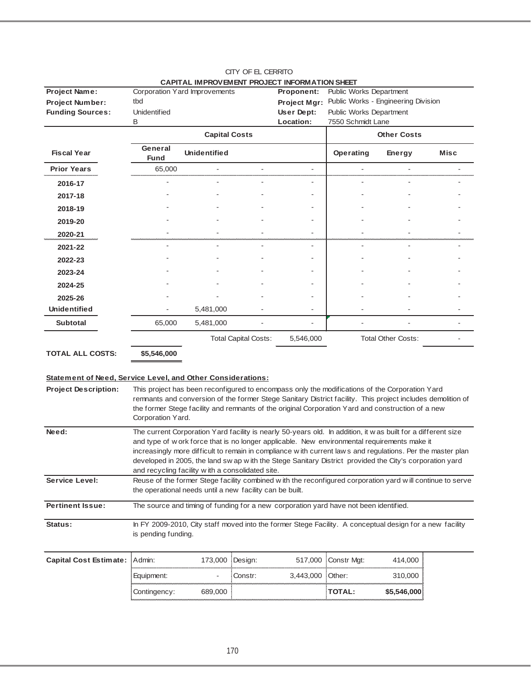|                                                             |                        |                                                          |                             | CAPITAL IMPROVEMENT PROJECT INFORMATION SHEET                                                                |                                     |                           |                          |
|-------------------------------------------------------------|------------------------|----------------------------------------------------------|-----------------------------|--------------------------------------------------------------------------------------------------------------|-------------------------------------|---------------------------|--------------------------|
| <b>Project Name:</b>                                        |                        | Corporation Yard Improvements                            |                             | <b>Proponent:</b>                                                                                            | Public Works Department             |                           |                          |
| <b>Project Number:</b>                                      | tbd                    |                                                          |                             | <b>Project Mgr:</b>                                                                                          | Public Works - Engineering Division |                           |                          |
| <b>Funding Sources:</b>                                     | <b>Unidentified</b>    |                                                          |                             | User Dept:                                                                                                   | Public Works Department             |                           |                          |
|                                                             | В                      |                                                          |                             | Location:                                                                                                    | 7550 Schmidt Lane                   |                           |                          |
|                                                             |                        | <b>Capital Costs</b>                                     |                             |                                                                                                              |                                     | <b>Other Costs</b>        |                          |
| <b>Fiscal Year</b>                                          | General<br><b>Fund</b> | <b>Unidentified</b>                                      |                             |                                                                                                              | Operating                           | Energy                    | Misc                     |
| <b>Prior Years</b>                                          | 65,000                 |                                                          |                             | ÷.                                                                                                           |                                     |                           |                          |
| 2016-17                                                     |                        |                                                          |                             |                                                                                                              |                                     |                           |                          |
| 2017-18                                                     |                        |                                                          |                             |                                                                                                              |                                     |                           |                          |
| 2018-19                                                     |                        |                                                          |                             |                                                                                                              |                                     |                           |                          |
| 2019-20                                                     |                        |                                                          |                             |                                                                                                              |                                     |                           |                          |
| 2020-21                                                     |                        |                                                          |                             |                                                                                                              |                                     |                           |                          |
| 2021-22                                                     |                        |                                                          |                             |                                                                                                              |                                     |                           |                          |
| 2022-23                                                     |                        |                                                          |                             |                                                                                                              |                                     |                           |                          |
| 2023-24                                                     |                        |                                                          |                             |                                                                                                              |                                     |                           |                          |
| 2024-25                                                     |                        |                                                          |                             |                                                                                                              |                                     |                           |                          |
| 2025-26                                                     |                        |                                                          |                             |                                                                                                              |                                     |                           |                          |
| <b>Unidentified</b>                                         |                        | 5,481,000                                                |                             |                                                                                                              |                                     |                           |                          |
| <b>Subtotal</b>                                             | 65,000                 | 5,481,000                                                |                             |                                                                                                              |                                     |                           | $\overline{\phantom{0}}$ |
|                                                             |                        |                                                          | <b>Total Capital Costs:</b> | 5,546,000                                                                                                    |                                     | <b>Total Other Costs:</b> |                          |
| <b>TOTAL ALL COSTS:</b>                                     | \$5,546,000            |                                                          |                             |                                                                                                              |                                     |                           |                          |
|                                                             |                        |                                                          |                             |                                                                                                              |                                     |                           |                          |
| Statement of Need, Service Level, and Other Considerations: |                        |                                                          |                             |                                                                                                              |                                     |                           |                          |
| <b>Project Description:</b>                                 |                        |                                                          |                             | This project has been reconfigured to encompass only the modifications of the Corporation Yard               |                                     |                           |                          |
|                                                             |                        |                                                          |                             | remnants and conversion of the former Stege Sanitary District facility. This project includes demolition of  |                                     |                           |                          |
|                                                             |                        |                                                          |                             | the former Stege facility and remnants of the original Corporation Yard and construction of a new            |                                     |                           |                          |
|                                                             | Corporation Yard.      |                                                          |                             |                                                                                                              |                                     |                           |                          |
| Need:                                                       |                        |                                                          |                             | The current Corporation Yard facility is nearly 50-years old. In addition, it was built for a different size |                                     |                           |                          |
|                                                             |                        |                                                          |                             | and type of w ork force that is no longer applicable. New environmental requirements make it                 |                                     |                           |                          |
|                                                             |                        |                                                          |                             | increasingly more difficult to remain in compliance with current laws and regulations. Per the master plan   |                                     |                           |                          |
|                                                             |                        | and recycling facility with a consolidated site.         |                             | developed in 2005, the land sw ap w ith the Stege Sanitary District provided the City's corporation yard     |                                     |                           |                          |
| Service Level:                                              |                        |                                                          |                             | Reuse of the former Stege facility combined with the reconfigured corporation yard will continue to serve    |                                     |                           |                          |
|                                                             |                        | the operational needs until a new facility can be built. |                             |                                                                                                              |                                     |                           |                          |
| <b>Pertinent Issue:</b>                                     |                        |                                                          |                             | The source and timing of funding for a new corporation yard have not been identified.                        |                                     |                           |                          |
|                                                             |                        |                                                          |                             |                                                                                                              |                                     |                           |                          |
| Status:                                                     |                        |                                                          |                             | In FY 2009-2010, City staff moved into the former Stege Facility. A conceptual design for a new facility     |                                     |                           |                          |
|                                                             | is pending funding.    |                                                          |                             |                                                                                                              |                                     |                           |                          |
|                                                             |                        |                                                          |                             |                                                                                                              |                                     |                           |                          |
| <b>Capital Cost Estimate:</b>                               | Admin:                 | 173,000                                                  | Design:                     | 517,000                                                                                                      | Constr Mgt:                         | 414,000                   |                          |
|                                                             | Equipment:             |                                                          | Constr:                     | 3,443,000                                                                                                    | Other:                              | 310,000                   |                          |
|                                                             | Contingency:           | 689,000                                                  |                             |                                                                                                              | <b>TOTAL:</b>                       | \$5,546,000               |                          |

### CITY OF EL CERRITO **CAPITAL IMPROVEMENT PROJECT INFORMATION SHEET**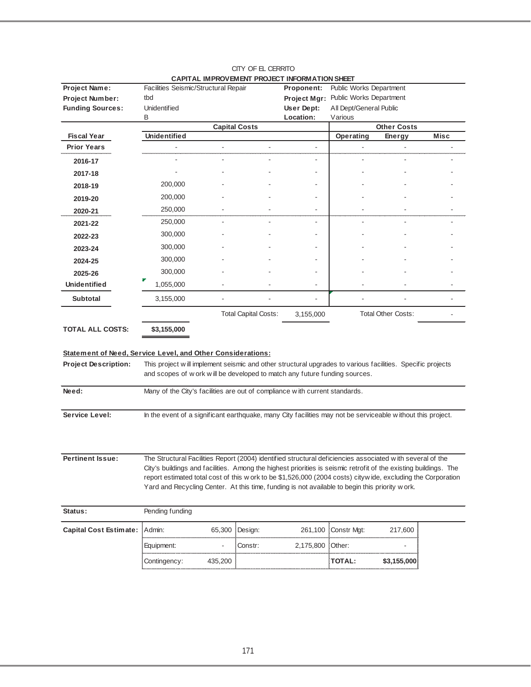| tbd<br>Public Works Department<br><b>Project Number:</b><br>Project Mgr:<br><b>Funding Sources:</b><br><b>Unidentified</b><br>User Dept:<br>All Dept/General Public<br>Location:<br>B<br>Various<br><b>Other Costs</b><br><b>Capital Costs</b><br><b>Unidentified</b><br><b>Misc</b><br><b>Fiscal Year</b><br>Operating<br><b>Energy</b><br><b>Prior Years</b><br>2016-17<br>2017-18<br>200,000<br>2018-19<br>200,000<br>2019-20<br>250,000<br>2020-21<br>250,000<br>2021-22<br>300,000<br>2022-23<br>300,000<br>2023-24<br>300,000<br>2024-25<br>300,000<br>2025-26<br><b>Unidentified</b><br>1,055,000<br><b>Subtotal</b><br>3,155,000<br><b>Total Other Costs:</b><br><b>Total Capital Costs:</b><br>3,155,000<br><b>TOTAL ALL COSTS:</b><br>\$3,155,000<br>Statement of Need, Service Level, and Other Considerations:<br>This project will implement seismic and other structural upgrades to various facilities. Specific projects<br><b>Project Description:</b><br>and scopes of w ork w ill be developed to match any future funding sources.<br>Need:<br>Many of the City's facilities are out of compliance with current standards.<br>In the event of a significant earthquake, many City facilities may not be serviceable without this project.<br><b>Pertinent Issue:</b><br>The Structural Facilities Report (2004) identified structural deficiencies associated with several of the<br>City's buildings and facilities. Among the highest priorities is seismic retrofit of the existing buildings. The<br>report estimated total cost of this w ork to be \$1,526,000 (2004 costs) cityw ide, excluding the Corporation<br>Yard and Recycling Center. At this time, funding is not available to begin this priority w ork.<br>Pending funding<br>Status:<br>Admin:<br>65,300<br>Constr Mgt:<br>Design:<br>261,100<br>217,600<br>Other:<br>Equipment:<br>Constr:<br>2,175,800<br>$\overline{\phantom{a}}$<br><b>TOTAL:</b><br>\$3,155,000<br>Contingency:<br>435,200 | Project Name:                 | Facilities Seismic/Structural Repair |  | <u>CALITAE INITING CHIERLI NOCCOT INI CINILATION OHCER</u><br>Proponent: | Public Works Department |  |
|----------------------------------------------------------------------------------------------------------------------------------------------------------------------------------------------------------------------------------------------------------------------------------------------------------------------------------------------------------------------------------------------------------------------------------------------------------------------------------------------------------------------------------------------------------------------------------------------------------------------------------------------------------------------------------------------------------------------------------------------------------------------------------------------------------------------------------------------------------------------------------------------------------------------------------------------------------------------------------------------------------------------------------------------------------------------------------------------------------------------------------------------------------------------------------------------------------------------------------------------------------------------------------------------------------------------------------------------------------------------------------------------------------------------------------------------------------------------------------------------------------------------------------------------------------------------------------------------------------------------------------------------------------------------------------------------------------------------------------------------------------------------------------------------------------------------------------------------------------------------------------------------------------------------------------------------------------------------------------------|-------------------------------|--------------------------------------|--|--------------------------------------------------------------------------|-------------------------|--|
|                                                                                                                                                                                                                                                                                                                                                                                                                                                                                                                                                                                                                                                                                                                                                                                                                                                                                                                                                                                                                                                                                                                                                                                                                                                                                                                                                                                                                                                                                                                                                                                                                                                                                                                                                                                                                                                                                                                                                                                        |                               |                                      |  |                                                                          |                         |  |
|                                                                                                                                                                                                                                                                                                                                                                                                                                                                                                                                                                                                                                                                                                                                                                                                                                                                                                                                                                                                                                                                                                                                                                                                                                                                                                                                                                                                                                                                                                                                                                                                                                                                                                                                                                                                                                                                                                                                                                                        |                               |                                      |  |                                                                          |                         |  |
|                                                                                                                                                                                                                                                                                                                                                                                                                                                                                                                                                                                                                                                                                                                                                                                                                                                                                                                                                                                                                                                                                                                                                                                                                                                                                                                                                                                                                                                                                                                                                                                                                                                                                                                                                                                                                                                                                                                                                                                        |                               |                                      |  |                                                                          |                         |  |
|                                                                                                                                                                                                                                                                                                                                                                                                                                                                                                                                                                                                                                                                                                                                                                                                                                                                                                                                                                                                                                                                                                                                                                                                                                                                                                                                                                                                                                                                                                                                                                                                                                                                                                                                                                                                                                                                                                                                                                                        |                               |                                      |  |                                                                          |                         |  |
|                                                                                                                                                                                                                                                                                                                                                                                                                                                                                                                                                                                                                                                                                                                                                                                                                                                                                                                                                                                                                                                                                                                                                                                                                                                                                                                                                                                                                                                                                                                                                                                                                                                                                                                                                                                                                                                                                                                                                                                        |                               |                                      |  |                                                                          |                         |  |
|                                                                                                                                                                                                                                                                                                                                                                                                                                                                                                                                                                                                                                                                                                                                                                                                                                                                                                                                                                                                                                                                                                                                                                                                                                                                                                                                                                                                                                                                                                                                                                                                                                                                                                                                                                                                                                                                                                                                                                                        |                               |                                      |  |                                                                          |                         |  |
|                                                                                                                                                                                                                                                                                                                                                                                                                                                                                                                                                                                                                                                                                                                                                                                                                                                                                                                                                                                                                                                                                                                                                                                                                                                                                                                                                                                                                                                                                                                                                                                                                                                                                                                                                                                                                                                                                                                                                                                        |                               |                                      |  |                                                                          |                         |  |
|                                                                                                                                                                                                                                                                                                                                                                                                                                                                                                                                                                                                                                                                                                                                                                                                                                                                                                                                                                                                                                                                                                                                                                                                                                                                                                                                                                                                                                                                                                                                                                                                                                                                                                                                                                                                                                                                                                                                                                                        |                               |                                      |  |                                                                          |                         |  |
|                                                                                                                                                                                                                                                                                                                                                                                                                                                                                                                                                                                                                                                                                                                                                                                                                                                                                                                                                                                                                                                                                                                                                                                                                                                                                                                                                                                                                                                                                                                                                                                                                                                                                                                                                                                                                                                                                                                                                                                        |                               |                                      |  |                                                                          |                         |  |
|                                                                                                                                                                                                                                                                                                                                                                                                                                                                                                                                                                                                                                                                                                                                                                                                                                                                                                                                                                                                                                                                                                                                                                                                                                                                                                                                                                                                                                                                                                                                                                                                                                                                                                                                                                                                                                                                                                                                                                                        |                               |                                      |  |                                                                          |                         |  |
|                                                                                                                                                                                                                                                                                                                                                                                                                                                                                                                                                                                                                                                                                                                                                                                                                                                                                                                                                                                                                                                                                                                                                                                                                                                                                                                                                                                                                                                                                                                                                                                                                                                                                                                                                                                                                                                                                                                                                                                        |                               |                                      |  |                                                                          |                         |  |
|                                                                                                                                                                                                                                                                                                                                                                                                                                                                                                                                                                                                                                                                                                                                                                                                                                                                                                                                                                                                                                                                                                                                                                                                                                                                                                                                                                                                                                                                                                                                                                                                                                                                                                                                                                                                                                                                                                                                                                                        |                               |                                      |  |                                                                          |                         |  |
|                                                                                                                                                                                                                                                                                                                                                                                                                                                                                                                                                                                                                                                                                                                                                                                                                                                                                                                                                                                                                                                                                                                                                                                                                                                                                                                                                                                                                                                                                                                                                                                                                                                                                                                                                                                                                                                                                                                                                                                        |                               |                                      |  |                                                                          |                         |  |
|                                                                                                                                                                                                                                                                                                                                                                                                                                                                                                                                                                                                                                                                                                                                                                                                                                                                                                                                                                                                                                                                                                                                                                                                                                                                                                                                                                                                                                                                                                                                                                                                                                                                                                                                                                                                                                                                                                                                                                                        |                               |                                      |  |                                                                          |                         |  |
|                                                                                                                                                                                                                                                                                                                                                                                                                                                                                                                                                                                                                                                                                                                                                                                                                                                                                                                                                                                                                                                                                                                                                                                                                                                                                                                                                                                                                                                                                                                                                                                                                                                                                                                                                                                                                                                                                                                                                                                        |                               |                                      |  |                                                                          |                         |  |
|                                                                                                                                                                                                                                                                                                                                                                                                                                                                                                                                                                                                                                                                                                                                                                                                                                                                                                                                                                                                                                                                                                                                                                                                                                                                                                                                                                                                                                                                                                                                                                                                                                                                                                                                                                                                                                                                                                                                                                                        |                               |                                      |  |                                                                          |                         |  |
|                                                                                                                                                                                                                                                                                                                                                                                                                                                                                                                                                                                                                                                                                                                                                                                                                                                                                                                                                                                                                                                                                                                                                                                                                                                                                                                                                                                                                                                                                                                                                                                                                                                                                                                                                                                                                                                                                                                                                                                        |                               |                                      |  |                                                                          |                         |  |
|                                                                                                                                                                                                                                                                                                                                                                                                                                                                                                                                                                                                                                                                                                                                                                                                                                                                                                                                                                                                                                                                                                                                                                                                                                                                                                                                                                                                                                                                                                                                                                                                                                                                                                                                                                                                                                                                                                                                                                                        |                               |                                      |  |                                                                          |                         |  |
|                                                                                                                                                                                                                                                                                                                                                                                                                                                                                                                                                                                                                                                                                                                                                                                                                                                                                                                                                                                                                                                                                                                                                                                                                                                                                                                                                                                                                                                                                                                                                                                                                                                                                                                                                                                                                                                                                                                                                                                        |                               |                                      |  |                                                                          |                         |  |
|                                                                                                                                                                                                                                                                                                                                                                                                                                                                                                                                                                                                                                                                                                                                                                                                                                                                                                                                                                                                                                                                                                                                                                                                                                                                                                                                                                                                                                                                                                                                                                                                                                                                                                                                                                                                                                                                                                                                                                                        |                               |                                      |  |                                                                          |                         |  |
|                                                                                                                                                                                                                                                                                                                                                                                                                                                                                                                                                                                                                                                                                                                                                                                                                                                                                                                                                                                                                                                                                                                                                                                                                                                                                                                                                                                                                                                                                                                                                                                                                                                                                                                                                                                                                                                                                                                                                                                        |                               |                                      |  |                                                                          |                         |  |
|                                                                                                                                                                                                                                                                                                                                                                                                                                                                                                                                                                                                                                                                                                                                                                                                                                                                                                                                                                                                                                                                                                                                                                                                                                                                                                                                                                                                                                                                                                                                                                                                                                                                                                                                                                                                                                                                                                                                                                                        |                               |                                      |  |                                                                          |                         |  |
|                                                                                                                                                                                                                                                                                                                                                                                                                                                                                                                                                                                                                                                                                                                                                                                                                                                                                                                                                                                                                                                                                                                                                                                                                                                                                                                                                                                                                                                                                                                                                                                                                                                                                                                                                                                                                                                                                                                                                                                        |                               |                                      |  |                                                                          |                         |  |
|                                                                                                                                                                                                                                                                                                                                                                                                                                                                                                                                                                                                                                                                                                                                                                                                                                                                                                                                                                                                                                                                                                                                                                                                                                                                                                                                                                                                                                                                                                                                                                                                                                                                                                                                                                                                                                                                                                                                                                                        |                               |                                      |  |                                                                          |                         |  |
|                                                                                                                                                                                                                                                                                                                                                                                                                                                                                                                                                                                                                                                                                                                                                                                                                                                                                                                                                                                                                                                                                                                                                                                                                                                                                                                                                                                                                                                                                                                                                                                                                                                                                                                                                                                                                                                                                                                                                                                        |                               |                                      |  |                                                                          |                         |  |
|                                                                                                                                                                                                                                                                                                                                                                                                                                                                                                                                                                                                                                                                                                                                                                                                                                                                                                                                                                                                                                                                                                                                                                                                                                                                                                                                                                                                                                                                                                                                                                                                                                                                                                                                                                                                                                                                                                                                                                                        | Service Level:                |                                      |  |                                                                          |                         |  |
|                                                                                                                                                                                                                                                                                                                                                                                                                                                                                                                                                                                                                                                                                                                                                                                                                                                                                                                                                                                                                                                                                                                                                                                                                                                                                                                                                                                                                                                                                                                                                                                                                                                                                                                                                                                                                                                                                                                                                                                        |                               |                                      |  |                                                                          |                         |  |
|                                                                                                                                                                                                                                                                                                                                                                                                                                                                                                                                                                                                                                                                                                                                                                                                                                                                                                                                                                                                                                                                                                                                                                                                                                                                                                                                                                                                                                                                                                                                                                                                                                                                                                                                                                                                                                                                                                                                                                                        |                               |                                      |  |                                                                          |                         |  |
|                                                                                                                                                                                                                                                                                                                                                                                                                                                                                                                                                                                                                                                                                                                                                                                                                                                                                                                                                                                                                                                                                                                                                                                                                                                                                                                                                                                                                                                                                                                                                                                                                                                                                                                                                                                                                                                                                                                                                                                        |                               |                                      |  |                                                                          |                         |  |
|                                                                                                                                                                                                                                                                                                                                                                                                                                                                                                                                                                                                                                                                                                                                                                                                                                                                                                                                                                                                                                                                                                                                                                                                                                                                                                                                                                                                                                                                                                                                                                                                                                                                                                                                                                                                                                                                                                                                                                                        |                               |                                      |  |                                                                          |                         |  |
|                                                                                                                                                                                                                                                                                                                                                                                                                                                                                                                                                                                                                                                                                                                                                                                                                                                                                                                                                                                                                                                                                                                                                                                                                                                                                                                                                                                                                                                                                                                                                                                                                                                                                                                                                                                                                                                                                                                                                                                        |                               |                                      |  |                                                                          |                         |  |
|                                                                                                                                                                                                                                                                                                                                                                                                                                                                                                                                                                                                                                                                                                                                                                                                                                                                                                                                                                                                                                                                                                                                                                                                                                                                                                                                                                                                                                                                                                                                                                                                                                                                                                                                                                                                                                                                                                                                                                                        |                               |                                      |  |                                                                          |                         |  |
|                                                                                                                                                                                                                                                                                                                                                                                                                                                                                                                                                                                                                                                                                                                                                                                                                                                                                                                                                                                                                                                                                                                                                                                                                                                                                                                                                                                                                                                                                                                                                                                                                                                                                                                                                                                                                                                                                                                                                                                        |                               |                                      |  |                                                                          |                         |  |
|                                                                                                                                                                                                                                                                                                                                                                                                                                                                                                                                                                                                                                                                                                                                                                                                                                                                                                                                                                                                                                                                                                                                                                                                                                                                                                                                                                                                                                                                                                                                                                                                                                                                                                                                                                                                                                                                                                                                                                                        |                               |                                      |  |                                                                          |                         |  |
|                                                                                                                                                                                                                                                                                                                                                                                                                                                                                                                                                                                                                                                                                                                                                                                                                                                                                                                                                                                                                                                                                                                                                                                                                                                                                                                                                                                                                                                                                                                                                                                                                                                                                                                                                                                                                                                                                                                                                                                        | <b>Capital Cost Estimate:</b> |                                      |  |                                                                          |                         |  |
|                                                                                                                                                                                                                                                                                                                                                                                                                                                                                                                                                                                                                                                                                                                                                                                                                                                                                                                                                                                                                                                                                                                                                                                                                                                                                                                                                                                                                                                                                                                                                                                                                                                                                                                                                                                                                                                                                                                                                                                        |                               |                                      |  |                                                                          |                         |  |
|                                                                                                                                                                                                                                                                                                                                                                                                                                                                                                                                                                                                                                                                                                                                                                                                                                                                                                                                                                                                                                                                                                                                                                                                                                                                                                                                                                                                                                                                                                                                                                                                                                                                                                                                                                                                                                                                                                                                                                                        |                               |                                      |  |                                                                          |                         |  |

#### CITY OF EL CERRITO **CAPITAL IMPROVEMENT PROJECT INFORMATION SHEET**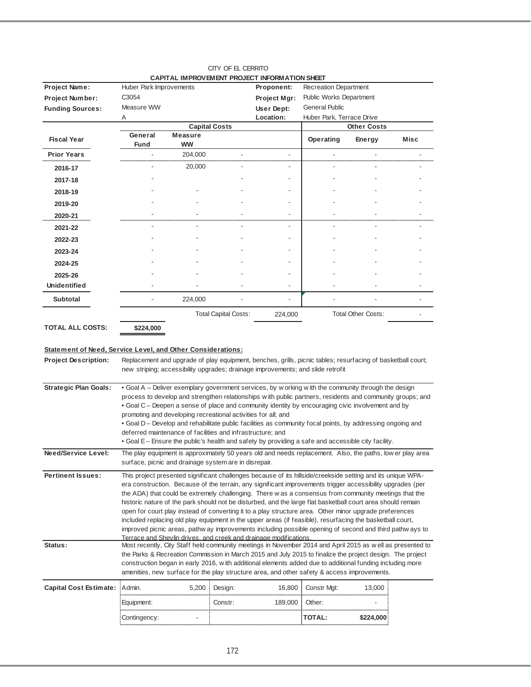|                         |                         | <u>CAPITAL IMPROVEMENT PROJECT INFORMATION SHEET</u> |                             |                |                           |                           |             |
|-------------------------|-------------------------|------------------------------------------------------|-----------------------------|----------------|---------------------------|---------------------------|-------------|
| Project Name:           | Huber Park Improvements |                                                      |                             | Proponent:     | Recreation Department     |                           |             |
| Project Number:         | C3054                   |                                                      |                             | Project Mgr:   | Public Works Department   |                           |             |
| <b>Funding Sources:</b> | Measure WW              |                                                      |                             | User Dept:     | <b>General Public</b>     |                           |             |
|                         | A                       |                                                      |                             | Location:      | Huber Park, Terrace Drive |                           |             |
|                         |                         | <b>Capital Costs</b>                                 |                             |                |                           | <b>Other Costs</b>        |             |
| <b>Fiscal Year</b>      | General                 | <b>Measure</b>                                       |                             |                | Operating                 | Energy                    | <b>Misc</b> |
|                         | <b>Fund</b>             | <b>WW</b>                                            |                             |                |                           |                           |             |
| <b>Prior Years</b>      |                         | 204,000                                              |                             |                |                           |                           |             |
| 2016-17                 |                         | 20,000                                               |                             |                |                           |                           |             |
| 2017-18                 |                         |                                                      |                             |                |                           |                           |             |
| 2018-19                 |                         |                                                      |                             |                |                           |                           |             |
| 2019-20                 |                         |                                                      |                             |                |                           |                           |             |
| 2020-21                 |                         |                                                      |                             | $\blacksquare$ |                           |                           |             |
| 2021-22                 |                         |                                                      |                             | $\blacksquare$ |                           |                           |             |
| 2022-23                 |                         |                                                      |                             |                |                           |                           |             |
| 2023-24                 |                         |                                                      |                             |                |                           |                           |             |
| 2024-25                 |                         |                                                      |                             |                |                           |                           |             |
| 2025-26                 |                         |                                                      |                             |                |                           |                           |             |
| <b>Unidentified</b>     |                         |                                                      |                             | $\blacksquare$ |                           |                           |             |
| <b>Subtotal</b>         |                         | 224,000                                              |                             |                |                           |                           |             |
|                         |                         |                                                      | <b>Total Capital Costs:</b> | 224,000        |                           | <b>Total Other Costs:</b> |             |
| <b>TOTAL ALL COSTS:</b> | \$224,000               |                                                      |                             |                |                           |                           |             |

#### CITY OF EL CERRITO **CAPITAL IMPROVEMENT PROJECT INFORMATION SHE**

#### **Statement of Need, Service Level, and Other Considerations:**

| <b>Project Description:</b>   | Replacement and upgrade of play equipment, benches, grills, picnic tables; resurfacing of basketball court;<br>new striping; accessibility upgrades; drainage improvements; and slide retrofit                                                                                                                                                                                                                                                                                                                                                                                                                                                                                                                                                                                                                                                            |         |         |               |           |  |
|-------------------------------|-----------------------------------------------------------------------------------------------------------------------------------------------------------------------------------------------------------------------------------------------------------------------------------------------------------------------------------------------------------------------------------------------------------------------------------------------------------------------------------------------------------------------------------------------------------------------------------------------------------------------------------------------------------------------------------------------------------------------------------------------------------------------------------------------------------------------------------------------------------|---------|---------|---------------|-----------|--|
| <b>Strategic Plan Goals:</b>  | • Goal A – Deliver exemplary government services, by w orking with the community through the design<br>process to develop and strengthen relationships with public partners, residents and community groups; and<br>• Goal C – Deepen a sense of place and community identity by encouraging civic involvement and by<br>promoting and developing recreational activities for all; and<br>• Goal D – Develop and rehabilitate public facilities as community focal points, by addressing ongoing and<br>deferred maintenance of facilities and infrastructure; and<br>• Goal E – Ensure the public's health and safety by providing a safe and accessible city facility.                                                                                                                                                                                  |         |         |               |           |  |
| Need/Service Level:           | The play equipment is approximately 50 years old and needs replacement. Also, the paths, low er play area<br>surface, picnic and drainage system are in disrepair.                                                                                                                                                                                                                                                                                                                                                                                                                                                                                                                                                                                                                                                                                        |         |         |               |           |  |
| <b>Pertinent Issues:</b>      | This project presented significant challenges because of its hillside/creekside setting and its unique WPA-<br>era construction. Because of the terrain, any significant improvements trigger accessibility upgrades (per<br>the ADA) that could be extremely challenging. There w as a consensus from community meetings that the<br>historic nature of the park should not be disturbed, and the large flat basketball court area should remain<br>open for court play instead of converting it to a play structure area. Other minor upgrade preferences<br>included replacing old play equipment in the upper areas (if feasible), resurfacing the basketball court,<br>improved picnic areas, pathw ay improvements including possible opening of second and third pathw ays to<br>Terrace and Shevlin drives, and creek and drainage modifications. |         |         |               |           |  |
| Status:                       | Most recently, City Staff held community meetings in November 2014 and April 2015 as well as presented to<br>the Parks & Recreation Commission in March 2015 and July 2015 to finalize the project design. The project<br>construction began in early 2016, with additional elements added due to additional funding including more<br>amenities, new surface for the play structure area, and other safety & access improvements.                                                                                                                                                                                                                                                                                                                                                                                                                        |         |         |               |           |  |
| <b>Capital Cost Estimate:</b> | Admin.<br>5,200                                                                                                                                                                                                                                                                                                                                                                                                                                                                                                                                                                                                                                                                                                                                                                                                                                           | Design: | 16,800  | Constr Mgt:   | 13.000    |  |
|                               | Equipment:                                                                                                                                                                                                                                                                                                                                                                                                                                                                                                                                                                                                                                                                                                                                                                                                                                                | Constr: | 189,000 | Other:        |           |  |
|                               | Contingency:                                                                                                                                                                                                                                                                                                                                                                                                                                                                                                                                                                                                                                                                                                                                                                                                                                              |         |         | <b>TOTAL:</b> | \$224,000 |  |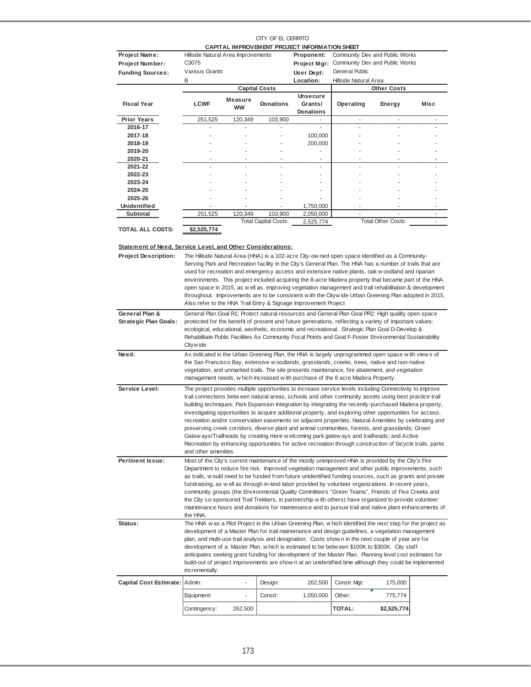#### CITY OF EL CERRITO **CAPITAL IMPROVEMENT PROJECT INFORMATION SHEET**

| Project Name:           | Hillside Natural Area Improvements |                             |                             | Proponent:                                     |                       | Community Dev and Public Works |      |
|-------------------------|------------------------------------|-----------------------------|-----------------------------|------------------------------------------------|-----------------------|--------------------------------|------|
| <b>Project Number:</b>  | C <sub>30</sub> 75                 |                             |                             | Project Mgr:                                   |                       | Community Dev and Public Works |      |
| <b>Funding Sources:</b> | Various Grants                     |                             |                             | User Dept:                                     | <b>General Public</b> |                                |      |
|                         | B                                  |                             |                             | Location:                                      | Hillside Natural Area |                                |      |
|                         |                                    |                             | <b>Capital Costs</b>        |                                                |                       | <b>Other Costs</b>             |      |
| <b>Fiscal Year</b>      | <b>LCWF</b>                        | <b>Measure</b><br><b>WW</b> | <b>Donations</b>            | <b>Unsecure</b><br>Grants/<br><b>Donations</b> | Operating             | Energy                         | Misc |
| <b>Prior Years</b>      | 251,525                            | 120,349                     | 103,900                     |                                                |                       |                                |      |
| 2016-17                 |                                    |                             |                             | ۰                                              |                       |                                |      |
| 2017-18                 |                                    |                             |                             | 100,000                                        |                       |                                |      |
| 2018-19                 |                                    | ٠                           | ٠                           | 200,000                                        |                       |                                |      |
| 2019-20                 |                                    |                             |                             |                                                |                       |                                |      |
| 2020-21                 |                                    |                             |                             | ٠                                              |                       |                                |      |
| 2021-22                 |                                    |                             | ٠                           | ٠                                              |                       | ۰                              |      |
| 2022-23                 |                                    |                             |                             | ٠                                              |                       |                                |      |
| 2023-24                 |                                    |                             |                             | ٠                                              |                       |                                |      |
| 2024-25                 |                                    |                             |                             | ۰                                              |                       |                                |      |
| 2025-26                 |                                    |                             |                             |                                                |                       |                                |      |
| <b>Unidentified</b>     |                                    |                             |                             | 1,750,000                                      |                       |                                |      |
| <b>Subtotal</b>         | 251,525                            | 120,349                     | 103,900                     | 2,050,000                                      |                       |                                |      |
| <b>TOTAL ALL COSTS:</b> | \$2,525,774                        |                             | <b>Total Capital Costs:</b> | 2,525,774                                      |                       | <b>Total Other Costs:</b>      |      |

**Statement of Need, Service Level, and Other Considerations:**

| <b>Project Description:</b>                    | The Hillside Natural Area (HNA) is a 102-acre City-ow ned open space identified as a Community-<br>Serving Park and Recreation facility in the City's General Plan. The HNA has a number of trails that are<br>used for recreation and emergency access and extensive native plants, oak w oodland and riparian<br>environments. This project included acquiring the 8-acre Madera property that became part of the HNA<br>open space in 2015, as w ell as, improving vegetation management and trail rehabilitation & development<br>throughout. Improvements are to be consistent with the Citywide Urban Greening Plan adopted in 2015.<br>Also refer to the HNA Trail Entry & Signage Improvement Project                                                                                                                                                                             |                          |         |           |               |             |  |
|------------------------------------------------|-------------------------------------------------------------------------------------------------------------------------------------------------------------------------------------------------------------------------------------------------------------------------------------------------------------------------------------------------------------------------------------------------------------------------------------------------------------------------------------------------------------------------------------------------------------------------------------------------------------------------------------------------------------------------------------------------------------------------------------------------------------------------------------------------------------------------------------------------------------------------------------------|--------------------------|---------|-----------|---------------|-------------|--|
| General Plan &<br><b>Strategic Plan Goals:</b> | General Plan Goal R1: Protect natural resources and General Plan Goal PR2: High quality open space<br>protected for the benefit of present and future generations, reflecting a variety of important values:<br>ecological, educational, aesthetic, economic and recreational. Strategic Plan Goal D-Develop &<br>Rehabilitate Public Facilities As Community Focal Points and Goal F-Foster Environmental Sustainability<br>Cityw ide                                                                                                                                                                                                                                                                                                                                                                                                                                                    |                          |         |           |               |             |  |
| Need:                                          | As indicated in the Urban Greening Plan, the HNA is largely unprogrammed open space with views of<br>the San Francisco Bay, extensive w oodlands, grasslands, creeks, trees, native and non-native<br>vegetation, and unmarked trails. The site presents maintenance, fire abatement, and vegetation<br>management needs, w hich increased w ith purchase of the 8 acre Madera Property.                                                                                                                                                                                                                                                                                                                                                                                                                                                                                                  |                          |         |           |               |             |  |
| Service Level:                                 | The project provides multiple opportunities to increase service levels including Connectivity to improve<br>trail connections betw een natural areas, schools and other community assets using best practice trail<br>building techniques; Park Expansion Integration by integrating the recently-purchased Madera property,<br>investigating opportunities to acquire additional property, and exploring other opportunities for access,<br>recreation and/or conservation easements on adjacent properties; Natural Amenities by celebrating and<br>preserving creek corridors, diverse plant and animal communities, forests, and grasslands; Green<br>Gatew ays/Trailheads by creating more w elcoming park gatew ays and trailheads; and Active<br>Recreation by enhancing opportunities for active recreation through construction of bicycle trails, parks<br>and other amenities. |                          |         |           |               |             |  |
| <b>Pertinent Issue:</b>                        | Most of the City's current maintenance of the mostly unimproved HNA is provided by the City's Fire<br>Department to reduce fire risk. Improved vegetation management and other public improvements, such<br>as trails, w ould need to be funded from future unidentified funding sources, such as grants and private<br>fundraising, as w ell as through in-kind labor provided by volunteer organizations. In recent years,<br>community groups (the Environmental Quality Committee's "Green Teams", Friends of Five Creeks and<br>the City co-sponsored Trail Trekkers, in partnership with others) have organized to provide volunteer<br>maintenance hours and donations for maintenance and to pursue trail and native plant enhancements of<br>the HNA.                                                                                                                            |                          |         |           |               |             |  |
| Status:                                        | The HNA was a Pilot Project in the Urban Greening Plan, which identified the next step for the project as<br>development of a Master Plan for trail maintenance and design guidelines, a vegetation management<br>plan, and multi-use trail analysis and designation. Costs show n in the next couple of year are for<br>development of a Master Plan, w hich is estimated to be betw een \$100K to \$300K. City staff<br>anticipates seeking grant funding for development of the Master Plan. Planning level cost estimates for<br>build-out of project improvements are show n at an unidentified time although they could be implemented<br>incrementally.                                                                                                                                                                                                                            |                          |         |           |               |             |  |
| Capital Cost Estimate: Admin:                  |                                                                                                                                                                                                                                                                                                                                                                                                                                                                                                                                                                                                                                                                                                                                                                                                                                                                                           | ä,                       | Design: | 262,500   | Constr Mat:   | 175,000     |  |
|                                                | Equipment:                                                                                                                                                                                                                                                                                                                                                                                                                                                                                                                                                                                                                                                                                                                                                                                                                                                                                | $\overline{\phantom{a}}$ | Constr: | 1,050,000 | Other:        | 775,774     |  |
|                                                | Contingency:                                                                                                                                                                                                                                                                                                                                                                                                                                                                                                                                                                                                                                                                                                                                                                                                                                                                              | 262,500                  |         |           | <b>TOTAL:</b> | \$2,525,774 |  |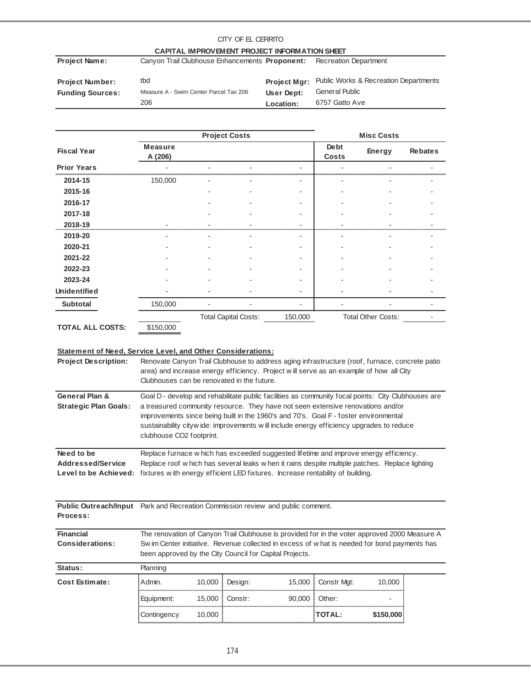#### **Project Name:** Canyon Trail Clubhouse Enhancements Proponent: Recreation Department **Project Number:** tbd **Funding Sources:** Measure A - Swim Center Parcel Tax 206 **User Dept:** General Public **Location:** Project Mgr: Public Works & Recreation Departments CITY OF EL CERRITO **CAPITAL IMPROVEMENT PROJECT INFORMATION SHEET** 206 **Location:** 6757 Gatto Ave

|                         |                           | <b>Project Costs</b> |                             | <b>Misc Costs</b> |                             |                           |                |
|-------------------------|---------------------------|----------------------|-----------------------------|-------------------|-----------------------------|---------------------------|----------------|
| <b>Fiscal Year</b>      | <b>Measure</b><br>A (206) |                      |                             |                   | <b>Debt</b><br><b>Costs</b> | Energy                    | <b>Rebates</b> |
| <b>Prior Years</b>      |                           |                      |                             |                   |                             |                           |                |
| 2014-15                 | 150,000                   |                      |                             |                   |                             |                           |                |
| 2015-16                 |                           |                      |                             |                   |                             |                           |                |
| 2016-17                 |                           |                      |                             |                   |                             |                           |                |
| 2017-18                 |                           |                      |                             |                   |                             |                           |                |
| 2018-19                 |                           |                      |                             |                   |                             |                           |                |
| 2019-20                 |                           |                      |                             |                   |                             |                           |                |
| 2020-21                 |                           |                      |                             |                   |                             |                           |                |
| 2021-22                 |                           |                      |                             |                   |                             |                           |                |
| 2022-23                 |                           |                      |                             |                   |                             |                           |                |
| 2023-24                 |                           |                      |                             |                   |                             |                           |                |
| <b>Unidentified</b>     |                           |                      |                             |                   |                             |                           |                |
| <b>Subtotal</b>         | 150,000                   |                      |                             |                   |                             |                           |                |
|                         |                           |                      | <b>Total Capital Costs:</b> | 150,000           |                             | <b>Total Other Costs:</b> |                |
| <b>TOTAL ALL COSTS:</b> | \$150,000                 |                      |                             |                   |                             |                           |                |

### **Statement of Need, Service Level, and Other Considerations:**

| <b>Project Description:</b>                                                                 | Clubhouses can be renovated in the future. |                                                                                                                                                                                                                                                                            |         | Renovate Canyon Trail Clubhouse to address aging infrastructure (roof, furnace, concrete patio<br>area) and increase energy efficiency. Project will serve as an example of how all City                                                                                                                                                                                 |             |        |  |  |  |
|---------------------------------------------------------------------------------------------|--------------------------------------------|----------------------------------------------------------------------------------------------------------------------------------------------------------------------------------------------------------------------------------------------------------------------------|---------|--------------------------------------------------------------------------------------------------------------------------------------------------------------------------------------------------------------------------------------------------------------------------------------------------------------------------------------------------------------------------|-------------|--------|--|--|--|
| General Plan &<br><b>Strategic Plan Goals:</b>                                              | clubhouse CO2 footprint.                   |                                                                                                                                                                                                                                                                            |         | Goal D - develop and rehabilitate public facilities as community focal points: City Clubhouses are<br>a treasured community resource. They have not seen extensive renovations and/or<br>improvements since being built in the 1960's and 70's. Goal F - foster environmental<br>sustainability citywide: improvements will include energy efficiency upgrades to reduce |             |        |  |  |  |
| Need to be<br>Addressed/Service<br>Level to be Achieved:                                    |                                            | Replace furnace w hich has exceeded suggested lifetime and improve energy efficiency.<br>Replace roof w hich has several leaks w hen it rains despite multiple patches. Replace lighting<br>fixtures with energy efficient LED fixtures. Increase rentability of building. |         |                                                                                                                                                                                                                                                                                                                                                                          |             |        |  |  |  |
| Public Outreach/Input Park and Recreation Commission review and public comment.<br>Process: |                                            |                                                                                                                                                                                                                                                                            |         |                                                                                                                                                                                                                                                                                                                                                                          |             |        |  |  |  |
| <b>Financial</b><br><b>Considerations:</b>                                                  |                                            | The renovation of Canyon Trail Clubhouse is provided for in the voter approved 2000 Measure A<br>Sw im Center initiative. Revenue collected in excess of what is needed for bond payments has<br>been approved by the City Council for Capital Projects.                   |         |                                                                                                                                                                                                                                                                                                                                                                          |             |        |  |  |  |
| Status:                                                                                     | Planning                                   |                                                                                                                                                                                                                                                                            |         |                                                                                                                                                                                                                                                                                                                                                                          |             |        |  |  |  |
| Cost Estimate:                                                                              | Admin.                                     | 10,000                                                                                                                                                                                                                                                                     | Design: | 15,000                                                                                                                                                                                                                                                                                                                                                                   | Constr Mgt: | 10,000 |  |  |  |
|                                                                                             | Equipment:                                 | 15,000                                                                                                                                                                                                                                                                     | Constr: | 90,000                                                                                                                                                                                                                                                                                                                                                                   | Other:      |        |  |  |  |

Contingency: 10,000 **TOTAL:** \$150,000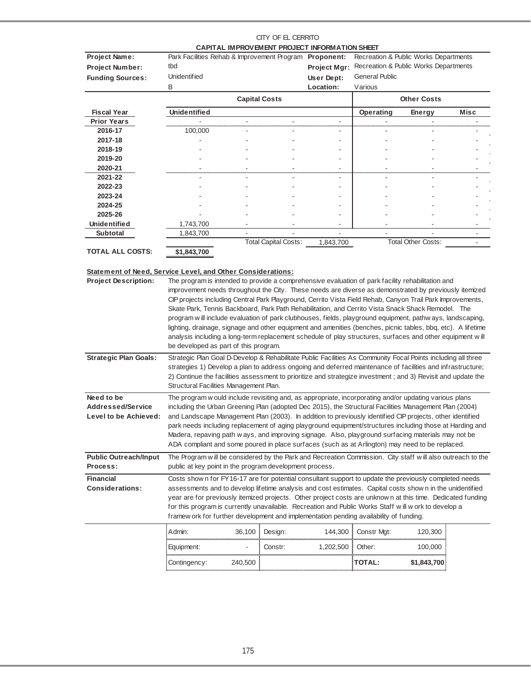|                                                                    |                                                                                                                                                                                                                            |                      |                      | CAPITAL IMPROVEMENT PROJECT INFORMATION SHEET |                       |                                       |                          |
|--------------------------------------------------------------------|----------------------------------------------------------------------------------------------------------------------------------------------------------------------------------------------------------------------------|----------------------|----------------------|-----------------------------------------------|-----------------------|---------------------------------------|--------------------------|
| Project Name:                                                      | Park Facilities Rehab & Improvement Program Proponent:                                                                                                                                                                     |                      |                      |                                               |                       | Recreation & Public Works Departments |                          |
| <b>Project Number:</b>                                             | tbd                                                                                                                                                                                                                        |                      |                      | Project Mgr:                                  |                       | Recreation & Public Works Departments |                          |
| <b>Funding Sources:</b>                                            | <b>Unidentified</b>                                                                                                                                                                                                        |                      |                      | User Dept:                                    | <b>General Public</b> |                                       |                          |
|                                                                    | Β                                                                                                                                                                                                                          |                      |                      | Location:                                     | Various               |                                       |                          |
|                                                                    |                                                                                                                                                                                                                            | <b>Capital Costs</b> |                      |                                               |                       | <b>Other Costs</b>                    |                          |
| <b>Fiscal Year</b>                                                 | <b>Unidentified</b>                                                                                                                                                                                                        |                      |                      |                                               | Operating             | Energy                                | <b>Misc</b>              |
| <b>Prior Years</b>                                                 |                                                                                                                                                                                                                            |                      | ÷,                   | $\overline{\phantom{a}}$                      |                       |                                       |                          |
| 2016-17                                                            | 100,000                                                                                                                                                                                                                    |                      |                      |                                               |                       |                                       |                          |
| 2017-18                                                            |                                                                                                                                                                                                                            |                      |                      |                                               |                       |                                       |                          |
| 2018-19                                                            |                                                                                                                                                                                                                            |                      |                      |                                               |                       |                                       |                          |
| 2019-20                                                            |                                                                                                                                                                                                                            |                      |                      |                                               |                       |                                       |                          |
| 2020-21                                                            |                                                                                                                                                                                                                            |                      |                      |                                               |                       |                                       |                          |
| 2021-22                                                            |                                                                                                                                                                                                                            |                      |                      |                                               |                       |                                       |                          |
| 2022-23                                                            |                                                                                                                                                                                                                            |                      |                      |                                               |                       |                                       |                          |
| 2023-24                                                            |                                                                                                                                                                                                                            |                      |                      |                                               |                       |                                       |                          |
| 2024-25                                                            |                                                                                                                                                                                                                            |                      |                      |                                               |                       |                                       |                          |
| 2025-26                                                            |                                                                                                                                                                                                                            |                      |                      |                                               |                       |                                       |                          |
| Unidentified                                                       | 1,743,700                                                                                                                                                                                                                  |                      |                      |                                               |                       |                                       |                          |
| <b>Subtotal</b>                                                    | 1,843,700                                                                                                                                                                                                                  | ä,                   |                      | ÷.                                            | ÷.                    |                                       |                          |
|                                                                    |                                                                                                                                                                                                                            |                      | Total Capital Costs: | 1,843,700                                     |                       | <b>Total Other Costs:</b>             | $\overline{\phantom{a}}$ |
| <b>TOTAL ALL COSTS:</b>                                            | \$1,843,700                                                                                                                                                                                                                |                      |                      |                                               |                       |                                       |                          |
|                                                                    |                                                                                                                                                                                                                            |                      |                      |                                               |                       |                                       |                          |
| <b>Statement of Need, Service Level, and Other Considerations:</b> |                                                                                                                                                                                                                            |                      |                      |                                               |                       |                                       |                          |
| <b>Project Description:</b>                                        | The program is intended to provide a comprehensive evaluation of park facility rehabilitation and                                                                                                                          |                      |                      |                                               |                       |                                       |                          |
|                                                                    | improvement needs throughout the City. These needs are diverse as demonstrated by previously itemized                                                                                                                      |                      |                      |                                               |                       |                                       |                          |
|                                                                    | CIP projects including Central Park Playground, Cerrito Vista Field Rehab, Canyon Trail Park Improvements,<br>Skate Park, Tennis Backboard, Park Path Rehabilitation, and Cerrito Vista Snack Shack Remodel. The           |                      |                      |                                               |                       |                                       |                          |
|                                                                    | program w ill include evaluation of park clubhouses, fields, playground equipment, pathw ays, landscaping,                                                                                                                 |                      |                      |                                               |                       |                                       |                          |
|                                                                    | lighting, drainage, signage and other equipment and amenities (benches, picnic tables, bbq, etc). A lifetime                                                                                                               |                      |                      |                                               |                       |                                       |                          |
|                                                                    | analysis including a long-term replacement schedule of play structures, surfaces and other equipment will                                                                                                                  |                      |                      |                                               |                       |                                       |                          |
|                                                                    | be developed as part of this program.                                                                                                                                                                                      |                      |                      |                                               |                       |                                       |                          |
|                                                                    |                                                                                                                                                                                                                            |                      |                      |                                               |                       |                                       |                          |
| <b>Strategic Plan Goals:</b>                                       | Strategic Plan Goal D-Develop & Rehabilitate Public Facilities As Community Focal Points including all three<br>strategies 1) Develop a plan to address ongoing and deferred maintenance of facilities and infrastructure; |                      |                      |                                               |                       |                                       |                          |
|                                                                    | 2) Continue the facilities assessment to prioritize and strategize investment; and 3) Revisit and update the                                                                                                               |                      |                      |                                               |                       |                                       |                          |
|                                                                    | Structural Facilities Management Plan.                                                                                                                                                                                     |                      |                      |                                               |                       |                                       |                          |
|                                                                    |                                                                                                                                                                                                                            |                      |                      |                                               |                       |                                       |                          |
| Need to be<br><b>Addressed/Service</b>                             | The program w ould include revisiting and, as appropriate, incorporating and/or updating various plans<br>including the Urban Greening Plan (adopted Dec 2015), the Structural Facilities Management Plan (2004)           |                      |                      |                                               |                       |                                       |                          |
| Level to be Achieved:                                              | and Landscape Management Plan (2003). In addition to previously identified CIP projects, other identified                                                                                                                  |                      |                      |                                               |                       |                                       |                          |
|                                                                    | park needs including replacement of aging playground equipment/structures including those at Harding and                                                                                                                   |                      |                      |                                               |                       |                                       |                          |
|                                                                    | Madera, repaving path w ays, and improving signage. Also, playground surfacing materials may not be                                                                                                                        |                      |                      |                                               |                       |                                       |                          |
|                                                                    | ADA compliant and some poured in place surfaces (such as at Arlington) may need to be replaced.                                                                                                                            |                      |                      |                                               |                       |                                       |                          |
|                                                                    |                                                                                                                                                                                                                            |                      |                      |                                               |                       |                                       |                          |
| <b>Public Outreach/Input</b>                                       | The Program will be considered by the Park and Recreation Commission. City staff will also outreach to the                                                                                                                 |                      |                      |                                               |                       |                                       |                          |
| Process:                                                           | public at key point in the program development process.                                                                                                                                                                    |                      |                      |                                               |                       |                                       |                          |
| <b>Financial</b>                                                   | Costs show n for FY16-17 are for potential consultant support to update the previously completed needs                                                                                                                     |                      |                      |                                               |                       |                                       |                          |
| <b>Considerations:</b>                                             | assessments and to develop lifetime analysis and cost estimates. Capital costs show n in the unidentified                                                                                                                  |                      |                      |                                               |                       |                                       |                          |
|                                                                    | year are for previously itemized projects. Other project costs are unknow n at this time. Dedicated funding                                                                                                                |                      |                      |                                               |                       |                                       |                          |
|                                                                    | for this program is currently unavailable. Recreation and Public Works Staff will w ork to develop a                                                                                                                       |                      |                      |                                               |                       |                                       |                          |
|                                                                    | framew ork for further development and implementation pending availability of funding.                                                                                                                                     |                      |                      |                                               |                       |                                       |                          |
|                                                                    |                                                                                                                                                                                                                            |                      |                      |                                               |                       |                                       |                          |

| Admin:       | 36,100  | Design: | 144,300   | Constr Mgt:   | 20,300      |
|--------------|---------|---------|-----------|---------------|-------------|
| Equipment:   |         | Constr: | 1,202,500 | Other:        | 00.00C      |
| Contingency: | 240,500 |         |           | <b>TOTAL:</b> | \$1,843,700 |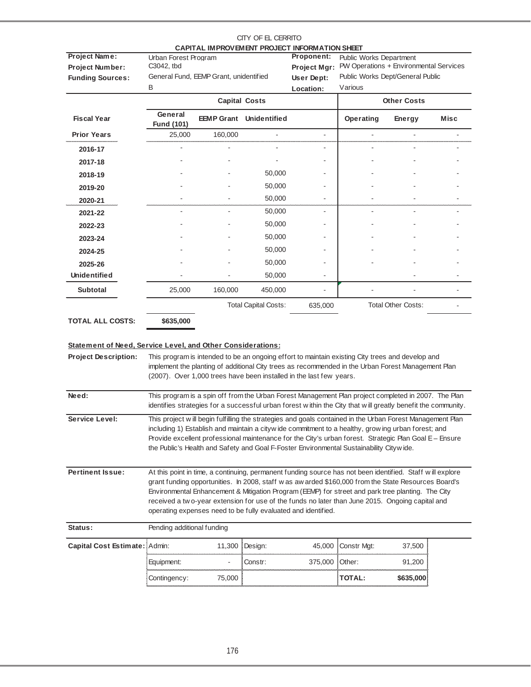|                                                                                            |                                                                                                                                                                                                                                                                                                                                                                                                                                                                                            |                                        | CITY OF EL CERRITO             | CAPITAL IMPROVEMENT PROJECT INFORMATION SHEET                       |                                                                                                                                                                                                                                                                                                                                                                                                                       |                           |      |  |  |
|--------------------------------------------------------------------------------------------|--------------------------------------------------------------------------------------------------------------------------------------------------------------------------------------------------------------------------------------------------------------------------------------------------------------------------------------------------------------------------------------------------------------------------------------------------------------------------------------------|----------------------------------------|--------------------------------|---------------------------------------------------------------------|-----------------------------------------------------------------------------------------------------------------------------------------------------------------------------------------------------------------------------------------------------------------------------------------------------------------------------------------------------------------------------------------------------------------------|---------------------------|------|--|--|
| <b>Project Name:</b><br><b>Project Number:</b><br><b>Funding Sources:</b>                  | Urban Forest Program<br>C3042, tbd                                                                                                                                                                                                                                                                                                                                                                                                                                                         | General Fund, EEMP Grant, unidentified |                                | <b>Proponent:</b><br><b>Project Mgr:</b><br>User Dept:              | <b>Public Works Department</b><br>PW Operations + Environmental Services<br>Public Works Dept/General Public                                                                                                                                                                                                                                                                                                          |                           |      |  |  |
|                                                                                            | B                                                                                                                                                                                                                                                                                                                                                                                                                                                                                          |                                        |                                | Location:                                                           | Various                                                                                                                                                                                                                                                                                                                                                                                                               |                           |      |  |  |
|                                                                                            |                                                                                                                                                                                                                                                                                                                                                                                                                                                                                            |                                        | <b>Capital Costs</b>           |                                                                     |                                                                                                                                                                                                                                                                                                                                                                                                                       | <b>Other Costs</b>        |      |  |  |
| <b>Fiscal Year</b>                                                                         | General<br><b>Fund (101)</b>                                                                                                                                                                                                                                                                                                                                                                                                                                                               |                                        | <b>EEMP Grant</b> Unidentified |                                                                     | Operating                                                                                                                                                                                                                                                                                                                                                                                                             | <b>Energy</b>             | Misc |  |  |
| <b>Prior Years</b>                                                                         | 25,000                                                                                                                                                                                                                                                                                                                                                                                                                                                                                     | 160,000                                | $\blacksquare$                 | $\blacksquare$                                                      |                                                                                                                                                                                                                                                                                                                                                                                                                       |                           |      |  |  |
| 2016-17                                                                                    |                                                                                                                                                                                                                                                                                                                                                                                                                                                                                            |                                        |                                |                                                                     |                                                                                                                                                                                                                                                                                                                                                                                                                       |                           |      |  |  |
| 2017-18                                                                                    |                                                                                                                                                                                                                                                                                                                                                                                                                                                                                            |                                        |                                |                                                                     |                                                                                                                                                                                                                                                                                                                                                                                                                       |                           |      |  |  |
| 2018-19                                                                                    |                                                                                                                                                                                                                                                                                                                                                                                                                                                                                            |                                        | 50,000                         | ٠                                                                   |                                                                                                                                                                                                                                                                                                                                                                                                                       |                           |      |  |  |
| 2019-20                                                                                    |                                                                                                                                                                                                                                                                                                                                                                                                                                                                                            |                                        | 50,000                         |                                                                     |                                                                                                                                                                                                                                                                                                                                                                                                                       |                           |      |  |  |
| 2020-21                                                                                    |                                                                                                                                                                                                                                                                                                                                                                                                                                                                                            |                                        | 50,000                         |                                                                     |                                                                                                                                                                                                                                                                                                                                                                                                                       |                           |      |  |  |
| 2021-22                                                                                    |                                                                                                                                                                                                                                                                                                                                                                                                                                                                                            |                                        | 50,000                         |                                                                     |                                                                                                                                                                                                                                                                                                                                                                                                                       |                           |      |  |  |
| 2022-23                                                                                    |                                                                                                                                                                                                                                                                                                                                                                                                                                                                                            |                                        | 50,000                         |                                                                     |                                                                                                                                                                                                                                                                                                                                                                                                                       |                           |      |  |  |
| 2023-24                                                                                    |                                                                                                                                                                                                                                                                                                                                                                                                                                                                                            |                                        | 50,000                         |                                                                     |                                                                                                                                                                                                                                                                                                                                                                                                                       |                           |      |  |  |
| 2024-25                                                                                    |                                                                                                                                                                                                                                                                                                                                                                                                                                                                                            |                                        | 50,000                         |                                                                     |                                                                                                                                                                                                                                                                                                                                                                                                                       |                           |      |  |  |
| 2025-26                                                                                    |                                                                                                                                                                                                                                                                                                                                                                                                                                                                                            |                                        | 50,000                         |                                                                     |                                                                                                                                                                                                                                                                                                                                                                                                                       |                           |      |  |  |
| <b>Unidentified</b>                                                                        |                                                                                                                                                                                                                                                                                                                                                                                                                                                                                            |                                        | 50,000                         |                                                                     |                                                                                                                                                                                                                                                                                                                                                                                                                       |                           |      |  |  |
| <b>Subtotal</b>                                                                            | 25,000                                                                                                                                                                                                                                                                                                                                                                                                                                                                                     | 160,000                                | 450,000                        |                                                                     |                                                                                                                                                                                                                                                                                                                                                                                                                       |                           |      |  |  |
|                                                                                            |                                                                                                                                                                                                                                                                                                                                                                                                                                                                                            |                                        | <b>Total Capital Costs:</b>    | 635,000                                                             |                                                                                                                                                                                                                                                                                                                                                                                                                       | <b>Total Other Costs:</b> |      |  |  |
| <b>TOTAL ALL COSTS:</b>                                                                    | \$635,000                                                                                                                                                                                                                                                                                                                                                                                                                                                                                  |                                        |                                |                                                                     |                                                                                                                                                                                                                                                                                                                                                                                                                       |                           |      |  |  |
| Statement of Need, Service Level, and Other Considerations:<br><b>Project Description:</b> |                                                                                                                                                                                                                                                                                                                                                                                                                                                                                            |                                        |                                | (2007). Over 1,000 trees have been installed in the last few years. | This program is intended to be an ongoing effort to maintain existing City trees and develop and<br>implement the planting of additional City trees as recommended in the Urban Forest Management Plan                                                                                                                                                                                                                |                           |      |  |  |
| Need:                                                                                      |                                                                                                                                                                                                                                                                                                                                                                                                                                                                                            |                                        |                                |                                                                     | This program is a spin off from the Urban Forest Management Plan project completed in 2007. The Plan<br>identifies strategies for a successful urban forest within the City that will greatly benefit the community.                                                                                                                                                                                                  |                           |      |  |  |
| Service Level:                                                                             |                                                                                                                                                                                                                                                                                                                                                                                                                                                                                            |                                        |                                |                                                                     | This project will begin fulfilling the strategies and goals contained in the Urban Forest Management Plan<br>including 1) Establish and maintain a cityw ide commitment to a healthy, grow ing urban forest; and<br>Provide excellent professional maintenance for the City's urban forest. Strategic Plan Goal E - Ensure<br>the Public's Health and Safety and Goal F-Foster Environmental Sustainability Citywide. |                           |      |  |  |
| <b>Pertinent Issue:</b>                                                                    | At this point in time, a continuing, permanent funding source has not been identified. Staff will explore<br>grant funding opportunities. In 2008, staff w as aw arded \$160,000 from the State Resources Board's<br>Environmental Enhancement & Mitigation Program (EEMP) for street and park tree planting. The City<br>received a two-year extension for use of the funds no later than June 2015. Ongoing capital and<br>operating expenses need to be fully evaluated and identified. |                                        |                                |                                                                     |                                                                                                                                                                                                                                                                                                                                                                                                                       |                           |      |  |  |
| Status:                                                                                    | Pending additional funding                                                                                                                                                                                                                                                                                                                                                                                                                                                                 |                                        |                                |                                                                     |                                                                                                                                                                                                                                                                                                                                                                                                                       |                           |      |  |  |
| Capital Cost Estimate: Admin:                                                              |                                                                                                                                                                                                                                                                                                                                                                                                                                                                                            | 11,300                                 | Design:                        | 45,000                                                              | Constr Mgt:                                                                                                                                                                                                                                                                                                                                                                                                           | 37,500                    |      |  |  |
|                                                                                            | Equipment:                                                                                                                                                                                                                                                                                                                                                                                                                                                                                 | -                                      | Constr:                        | 375,000                                                             | Other:                                                                                                                                                                                                                                                                                                                                                                                                                | 91,200                    |      |  |  |
|                                                                                            | Contingency:                                                                                                                                                                                                                                                                                                                                                                                                                                                                               | 75,000                                 |                                |                                                                     | <b>TOTAL:</b>                                                                                                                                                                                                                                                                                                                                                                                                         | \$635,000                 |      |  |  |

## 176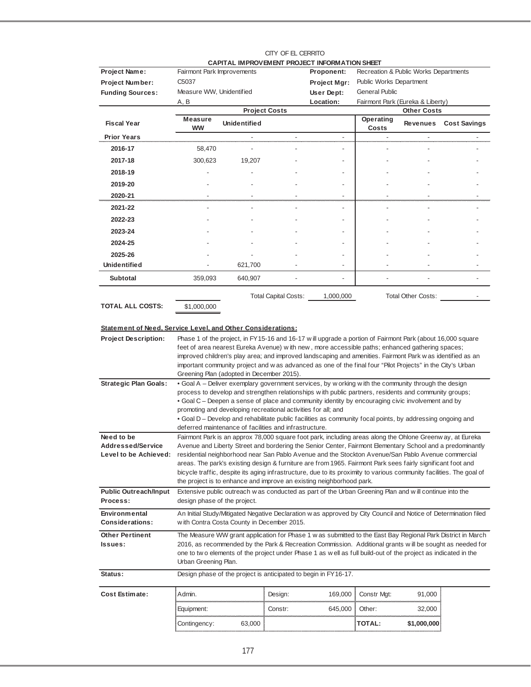|                                                                                                                          |                                                                                                                                       |                                                               |                          | CAPITAL IMPROVEMENT PROJECT INFORMATION SHEET                                                                        |                                       |                    |                     |  |
|--------------------------------------------------------------------------------------------------------------------------|---------------------------------------------------------------------------------------------------------------------------------------|---------------------------------------------------------------|--------------------------|----------------------------------------------------------------------------------------------------------------------|---------------------------------------|--------------------|---------------------|--|
| Project Name:                                                                                                            | Fairmont Park Improvements                                                                                                            |                                                               |                          | Proponent:                                                                                                           | Recreation & Public Works Departments |                    |                     |  |
| <b>Project Number:</b>                                                                                                   | C5037                                                                                                                                 |                                                               |                          | Project Mgr:                                                                                                         | <b>Public Works Department</b>        |                    |                     |  |
| <b>Funding Sources:</b>                                                                                                  | Measure WW, Unidentified                                                                                                              |                                                               |                          | User Dept:                                                                                                           | <b>General Public</b>                 |                    |                     |  |
|                                                                                                                          | A, B                                                                                                                                  |                                                               |                          | Location:                                                                                                            | Fairmont Park (Eureka & Liberty)      |                    |                     |  |
|                                                                                                                          | <b>Measure</b>                                                                                                                        |                                                               | <b>Project Costs</b>     |                                                                                                                      | Operating                             | <b>Other Costs</b> |                     |  |
| <b>Fiscal Year</b>                                                                                                       | <b>WW</b>                                                                                                                             | <b>Unidentified</b>                                           |                          |                                                                                                                      | Costs                                 | Revenues           | <b>Cost Savings</b> |  |
| <b>Prior Years</b>                                                                                                       |                                                                                                                                       |                                                               | $\overline{\phantom{a}}$ | $\overline{\phantom{a}}$                                                                                             |                                       |                    |                     |  |
| 2016-17                                                                                                                  | 58,470                                                                                                                                |                                                               |                          |                                                                                                                      |                                       |                    |                     |  |
| 2017-18                                                                                                                  | 300,623                                                                                                                               | 19,207                                                        |                          |                                                                                                                      |                                       |                    |                     |  |
| 2018-19                                                                                                                  |                                                                                                                                       |                                                               |                          |                                                                                                                      |                                       |                    |                     |  |
| 2019-20                                                                                                                  |                                                                                                                                       |                                                               |                          |                                                                                                                      |                                       |                    |                     |  |
| 2020-21                                                                                                                  |                                                                                                                                       |                                                               |                          | $\overline{\phantom{a}}$                                                                                             |                                       |                    |                     |  |
| 2021-22                                                                                                                  |                                                                                                                                       |                                                               |                          | ÷,                                                                                                                   |                                       |                    |                     |  |
| 2022-23                                                                                                                  |                                                                                                                                       |                                                               |                          |                                                                                                                      |                                       |                    |                     |  |
| 2023-24                                                                                                                  |                                                                                                                                       |                                                               |                          |                                                                                                                      |                                       |                    |                     |  |
| 2024-25                                                                                                                  |                                                                                                                                       |                                                               |                          |                                                                                                                      |                                       |                    |                     |  |
| 2025-26                                                                                                                  |                                                                                                                                       |                                                               |                          |                                                                                                                      |                                       |                    |                     |  |
| Unidentified                                                                                                             |                                                                                                                                       | 621,700                                                       |                          |                                                                                                                      |                                       |                    |                     |  |
| <b>Subtotal</b>                                                                                                          | 359,093                                                                                                                               | 640,907                                                       |                          |                                                                                                                      |                                       |                    |                     |  |
|                                                                                                                          |                                                                                                                                       |                                                               | Total Capital Costs:     | 1,000,000                                                                                                            |                                       | Total Other Costs: |                     |  |
| <b>TOTAL ALL COSTS:</b>                                                                                                  | \$1,000,000                                                                                                                           |                                                               |                          |                                                                                                                      |                                       |                    |                     |  |
|                                                                                                                          |                                                                                                                                       |                                                               |                          |                                                                                                                      |                                       |                    |                     |  |
| Statement of Need, Service Level, and Other Considerations:                                                              |                                                                                                                                       |                                                               |                          |                                                                                                                      |                                       |                    |                     |  |
| <b>Project Description:</b>                                                                                              |                                                                                                                                       |                                                               |                          | Phase 1 of the project, in FY15-16 and 16-17 will upgrade a portion of Fairmont Park (about 16,000 square            |                                       |                    |                     |  |
|                                                                                                                          |                                                                                                                                       |                                                               |                          | feet of area nearest Eureka Avenue) with new, more accessible paths; enhanced gathering spaces;                      |                                       |                    |                     |  |
|                                                                                                                          |                                                                                                                                       |                                                               |                          | improved children's play area; and improved landscaping and amenities. Fairmont Park w as identified as an           |                                       |                    |                     |  |
|                                                                                                                          |                                                                                                                                       | Greening Plan (adopted in December 2015).                     |                          | important community project and w as advanced as one of the final four "Pilot Projects" in the City's Urban          |                                       |                    |                     |  |
| <b>Strategic Plan Goals:</b>                                                                                             |                                                                                                                                       |                                                               |                          | . Goal A - Deliver exemplary government services, by w orking with the community through the design                  |                                       |                    |                     |  |
|                                                                                                                          |                                                                                                                                       |                                                               |                          | process to develop and strengthen relationships with public partners, residents and community groups;                |                                       |                    |                     |  |
|                                                                                                                          |                                                                                                                                       |                                                               |                          | • Goal C – Deepen a sense of place and community identity by encouraging civic involvement and by                    |                                       |                    |                     |  |
|                                                                                                                          |                                                                                                                                       | promoting and developing recreational activities for all; and |                          | . Goal D - Develop and rehabilitate public facilities as community focal points, by addressing ongoing and           |                                       |                    |                     |  |
|                                                                                                                          |                                                                                                                                       | deferred maintenance of facilities and infrastructure.        |                          |                                                                                                                      |                                       |                    |                     |  |
| Need to be                                                                                                               |                                                                                                                                       |                                                               |                          | Fairmont Park is an approx 78,000 square foot park, including areas along the Ohlone Greenw ay, at Eureka            |                                       |                    |                     |  |
| Addressed/Service                                                                                                        |                                                                                                                                       |                                                               |                          | Avenue and Liberty Street and bordering the Senior Center, Fairmont Elementary School and a predominantly            |                                       |                    |                     |  |
| Level to be Achieved: residential neighborhood near San Pablo Avenue and the Stockton Avenue/San Pablo Avenue commercial |                                                                                                                                       |                                                               |                          | areas. The park's existing design & furniture are from 1965. Fairmont Park sees fairly significant foot and          |                                       |                    |                     |  |
|                                                                                                                          |                                                                                                                                       |                                                               |                          | bicycle traffic, despite its aging infrastructure, due to its proximity to various community facilities. The goal of |                                       |                    |                     |  |
|                                                                                                                          |                                                                                                                                       |                                                               |                          | the project is to enhance and improve an existing neighborhood park.                                                 |                                       |                    |                     |  |
| <b>Public Outreach/Input</b><br>Process:                                                                                 | design phase of the project.                                                                                                          |                                                               |                          | Extensive public outreach was conducted as part of the Urban Greening Plan and will continue into the                |                                       |                    |                     |  |
|                                                                                                                          |                                                                                                                                       |                                                               |                          |                                                                                                                      |                                       |                    |                     |  |
| Environmental<br><b>Considerations:</b>                                                                                  |                                                                                                                                       | w ith Contra Costa County in December 2015.                   |                          | An Initial Study/Mitigated Negative Declaration w as approved by City Council and Notice of Determination filed      |                                       |                    |                     |  |
| <b>Other Pertinent</b>                                                                                                   |                                                                                                                                       |                                                               |                          | The Measure WW grant application for Phase 1 w as submitted to the East Bay Regional Park District in March          |                                       |                    |                     |  |
| Issues:                                                                                                                  | 2016, as recommended by the Park & Recreation Commission. Additional grants will be sought as needed for                              |                                                               |                          |                                                                                                                      |                                       |                    |                     |  |
|                                                                                                                          | one to two elements of the project under Phase 1 as well as full build-out of the project as indicated in the<br>Urban Greening Plan. |                                                               |                          |                                                                                                                      |                                       |                    |                     |  |
|                                                                                                                          |                                                                                                                                       |                                                               |                          |                                                                                                                      |                                       |                    |                     |  |
| Status:                                                                                                                  |                                                                                                                                       |                                                               |                          | Design phase of the project is anticipated to begin in FY16-17.                                                      |                                       |                    |                     |  |
| <b>Cost Estimate:</b>                                                                                                    | Admin.                                                                                                                                |                                                               | Design:                  | 169,000                                                                                                              | Constr Mgt:                           | 91,000             |                     |  |
|                                                                                                                          | Equipment:                                                                                                                            |                                                               | Constr:                  | 645,000                                                                                                              | Other:                                | 32,000             |                     |  |
|                                                                                                                          | Contingency:                                                                                                                          | 63,000                                                        |                          |                                                                                                                      | <b>TOTAL:</b>                         | \$1,000,000        |                     |  |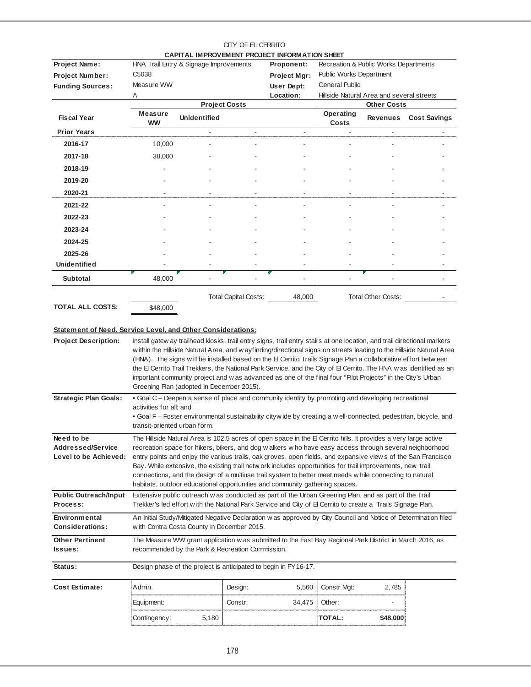|                                                                    |                                                         |                                                  | CITY OF EL CERRITO          |                                                                                                                                                                                                                                                                                                                                                                                                                                                                                                                                                                                                                                                      |                                                                                           |                                           |                     |
|--------------------------------------------------------------------|---------------------------------------------------------|--------------------------------------------------|-----------------------------|------------------------------------------------------------------------------------------------------------------------------------------------------------------------------------------------------------------------------------------------------------------------------------------------------------------------------------------------------------------------------------------------------------------------------------------------------------------------------------------------------------------------------------------------------------------------------------------------------------------------------------------------------|-------------------------------------------------------------------------------------------|-------------------------------------------|---------------------|
| Project Name:<br><b>Project Number:</b><br><b>Funding Sources:</b> | C5038<br>Measure WW<br>Α                                | HNA Trail Entry & Signage Improvements           |                             | CAPITAL IMPROVEMENT PROJECT INFORMATION SHEET<br>Proponent:<br>Project Mgr:<br>User Dept:<br>Location:                                                                                                                                                                                                                                                                                                                                                                                                                                                                                                                                               | Recreation & Public Works Departments<br>Public Works Department<br><b>General Public</b> | Hillside Natural Area and several streets |                     |
|                                                                    |                                                         |                                                  | <b>Project Costs</b>        |                                                                                                                                                                                                                                                                                                                                                                                                                                                                                                                                                                                                                                                      |                                                                                           | <b>Other Costs</b>                        |                     |
| <b>Fiscal Year</b>                                                 | Measure<br>ww                                           | <b>Unidentified</b>                              |                             |                                                                                                                                                                                                                                                                                                                                                                                                                                                                                                                                                                                                                                                      | Operating<br>Costs                                                                        | Revenues                                  | <b>Cost Savings</b> |
| <b>Prior Years</b>                                                 |                                                         |                                                  |                             | $\overline{a}$                                                                                                                                                                                                                                                                                                                                                                                                                                                                                                                                                                                                                                       | L.                                                                                        |                                           |                     |
| 2016-17                                                            | 10,000                                                  |                                                  |                             | $\overline{a}$                                                                                                                                                                                                                                                                                                                                                                                                                                                                                                                                                                                                                                       |                                                                                           |                                           |                     |
| 2017-18                                                            | 38,000                                                  |                                                  |                             |                                                                                                                                                                                                                                                                                                                                                                                                                                                                                                                                                                                                                                                      |                                                                                           |                                           |                     |
| 2018-19                                                            |                                                         |                                                  |                             |                                                                                                                                                                                                                                                                                                                                                                                                                                                                                                                                                                                                                                                      |                                                                                           |                                           |                     |
| 2019-20                                                            |                                                         |                                                  |                             |                                                                                                                                                                                                                                                                                                                                                                                                                                                                                                                                                                                                                                                      |                                                                                           |                                           |                     |
| 2020-21                                                            |                                                         |                                                  |                             |                                                                                                                                                                                                                                                                                                                                                                                                                                                                                                                                                                                                                                                      |                                                                                           |                                           |                     |
| 2021-22                                                            |                                                         |                                                  |                             |                                                                                                                                                                                                                                                                                                                                                                                                                                                                                                                                                                                                                                                      |                                                                                           |                                           |                     |
| 2022-23                                                            |                                                         |                                                  |                             |                                                                                                                                                                                                                                                                                                                                                                                                                                                                                                                                                                                                                                                      |                                                                                           |                                           |                     |
| 2023-24                                                            |                                                         |                                                  |                             |                                                                                                                                                                                                                                                                                                                                                                                                                                                                                                                                                                                                                                                      |                                                                                           |                                           |                     |
| 2024-25                                                            |                                                         |                                                  |                             |                                                                                                                                                                                                                                                                                                                                                                                                                                                                                                                                                                                                                                                      |                                                                                           |                                           |                     |
| 2025-26                                                            |                                                         |                                                  |                             |                                                                                                                                                                                                                                                                                                                                                                                                                                                                                                                                                                                                                                                      |                                                                                           |                                           |                     |
| <b>Unidentified</b>                                                |                                                         |                                                  |                             |                                                                                                                                                                                                                                                                                                                                                                                                                                                                                                                                                                                                                                                      |                                                                                           |                                           |                     |
| <b>Subtotal</b>                                                    | 48,000                                                  |                                                  |                             |                                                                                                                                                                                                                                                                                                                                                                                                                                                                                                                                                                                                                                                      |                                                                                           |                                           |                     |
|                                                                    |                                                         |                                                  |                             |                                                                                                                                                                                                                                                                                                                                                                                                                                                                                                                                                                                                                                                      |                                                                                           |                                           |                     |
| TOTAL ALL COSTS:                                                   | \$48,000                                                |                                                  | <b>Total Capital Costs:</b> | 48,000                                                                                                                                                                                                                                                                                                                                                                                                                                                                                                                                                                                                                                               |                                                                                           | Total Other Costs:                        |                     |
|                                                                    |                                                         |                                                  |                             |                                                                                                                                                                                                                                                                                                                                                                                                                                                                                                                                                                                                                                                      |                                                                                           |                                           |                     |
| Statement of Need, Service Level, and Other Considerations:        |                                                         |                                                  |                             |                                                                                                                                                                                                                                                                                                                                                                                                                                                                                                                                                                                                                                                      |                                                                                           |                                           |                     |
| <b>Project Description:</b>                                        |                                                         | Greening Plan (adopted in December 2015).        |                             | Install gatew ay trailhead kiosks, trail entry signs, trail entry stairs at one location, and trail directional markers<br>w ithin the Hillside Natural Area, and w ayfinding/directional signs on streets leading to the Hillside Natural Area<br>(HNA). The signs will be installed based on the El Cerrito Trails Signage Plan a collaborative effort between<br>the El Cerrito Trail Trekkers, the National Park Service, and the City of El Cerrito. The HNA was identified as an<br>important community project and w as advanced as one of the final four "Pilot Projects" in the City's Urban                                                |                                                                                           |                                           |                     |
| <b>Strategic Plan Goals:</b>                                       | activities for all; and<br>transit-oriented urban form. |                                                  |                             | . Goal C - Deepen a sense of place and community identity by promoting and developing recreational<br>• Goal F – Foster environmental sustainability citywide by creating a well-connected, pedestrian, bicycle, and                                                                                                                                                                                                                                                                                                                                                                                                                                 |                                                                                           |                                           |                     |
| Need to be<br><b>Addressed/Service</b><br>Level to be Achieved:    |                                                         |                                                  |                             | The Hillside Natural Area is 102.5 acres of open space in the El Cerrito hills. It provides a very large active<br>recreation space for hikers, bikers, and dog w alkers w ho have easy access through several neighborhood<br>entry points and enjoy the various trails, oak groves, open fields, and expansive views of the San Francisco<br>Bay. While extensive, the existing trail netw ork includes opportunities for trail improvements, new trail<br>connections, and the design of a multiuse trail system to better meet needs w hile connecting to natural<br>habitats, outdoor educational opportunities and community gathering spaces. |                                                                                           |                                           |                     |
| <b>Public Outreach/Input</b><br>Process:                           |                                                         |                                                  |                             | Extensive public outreach w as conducted as part of the Urban Greening Plan, and as part of the Trail<br>Trekker's led effort with the National Park Service and City of El Cerrito to create a Trails Signage Plan.                                                                                                                                                                                                                                                                                                                                                                                                                                 |                                                                                           |                                           |                     |
| Environmental<br><b>Considerations:</b>                            |                                                         | with Contra Costa County in December 2015.       |                             | An Initial Study/Mitigated Negative Declaration w as approved by City Council and Notice of Determination filed                                                                                                                                                                                                                                                                                                                                                                                                                                                                                                                                      |                                                                                           |                                           |                     |
| <b>Other Pertinent</b><br><b>Issues:</b>                           |                                                         | recommended by the Park & Recreation Commission. |                             | The Measure WW grant application w as submitted to the East Bay Regional Park District in March 2016, as                                                                                                                                                                                                                                                                                                                                                                                                                                                                                                                                             |                                                                                           |                                           |                     |
| Status:                                                            |                                                         |                                                  |                             | Design phase of the project is anticipated to begin in FY16-17.                                                                                                                                                                                                                                                                                                                                                                                                                                                                                                                                                                                      |                                                                                           |                                           |                     |
| Cost Estimate:                                                     | Admin.                                                  |                                                  | Design:                     | 5,560                                                                                                                                                                                                                                                                                                                                                                                                                                                                                                                                                                                                                                                | Constr Mgt:                                                                               | 2,785                                     |                     |
|                                                                    | Equipment:                                              |                                                  | Constr:                     | 34,475                                                                                                                                                                                                                                                                                                                                                                                                                                                                                                                                                                                                                                               | Other:                                                                                    |                                           |                     |
|                                                                    | Contingency:                                            | 5,180                                            |                             |                                                                                                                                                                                                                                                                                                                                                                                                                                                                                                                                                                                                                                                      | TOTAL:                                                                                    | \$48,000                                  |                     |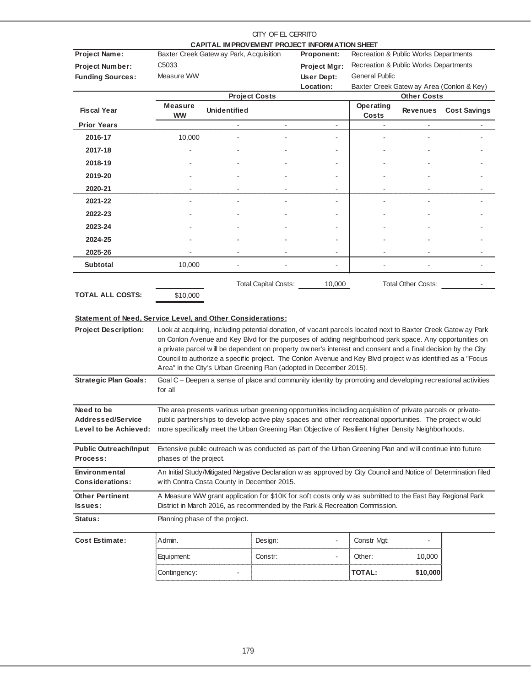|                                                             |                             |                                            | CITY OF EL CERRITO   | CAPITAL IMPROVEMENT PROJECT INFORMATION SHEET                                                                                                                                                                     |                                       |                    |                                           |
|-------------------------------------------------------------|-----------------------------|--------------------------------------------|----------------------|-------------------------------------------------------------------------------------------------------------------------------------------------------------------------------------------------------------------|---------------------------------------|--------------------|-------------------------------------------|
| <b>Project Name:</b>                                        |                             | Baxter Creek Gatew ay Park, Acquisition    |                      | Proponent:                                                                                                                                                                                                        | Recreation & Public Works Departments |                    |                                           |
| <b>Project Number:</b>                                      | C <sub>5033</sub>           |                                            |                      | Project Mgr:                                                                                                                                                                                                      | Recreation & Public Works Departments |                    |                                           |
| <b>Funding Sources:</b>                                     | Measure WW                  |                                            |                      | User Dept:                                                                                                                                                                                                        | <b>General Public</b>                 |                    |                                           |
|                                                             |                             |                                            |                      | Location:                                                                                                                                                                                                         |                                       |                    | Baxter Creek Gatew ay Area (Conlon & Key) |
|                                                             |                             |                                            | <b>Project Costs</b> |                                                                                                                                                                                                                   |                                       | <b>Other Costs</b> |                                           |
| <b>Fiscal Year</b>                                          | <b>Measure</b><br><b>WW</b> | <b>Unidentified</b>                        |                      |                                                                                                                                                                                                                   | Operating<br>Costs                    | Revenues           | <b>Cost Savings</b>                       |
| <b>Prior Years</b>                                          |                             |                                            |                      |                                                                                                                                                                                                                   |                                       |                    |                                           |
| 2016-17                                                     | 10,000                      |                                            |                      |                                                                                                                                                                                                                   |                                       |                    |                                           |
| 2017-18                                                     |                             |                                            |                      |                                                                                                                                                                                                                   |                                       |                    |                                           |
| 2018-19                                                     |                             |                                            |                      |                                                                                                                                                                                                                   |                                       |                    |                                           |
| 2019-20                                                     |                             |                                            |                      |                                                                                                                                                                                                                   |                                       |                    |                                           |
| 2020-21                                                     |                             |                                            |                      |                                                                                                                                                                                                                   |                                       |                    |                                           |
| 2021-22                                                     |                             |                                            |                      |                                                                                                                                                                                                                   |                                       |                    |                                           |
| 2022-23                                                     |                             |                                            |                      |                                                                                                                                                                                                                   |                                       |                    |                                           |
| 2023-24                                                     |                             |                                            |                      |                                                                                                                                                                                                                   |                                       |                    |                                           |
| 2024-25                                                     |                             |                                            |                      |                                                                                                                                                                                                                   |                                       |                    |                                           |
| 2025-26                                                     |                             |                                            | $\blacksquare$       | $\overline{\phantom{a}}$                                                                                                                                                                                          |                                       |                    |                                           |
| <b>Subtotal</b>                                             | 10,000                      |                                            |                      |                                                                                                                                                                                                                   |                                       |                    |                                           |
|                                                             |                             |                                            | Total Capital Costs: | 10,000                                                                                                                                                                                                            |                                       | Total Other Costs: |                                           |
| <b>TOTAL ALL COSTS:</b>                                     | \$10,000                    |                                            |                      |                                                                                                                                                                                                                   |                                       |                    |                                           |
|                                                             |                             |                                            |                      |                                                                                                                                                                                                                   |                                       |                    |                                           |
| Statement of Need, Service Level, and Other Considerations: |                             |                                            |                      |                                                                                                                                                                                                                   |                                       |                    |                                           |
| <b>Project Description:</b>                                 |                             |                                            |                      | Look at acquiring, including potential donation, of vacant parcels located next to Baxter Creek Gatew ay Park                                                                                                     |                                       |                    |                                           |
|                                                             |                             |                                            |                      | on Conlon Avenue and Key Blvd for the purposes of adding neighborhood park space. Any opportunities on                                                                                                            |                                       |                    |                                           |
|                                                             |                             |                                            |                      | a private parcel will be dependent on property ow ner's interest and consent and a final decision by the City                                                                                                     |                                       |                    |                                           |
|                                                             |                             |                                            |                      | Council to authorize a specific project. The Conlon Avenue and Key Blvd project w as identified as a "Focus<br>Area" in the City's Urban Greening Plan (adopted in December 2015).                                |                                       |                    |                                           |
| <b>Strategic Plan Goals:</b>                                |                             |                                            |                      | Goal C – Deepen a sense of place and community identity by promoting and developing recreational activities                                                                                                       |                                       |                    |                                           |
|                                                             | for all                     |                                            |                      |                                                                                                                                                                                                                   |                                       |                    |                                           |
|                                                             |                             |                                            |                      |                                                                                                                                                                                                                   |                                       |                    |                                           |
| Need to be                                                  |                             |                                            |                      | The area presents various urban greening opportunities including acquisition of private parcels or private-                                                                                                       |                                       |                    |                                           |
| <b>Addressed/Service</b><br>Level to be Achieved:           |                             |                                            |                      | public partnerships to develop active play spaces and other recreational opportunities. The project w ould<br>more specifically meet the Urban Greening Plan Objective of Resilient Higher Density Neighborhoods. |                                       |                    |                                           |
|                                                             |                             |                                            |                      |                                                                                                                                                                                                                   |                                       |                    |                                           |
| <b>Public Outreach/Input</b>                                |                             |                                            |                      | Extensive public outreach w as conducted as part of the Urban Greening Plan and will continue into future                                                                                                         |                                       |                    |                                           |
| Process:                                                    | phases of the project.      |                                            |                      |                                                                                                                                                                                                                   |                                       |                    |                                           |
| <b>Environmental</b>                                        |                             |                                            |                      | An Initial Study/Mitigated Negative Declaration w as approved by City Council and Notice of Determination filed                                                                                                   |                                       |                    |                                           |
| <b>Considerations:</b>                                      |                             | with Contra Costa County in December 2015. |                      |                                                                                                                                                                                                                   |                                       |                    |                                           |
| <b>Other Pertinent</b>                                      |                             |                                            |                      | A Measure WW grant application for \$10K for soft costs only w as submitted to the East Bay Regional Park                                                                                                         |                                       |                    |                                           |
| Issues:                                                     |                             |                                            |                      | District in March 2016, as recommended by the Park & Recreation Commission.                                                                                                                                       |                                       |                    |                                           |
| Status:                                                     |                             | Planning phase of the project.             |                      |                                                                                                                                                                                                                   |                                       |                    |                                           |
| Cost Estimate:                                              | Admin.                      |                                            | Design:              |                                                                                                                                                                                                                   | Constr Mgt:                           |                    |                                           |
|                                                             | Equipment:                  |                                            | Constr:              |                                                                                                                                                                                                                   | Other:                                | 10,000             |                                           |
|                                                             | Contingency:                |                                            |                      |                                                                                                                                                                                                                   | <b>TOTAL:</b>                         | \$10,000           |                                           |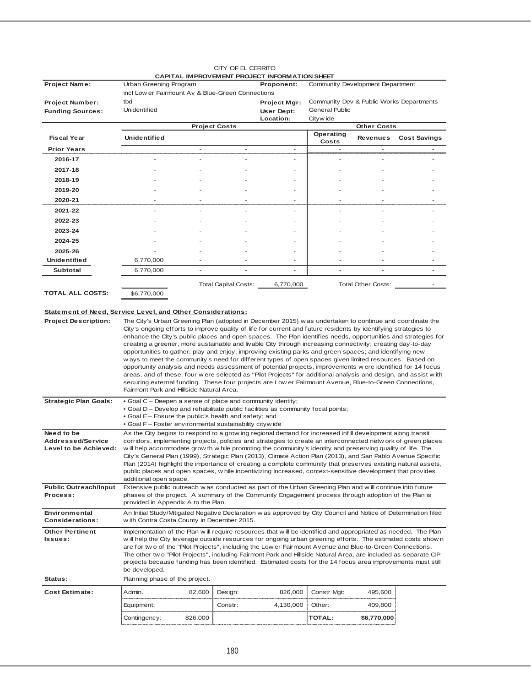|                                                             |                                                                                                                                                                                                                                |                |                          | CAPITAL IMPROVEMENT PROJECT INFORMATION SHEET |                                          |                          |                          |
|-------------------------------------------------------------|--------------------------------------------------------------------------------------------------------------------------------------------------------------------------------------------------------------------------------|----------------|--------------------------|-----------------------------------------------|------------------------------------------|--------------------------|--------------------------|
| <b>Project Name:</b>                                        | Urban Greening Program                                                                                                                                                                                                         |                |                          | Proponent:                                    | Community Development Department         |                          |                          |
|                                                             | incl Low er Fairmount Av & Blue-Green Connections                                                                                                                                                                              |                |                          |                                               |                                          |                          |                          |
| <b>Project Number:</b>                                      | tbd<br><b>Unidentified</b>                                                                                                                                                                                                     |                |                          | Project Mgr:                                  | Community Dev & Public Works Departments |                          |                          |
| <b>Funding Sources:</b>                                     |                                                                                                                                                                                                                                |                |                          | User Dept:<br>Location:                       | <b>General Public</b><br>Cityw ide       |                          |                          |
|                                                             |                                                                                                                                                                                                                                |                | <b>Project Costs</b>     |                                               |                                          | <b>Other Costs</b>       |                          |
| <b>Fiscal Year</b>                                          | <b>Unidentified</b>                                                                                                                                                                                                            |                |                          |                                               | Operating<br>Costs                       |                          | Revenues Cost Savings    |
| <b>Prior Years</b>                                          |                                                                                                                                                                                                                                | $\blacksquare$ | $\overline{\phantom{a}}$ | $\overline{\phantom{a}}$                      | $\overline{\phantom{a}}$                 | $\overline{\phantom{a}}$ | $\overline{a}$           |
| 2016-17                                                     |                                                                                                                                                                                                                                | ٠              | ۰                        | ٠                                             | ٠                                        | $\overline{a}$           |                          |
| 2017-18                                                     |                                                                                                                                                                                                                                |                |                          |                                               |                                          |                          |                          |
| 2018-19                                                     |                                                                                                                                                                                                                                |                |                          |                                               |                                          |                          |                          |
| 2019-20                                                     |                                                                                                                                                                                                                                |                |                          |                                               |                                          |                          |                          |
| 2020-21                                                     |                                                                                                                                                                                                                                |                |                          |                                               |                                          |                          |                          |
| 2021-22                                                     |                                                                                                                                                                                                                                |                |                          |                                               |                                          |                          |                          |
| 2022-23                                                     |                                                                                                                                                                                                                                |                |                          |                                               |                                          |                          |                          |
| 2023-24                                                     |                                                                                                                                                                                                                                |                |                          |                                               |                                          |                          |                          |
| 2024-25                                                     |                                                                                                                                                                                                                                |                |                          |                                               |                                          |                          |                          |
| 2025-26                                                     |                                                                                                                                                                                                                                |                |                          |                                               |                                          |                          |                          |
| <b>Unidentified</b>                                         | 6,770,000                                                                                                                                                                                                                      |                |                          |                                               |                                          |                          |                          |
| <b>Subtotal</b>                                             | 6,770,000                                                                                                                                                                                                                      |                |                          |                                               |                                          |                          |                          |
|                                                             |                                                                                                                                                                                                                                |                | Total Capital Costs:     | 6,770,000                                     |                                          | Total Other Costs:       | $\overline{\phantom{a}}$ |
| <b>TOTAL ALL COSTS:</b>                                     | \$6,770,000                                                                                                                                                                                                                    |                |                          |                                               |                                          |                          |                          |
|                                                             |                                                                                                                                                                                                                                |                |                          |                                               |                                          |                          |                          |
| Statement of Need, Service Level, and Other Considerations: |                                                                                                                                                                                                                                |                |                          |                                               |                                          |                          |                          |
| <b>Project Description:</b>                                 | The City's Urban Greening Plan (adopted in December 2015) w as undertaken to continue and coordinate the                                                                                                                       |                |                          |                                               |                                          |                          |                          |
|                                                             | City's ongoing efforts to improve quality of life for current and future residents by identifying strategies to                                                                                                                |                |                          |                                               |                                          |                          |                          |
|                                                             | enhance the City's public places and open spaces. The Plan identifies needs, opportunities and strategies for<br>creating a greener, more sustainable and livable City through increasing connectivity; creating day-to-day    |                |                          |                                               |                                          |                          |                          |
|                                                             | opportunities to gather, play and enjoy; improving existing parks and green spaces; and identifying new                                                                                                                        |                |                          |                                               |                                          |                          |                          |
|                                                             | w ays to meet the community's need for different types of open spaces given limited resources. Based on                                                                                                                        |                |                          |                                               |                                          |                          |                          |
|                                                             | opportunity analysis and needs assessment of potential projects, improvements w ere identified for 14 focus                                                                                                                    |                |                          |                                               |                                          |                          |                          |
|                                                             | areas, and of these, four were selected as "Pilot Projects" for additional analysis and design, and assist with<br>securing external funding. These four projects are Low er Fairmount Avenue, Blue-to-Green Connections,      |                |                          |                                               |                                          |                          |                          |
|                                                             | Fairmont Park and Hillside Natural Area.                                                                                                                                                                                       |                |                          |                                               |                                          |                          |                          |
| <b>Strategic Plan Goals:</b>                                | . Goal C - Deepen a sense of place and community identity;                                                                                                                                                                     |                |                          |                                               |                                          |                          |                          |
|                                                             | • Goal D – Develop and rehabilitate public facilities as community focal points;                                                                                                                                               |                |                          |                                               |                                          |                          |                          |
|                                                             | • Goal E – Ensure the public's health and safety; and                                                                                                                                                                          |                |                          |                                               |                                          |                          |                          |
| Need to be                                                  | • Goal F – Foster environmental sustainability citywide<br>As the City begins to respond to a grow ing regional demand for increased infill development along transit                                                          |                |                          |                                               |                                          |                          |                          |
| <b>Addressed/Service</b>                                    | corridors, implementing projects, policies and strategies to create an interconnected netw ork of green places                                                                                                                 |                |                          |                                               |                                          |                          |                          |
| Level to be Achieved:                                       | will help accommodate grow th w hile promoting the community's identity and preserving quality of life. The                                                                                                                    |                |                          |                                               |                                          |                          |                          |
|                                                             | City's General Plan (1999), Strategic Plan (2013), Climate Action Plan (2013), and San Pablo Avenue Specific<br>Plan (2014) highlight the importance of creating a complete community that preserves existing natural assets,  |                |                          |                                               |                                          |                          |                          |
|                                                             | public places and open spaces, w hile incentivizing increased, context-sensitive development that provides                                                                                                                     |                |                          |                                               |                                          |                          |                          |
|                                                             | additional open space.                                                                                                                                                                                                         |                |                          |                                               |                                          |                          |                          |
| <b>Public Outreach/Input</b>                                | Extensive public outreach w as conducted as part of the Urban Greening Plan and will continue into future                                                                                                                      |                |                          |                                               |                                          |                          |                          |
| Process:                                                    | phases of the project. A summary of the Community Engagement process through adoption of the Plan is<br>provided in Appendix A to the Plan.                                                                                    |                |                          |                                               |                                          |                          |                          |
| <b>Environmental</b>                                        | An Initial Study/Mitigated Negative Declaration w as approved by City Council and Notice of Determination filed                                                                                                                |                |                          |                                               |                                          |                          |                          |
| <b>Considerations:</b>                                      | w ith Contra Costa County in December 2015.                                                                                                                                                                                    |                |                          |                                               |                                          |                          |                          |
| <b>Other Pertinent</b><br>Issues:                           | Implementation of the Plan will require resources that will be identified and appropriated as needed. The Plan<br>will help the City leverage outside resources for ongoing urban greening efforts. The estimated costs show n |                |                          |                                               |                                          |                          |                          |
|                                                             | are for two of the "Pilot Projects", including the Low er Fairmount Avenue and Blue-to-Green Connections.                                                                                                                      |                |                          |                                               |                                          |                          |                          |
|                                                             | The other tw o "Pilot Projects", including Fairmont Park and Hillside Natural Area, are included as separate CIP                                                                                                               |                |                          |                                               |                                          |                          |                          |
|                                                             | projects because funding has been identified. Estimated costs for the 14 focus area improvements must still                                                                                                                    |                |                          |                                               |                                          |                          |                          |
| Status:                                                     | be developed.<br>Planning phase of the project.                                                                                                                                                                                |                |                          |                                               |                                          |                          |                          |
| <b>Cost Estimate:</b>                                       | Admin.                                                                                                                                                                                                                         | 82,600         | Design:                  | 826,000                                       | Constr Mgt:                              | 495,600                  |                          |
|                                                             | Equipment:                                                                                                                                                                                                                     |                | Constr:                  | 4,130,000                                     | Other:                                   | 409,800                  |                          |
|                                                             |                                                                                                                                                                                                                                | 826,000        |                          |                                               | <b>TOTAL:</b>                            | \$6,770,000              |                          |
|                                                             | Contingency:                                                                                                                                                                                                                   |                |                          |                                               |                                          |                          |                          |

CITY OF EL CERRITO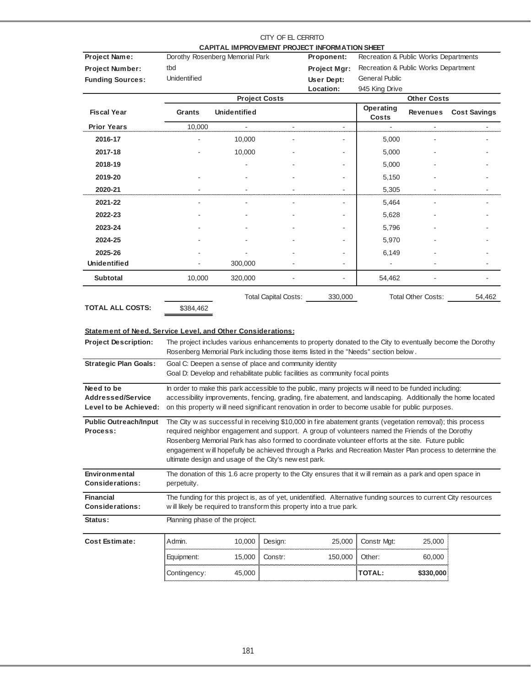|                                                                                        |                                |                                                        | CITY OF EL CERRITO          | CAPITAL IMPROVEMENT PROJECT INFORMATION SHEET                                                                                                                                                                                                                                                                                                                                                                                     |                                       |                    |                     |
|----------------------------------------------------------------------------------------|--------------------------------|--------------------------------------------------------|-----------------------------|-----------------------------------------------------------------------------------------------------------------------------------------------------------------------------------------------------------------------------------------------------------------------------------------------------------------------------------------------------------------------------------------------------------------------------------|---------------------------------------|--------------------|---------------------|
| <b>Project Name:</b>                                                                   |                                | Dorothy Rosenberg Memorial Park                        |                             | Proponent:                                                                                                                                                                                                                                                                                                                                                                                                                        | Recreation & Public Works Departments |                    |                     |
| Project Number:                                                                        | tbd                            |                                                        |                             | Project Mgr:                                                                                                                                                                                                                                                                                                                                                                                                                      | Recreation & Public Works Department  |                    |                     |
| <b>Funding Sources:</b>                                                                | <b>Unidentified</b>            |                                                        |                             | User Dept:                                                                                                                                                                                                                                                                                                                                                                                                                        | <b>General Public</b>                 |                    |                     |
|                                                                                        |                                |                                                        |                             | Location:                                                                                                                                                                                                                                                                                                                                                                                                                         | 945 King Drive                        |                    |                     |
|                                                                                        |                                |                                                        | <b>Project Costs</b>        |                                                                                                                                                                                                                                                                                                                                                                                                                                   |                                       | <b>Other Costs</b> |                     |
| <b>Fiscal Year</b>                                                                     | Grants                         | <b>Unidentified</b>                                    |                             |                                                                                                                                                                                                                                                                                                                                                                                                                                   | Operating<br>Costs                    | Revenues           | <b>Cost Savings</b> |
| <b>Prior Years</b>                                                                     | 10,000                         | ä,                                                     | $\overline{\phantom{a}}$    | $\overline{\phantom{a}}$                                                                                                                                                                                                                                                                                                                                                                                                          | $\overline{a}$                        | $\blacksquare$     |                     |
| 2016-17                                                                                |                                | 10,000                                                 |                             |                                                                                                                                                                                                                                                                                                                                                                                                                                   | 5,000                                 |                    |                     |
| 2017-18                                                                                |                                | 10,000                                                 |                             |                                                                                                                                                                                                                                                                                                                                                                                                                                   | 5,000                                 |                    |                     |
| 2018-19                                                                                |                                |                                                        |                             |                                                                                                                                                                                                                                                                                                                                                                                                                                   | 5,000                                 |                    |                     |
| 2019-20                                                                                |                                |                                                        |                             |                                                                                                                                                                                                                                                                                                                                                                                                                                   | 5,150                                 |                    |                     |
| 2020-21                                                                                |                                |                                                        |                             |                                                                                                                                                                                                                                                                                                                                                                                                                                   | 5,305                                 |                    |                     |
| 2021-22                                                                                |                                |                                                        |                             |                                                                                                                                                                                                                                                                                                                                                                                                                                   | 5,464                                 |                    |                     |
| 2022-23                                                                                |                                |                                                        |                             |                                                                                                                                                                                                                                                                                                                                                                                                                                   | 5,628                                 |                    |                     |
| 2023-24                                                                                |                                |                                                        |                             |                                                                                                                                                                                                                                                                                                                                                                                                                                   | 5,796                                 |                    |                     |
| 2024-25                                                                                |                                |                                                        |                             |                                                                                                                                                                                                                                                                                                                                                                                                                                   | 5,970                                 |                    |                     |
| 2025-26                                                                                |                                |                                                        |                             |                                                                                                                                                                                                                                                                                                                                                                                                                                   | 6,149                                 |                    |                     |
| Unidentified                                                                           |                                | 300,000                                                |                             |                                                                                                                                                                                                                                                                                                                                                                                                                                   |                                       |                    |                     |
| <b>Subtotal</b>                                                                        | 10,000                         | 320,000                                                |                             |                                                                                                                                                                                                                                                                                                                                                                                                                                   | 54,462                                |                    |                     |
| <b>TOTAL ALL COSTS:</b><br>Statement of Need, Service Level, and Other Considerations: | \$384,462                      |                                                        | <b>Total Capital Costs:</b> | 330,000                                                                                                                                                                                                                                                                                                                                                                                                                           |                                       | Total Other Costs: | 54,462              |
| <b>Project Description:</b>                                                            |                                |                                                        |                             | The project includes various enhancements to property donated to the City to eventually become the Dorothy<br>Rosenberg Memorial Park including those items listed in the "Needs" section below.                                                                                                                                                                                                                                  |                                       |                    |                     |
| <b>Strategic Plan Goals:</b>                                                           |                                | Goal C: Deepen a sense of place and community identity |                             | Goal D: Develop and rehabilitate public facilities as community focal points                                                                                                                                                                                                                                                                                                                                                      |                                       |                    |                     |
| Need to be                                                                             |                                |                                                        |                             | In order to make this park accessible to the public, many projects will need to be funded including:                                                                                                                                                                                                                                                                                                                              |                                       |                    |                     |
| Addressed/Service<br>Level to be Achieved:                                             |                                |                                                        |                             | accessibility improvements, fencing, grading, fire abatement, and landscaping. Additionally the home located<br>on this property will need significant renovation in order to become usable for public purposes.                                                                                                                                                                                                                  |                                       |                    |                     |
|                                                                                        |                                |                                                        |                             |                                                                                                                                                                                                                                                                                                                                                                                                                                   |                                       |                    |                     |
| <b>Public Outreach/Input</b><br>Process:                                               |                                | ultimate design and usage of the City's new est park.  |                             | The City w as successful in receiving \$10,000 in fire abatement grants (vegetation removal); this process<br>required neighbor engagement and support. A group of volunteers named the Friends of the Dorothy<br>Rosenberg Memorial Park has also formed to coordinate volunteer efforts at the site. Future public<br>engagement will hopefully be achieved through a Parks and Recreation Master Plan process to determine the |                                       |                    |                     |
| Environmental<br><b>Considerations:</b>                                                | perpetuity.                    |                                                        |                             | The donation of this 1.6 acre property to the City ensures that it will remain as a park and open space in                                                                                                                                                                                                                                                                                                                        |                                       |                    |                     |
| <b>Financial</b><br><b>Considerations:</b>                                             |                                |                                                        |                             | The funding for this project is, as of yet, unidentified. Alternative funding sources to current City resources<br>w ill likely be required to transform this property into a true park.                                                                                                                                                                                                                                          |                                       |                    |                     |
| Status:                                                                                | Planning phase of the project. |                                                        |                             |                                                                                                                                                                                                                                                                                                                                                                                                                                   |                                       |                    |                     |
| <b>Cost Estimate:</b>                                                                  | Admin.                         | 10,000                                                 | Design:                     | 25,000                                                                                                                                                                                                                                                                                                                                                                                                                            | Constr Mgt:                           | 25,000             |                     |
|                                                                                        | Equipment:                     | 15,000                                                 | Constr:                     | 150,000                                                                                                                                                                                                                                                                                                                                                                                                                           | Other:                                | 60,000             |                     |
|                                                                                        | Contingency:                   | 45,000                                                 |                             |                                                                                                                                                                                                                                                                                                                                                                                                                                   | <b>TOTAL:</b>                         | \$330,000          |                     |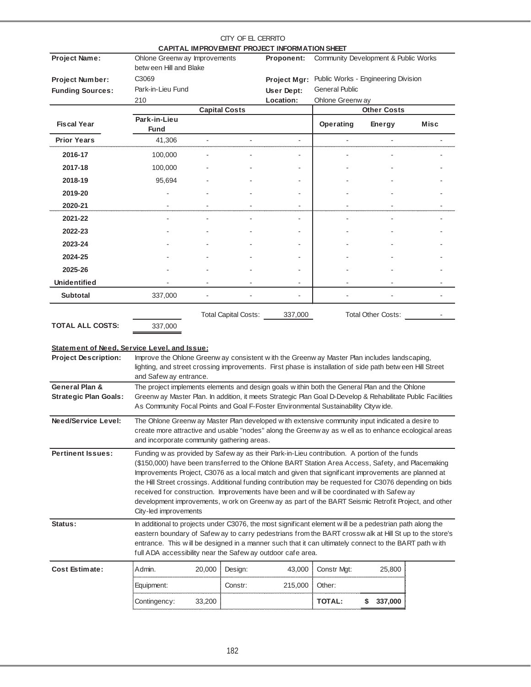|                         |                               |                             |  | CITY OF EL CERRITO                            |                                      |                           |      |  |
|-------------------------|-------------------------------|-----------------------------|--|-----------------------------------------------|--------------------------------------|---------------------------|------|--|
|                         |                               |                             |  | CAPITAL IMPROVEMENT PROJECT INFORMATION SHEET |                                      |                           |      |  |
| Project Name:           | Ohlone Greenw ay Improvements |                             |  | Proponent:                                    | Community Development & Public Works |                           |      |  |
|                         | betw een Hill and Blake       |                             |  |                                               |                                      |                           |      |  |
| <b>Project Number:</b>  | C3069                         |                             |  | Project Mgr:<br>User Dept:                    | Public Works - Engineering Division  |                           |      |  |
| <b>Funding Sources:</b> | Park-in-Lieu Fund             |                             |  |                                               | <b>General Public</b>                |                           |      |  |
|                         | 210                           |                             |  | Location:                                     | Ohlone Greenway                      |                           |      |  |
|                         |                               | <b>Capital Costs</b>        |  |                                               |                                      | <b>Other Costs</b>        |      |  |
| <b>Fiscal Year</b>      | Park-in-Lieu<br><b>Fund</b>   |                             |  |                                               | Operating                            | <b>Energy</b>             | Misc |  |
| <b>Prior Years</b>      | 41,306                        |                             |  |                                               |                                      |                           |      |  |
| 2016-17                 | 100,000                       |                             |  |                                               |                                      |                           |      |  |
| 2017-18                 | 100,000                       |                             |  |                                               |                                      |                           |      |  |
| 2018-19                 | 95,694                        |                             |  |                                               |                                      |                           |      |  |
| 2019-20                 |                               |                             |  |                                               |                                      |                           |      |  |
| 2020-21                 |                               |                             |  |                                               |                                      |                           |      |  |
| 2021-22                 |                               |                             |  |                                               |                                      |                           |      |  |
| 2022-23                 |                               |                             |  |                                               |                                      |                           |      |  |
| 2023-24                 |                               |                             |  |                                               |                                      |                           |      |  |
| 2024-25                 |                               |                             |  |                                               |                                      |                           |      |  |
| 2025-26                 |                               |                             |  |                                               |                                      |                           |      |  |
| <b>Unidentified</b>     |                               |                             |  |                                               |                                      |                           |      |  |
| <b>Subtotal</b>         | 337,000                       |                             |  | ÷.                                            |                                      |                           |      |  |
|                         |                               | <b>Total Capital Costs:</b> |  | 337,000                                       |                                      | <b>Total Other Costs:</b> |      |  |
| <b>TOTAL ALL COSTS:</b> | 337,000                       |                             |  |                                               |                                      |                           |      |  |

## **Statement of Need, Service Level, and Issue:**

| <b>Project Description:</b>                    | and Safew ay entrance.                                                                                                                                                                                                                                                                                                                                                                                                                                                                                                                                                                                                                          | Improve the Ohlone Greenw ay consistent with the Greenw ay Master Plan includes landscaping,<br>lighting, and street crossing improvements. First phase is installation of side path between Hill Street<br>The project implements elements and design goals within both the General Plan and the Ohlone                                                                                  |                                                                                                                                                                                                        |  |  |  |  |  |  |  |  |  |
|------------------------------------------------|-------------------------------------------------------------------------------------------------------------------------------------------------------------------------------------------------------------------------------------------------------------------------------------------------------------------------------------------------------------------------------------------------------------------------------------------------------------------------------------------------------------------------------------------------------------------------------------------------------------------------------------------------|-------------------------------------------------------------------------------------------------------------------------------------------------------------------------------------------------------------------------------------------------------------------------------------------------------------------------------------------------------------------------------------------|--------------------------------------------------------------------------------------------------------------------------------------------------------------------------------------------------------|--|--|--|--|--|--|--|--|--|
| General Plan &<br><b>Strategic Plan Goals:</b> |                                                                                                                                                                                                                                                                                                                                                                                                                                                                                                                                                                                                                                                 | As Community Focal Points and Goal F-Foster Environmental Sustainability Citywide.                                                                                                                                                                                                                                                                                                        | Greenw ay Master Plan. In addition, it meets Strategic Plan Goal D-Develop & Rehabilitate Public Facilities                                                                                            |  |  |  |  |  |  |  |  |  |
| Need/Service Level:                            | and incorporate community gathering areas.                                                                                                                                                                                                                                                                                                                                                                                                                                                                                                                                                                                                      |                                                                                                                                                                                                                                                                                                                                                                                           | The Ohlone Greenw ay Master Plan developed with extensive community input indicated a desire to<br>create more attractive and usable "nodes" along the Greenway as well as to enhance ecological areas |  |  |  |  |  |  |  |  |  |
| <b>Pertinent Issues:</b>                       | Funding w as provided by Safew ay as their Park-in-Lieu contribution. A portion of the funds<br>(\$150,000) have been transferred to the Ohlone BART Station Area Access, Safety, and Placemaking<br>Improvements Project, C3076 as a local match and given that significant improvements are planned at<br>the Hill Street crossings. Additional funding contribution may be requested for C3076 depending on bids<br>received for construction. Improvements have been and will be coordinated with Safew ay<br>development improvements, w ork on Greenw ay as part of the BART Seismic Retrofit Project, and other<br>City-led improvements |                                                                                                                                                                                                                                                                                                                                                                                           |                                                                                                                                                                                                        |  |  |  |  |  |  |  |  |  |
| Status:                                        |                                                                                                                                                                                                                                                                                                                                                                                                                                                                                                                                                                                                                                                 | In additional to projects under C3076, the most significant element will be a pedestrian path along the<br>eastern boundary of Safew ay to carry pedestrians from the BART crosswalk at Hill St up to the store's<br>entrance. This will be designed in a manner such that it can ultimately connect to the BART path with<br>full ADA accessibility near the Safew ay outdoor cafe area. |                                                                                                                                                                                                        |  |  |  |  |  |  |  |  |  |
| <b>Cost Estimate:</b>                          | Admin.<br>20,000                                                                                                                                                                                                                                                                                                                                                                                                                                                                                                                                                                                                                                | Design:<br>43,000                                                                                                                                                                                                                                                                                                                                                                         | Constr Mgt:<br>25,800                                                                                                                                                                                  |  |  |  |  |  |  |  |  |  |
|                                                | Equipment:                                                                                                                                                                                                                                                                                                                                                                                                                                                                                                                                                                                                                                      | 215,000<br>Constr:                                                                                                                                                                                                                                                                                                                                                                        | Other:                                                                                                                                                                                                 |  |  |  |  |  |  |  |  |  |
|                                                | Contingency:<br>33,200                                                                                                                                                                                                                                                                                                                                                                                                                                                                                                                                                                                                                          |                                                                                                                                                                                                                                                                                                                                                                                           | <b>TOTAL:</b><br>S<br>337,000                                                                                                                                                                          |  |  |  |  |  |  |  |  |  |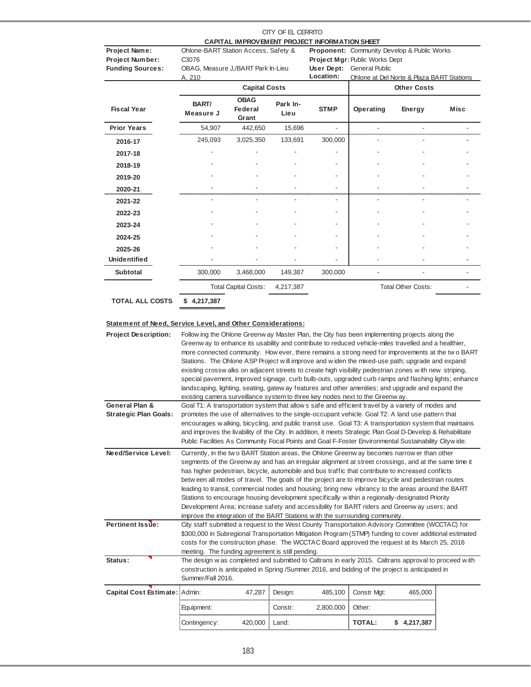|                                                                    |                                                                                                                                                                                                                                                                                                                                                                                                                                                                                                                                                                                                                                                                                                                                                                                                                     |                             | CITY OF EL CERRITO | CAPITAL IMPROVEMENT PROJECT INFORMATION SHEET |                                                                                                                          |                                                                 |      |
|--------------------------------------------------------------------|---------------------------------------------------------------------------------------------------------------------------------------------------------------------------------------------------------------------------------------------------------------------------------------------------------------------------------------------------------------------------------------------------------------------------------------------------------------------------------------------------------------------------------------------------------------------------------------------------------------------------------------------------------------------------------------------------------------------------------------------------------------------------------------------------------------------|-----------------------------|--------------------|-----------------------------------------------|--------------------------------------------------------------------------------------------------------------------------|-----------------------------------------------------------------|------|
| Project Name:<br><b>Project Number:</b><br><b>Funding Sources:</b> | Ohlone-BART Station Access, Safety &<br>C3076<br>OBAG, Measure J,/BART Park In-Lieu                                                                                                                                                                                                                                                                                                                                                                                                                                                                                                                                                                                                                                                                                                                                 |                             |                    | Location:                                     | Proponent: Community Develop & Public Works<br><b>Project Mgr: Public Works Dept</b><br><b>User Dept: General Public</b> |                                                                 |      |
|                                                                    | A. 210                                                                                                                                                                                                                                                                                                                                                                                                                                                                                                                                                                                                                                                                                                                                                                                                              | <b>Capital Costs</b>        |                    |                                               |                                                                                                                          | Ohlone at Del Norte & Plaza BART Stations<br><b>Other Costs</b> |      |
|                                                                    |                                                                                                                                                                                                                                                                                                                                                                                                                                                                                                                                                                                                                                                                                                                                                                                                                     | <b>OBAG</b>                 |                    |                                               |                                                                                                                          |                                                                 |      |
| <b>Fiscal Year</b>                                                 | BART/<br>Measure J                                                                                                                                                                                                                                                                                                                                                                                                                                                                                                                                                                                                                                                                                                                                                                                                  | Federal<br>Grant            | Park In-<br>Lieu   | <b>STMP</b>                                   | Operating                                                                                                                | Energy                                                          | Misc |
| <b>Prior Years</b>                                                 | 54,907                                                                                                                                                                                                                                                                                                                                                                                                                                                                                                                                                                                                                                                                                                                                                                                                              | 442,650                     | 15,696             |                                               |                                                                                                                          |                                                                 |      |
| 2016-17                                                            | 245,093                                                                                                                                                                                                                                                                                                                                                                                                                                                                                                                                                                                                                                                                                                                                                                                                             | 3,025,350                   | 133,691            | 300,000                                       |                                                                                                                          |                                                                 |      |
| 2017-18                                                            |                                                                                                                                                                                                                                                                                                                                                                                                                                                                                                                                                                                                                                                                                                                                                                                                                     |                             |                    |                                               |                                                                                                                          |                                                                 |      |
| 2018-19                                                            |                                                                                                                                                                                                                                                                                                                                                                                                                                                                                                                                                                                                                                                                                                                                                                                                                     |                             |                    |                                               |                                                                                                                          |                                                                 |      |
| 2019-20                                                            |                                                                                                                                                                                                                                                                                                                                                                                                                                                                                                                                                                                                                                                                                                                                                                                                                     |                             |                    |                                               |                                                                                                                          |                                                                 |      |
| 2020-21                                                            |                                                                                                                                                                                                                                                                                                                                                                                                                                                                                                                                                                                                                                                                                                                                                                                                                     |                             | $\overline{a}$     | $\overline{\phantom{m}}$                      |                                                                                                                          |                                                                 |      |
| 2021-22                                                            |                                                                                                                                                                                                                                                                                                                                                                                                                                                                                                                                                                                                                                                                                                                                                                                                                     |                             |                    | ٠                                             | L,                                                                                                                       |                                                                 |      |
| 2022-23                                                            |                                                                                                                                                                                                                                                                                                                                                                                                                                                                                                                                                                                                                                                                                                                                                                                                                     |                             |                    |                                               |                                                                                                                          |                                                                 |      |
| 2023-24                                                            |                                                                                                                                                                                                                                                                                                                                                                                                                                                                                                                                                                                                                                                                                                                                                                                                                     |                             |                    |                                               |                                                                                                                          |                                                                 |      |
| 2024-25                                                            |                                                                                                                                                                                                                                                                                                                                                                                                                                                                                                                                                                                                                                                                                                                                                                                                                     |                             |                    |                                               |                                                                                                                          |                                                                 |      |
| 2025-26                                                            |                                                                                                                                                                                                                                                                                                                                                                                                                                                                                                                                                                                                                                                                                                                                                                                                                     |                             |                    |                                               |                                                                                                                          |                                                                 |      |
| <b>Unidentified</b>                                                |                                                                                                                                                                                                                                                                                                                                                                                                                                                                                                                                                                                                                                                                                                                                                                                                                     |                             |                    |                                               |                                                                                                                          |                                                                 |      |
| Subtotal                                                           | 300.000                                                                                                                                                                                                                                                                                                                                                                                                                                                                                                                                                                                                                                                                                                                                                                                                             | 3,468,000                   | 149,387            | 300,000                                       |                                                                                                                          |                                                                 |      |
|                                                                    |                                                                                                                                                                                                                                                                                                                                                                                                                                                                                                                                                                                                                                                                                                                                                                                                                     | <b>Total Capital Costs:</b> | 4,217,387          |                                               |                                                                                                                          | <b>Total Other Costs:</b>                                       |      |
| <b>TOTAL ALL COSTS</b>                                             | \$4,217,387                                                                                                                                                                                                                                                                                                                                                                                                                                                                                                                                                                                                                                                                                                                                                                                                         |                             |                    |                                               |                                                                                                                          |                                                                 |      |
| <b>Project Description:</b>                                        | Follow ing the Ohlone Greenw ay Master Plan, the City has been implementing projects along the<br>Greenw ay to enhance its usability and contribute to reduced vehicle-miles travelled and a healthier,<br>more connected community. How ever, there remains a strong need for improvements at the two BART<br>Stations. The Ohlone ASP Project will improve and widen the mixed-use path; upgrade and expand<br>existing crosswalks on adjacent streets to create high visibility pedestrian zones with new striping,<br>special pavement, improved signage, curb bulb-outs, upgraded curb ramps and flashing lights; enhance<br>landscaping, lighting, seating, gatew ay features and other amenities; and upgrade and expand the<br>existing camera surveillance system to three key nodes next to the Greenway. |                             |                    |                                               |                                                                                                                          |                                                                 |      |
| General Plan &<br><b>Strategic Plan Goals:</b>                     | Goal T1: A transportation system that allow s safe and efficient travel by a variety of modes and<br>promotes the use of alternatives to the single-occupant vehicle. Goal T2: A land use pattern that<br>encourages w alking, bicycling, and public transit use. Goal T3: A transportation system that maintains<br>and improves the livability of the City. In addition, it meets Strategic Plan Goal D-Develop & Rehabilitate<br>Public Facilities As Community Focal Points and Goal F-Foster Environmental Sustainability Citywide.                                                                                                                                                                                                                                                                            |                             |                    |                                               |                                                                                                                          |                                                                 |      |
| Need/Service Level:                                                | Currently, in the two BART Station areas, the Ohlone Greenway becomes narrow er than other<br>segments of the Greenw ay and has an irregular alignment at street crossings, and at the same time it<br>has higher pedestrian, bicycle, automobile and bus traffic that contribute to increased conflicts<br>betw een all modes of travel. The goals of the project are to improve bicycle and pedestrian routes<br>leading to transit, commercial nodes and housing; bring new vibrancy to the areas around the BART<br>Stations to encourage housing development specifically within a regionally-designated Priority<br>Development Area; increase safety and accessibility for BART riders and Greenway users; and<br>improve the integration of the BART Stations with the surrounding community.               |                             |                    |                                               |                                                                                                                          |                                                                 |      |
| Pertinent Issue:                                                   | City staff submitted a request to the West County Transportation Advisory Committee (WCCTAC) for<br>\$300,000 in Subregional Transportation Mitigation Program (STMP) funding to cover additional estimated<br>costs for the construction phase. The WCCTAC Board approved the request at its March 25, 2016<br>meeting. The funding agreement is still pending.                                                                                                                                                                                                                                                                                                                                                                                                                                                    |                             |                    |                                               |                                                                                                                          |                                                                 |      |
| Status:                                                            | The design w as completed and submitted to Caltrans in early 2015. Caltrans approval to proceed with<br>construction is anticipated in Spring /Summer 2016, and bidding of the project is anticipated in<br>Summer/Fall 2016.                                                                                                                                                                                                                                                                                                                                                                                                                                                                                                                                                                                       |                             |                    |                                               |                                                                                                                          |                                                                 |      |
| Capital Cost Estimate: Admin:                                      |                                                                                                                                                                                                                                                                                                                                                                                                                                                                                                                                                                                                                                                                                                                                                                                                                     | 47,287                      | Design:            | 485,100                                       | Constr Mgt:                                                                                                              | 465,000                                                         |      |
|                                                                    | Equipment:                                                                                                                                                                                                                                                                                                                                                                                                                                                                                                                                                                                                                                                                                                                                                                                                          |                             | Constr:            | 2,800,000                                     | Other:                                                                                                                   |                                                                 |      |
|                                                                    | Contingency:                                                                                                                                                                                                                                                                                                                                                                                                                                                                                                                                                                                                                                                                                                                                                                                                        | 420,000                     | Land:              |                                               | TOTAL:                                                                                                                   | \$4,217,387                                                     |      |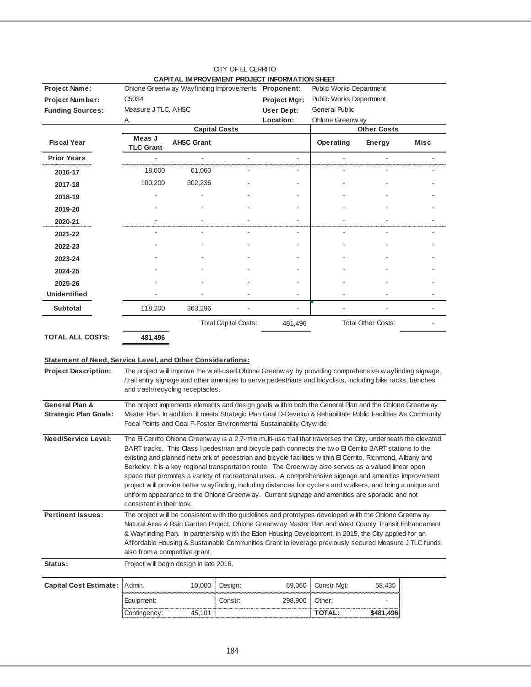|                                                                                            |                                                                                                                                                                                                                                                                                                                                                                                                                                                                                                                                                                                                                                                                                                                                                                                                        |                                                     |                             | CAPITAL IMPROVEMENT PROJECT INFORMATION SHEET                                                                                                                                                                                                                                                                                                                                                                                   |                         |                           |      |  |  |
|--------------------------------------------------------------------------------------------|--------------------------------------------------------------------------------------------------------------------------------------------------------------------------------------------------------------------------------------------------------------------------------------------------------------------------------------------------------------------------------------------------------------------------------------------------------------------------------------------------------------------------------------------------------------------------------------------------------------------------------------------------------------------------------------------------------------------------------------------------------------------------------------------------------|-----------------------------------------------------|-----------------------------|---------------------------------------------------------------------------------------------------------------------------------------------------------------------------------------------------------------------------------------------------------------------------------------------------------------------------------------------------------------------------------------------------------------------------------|-------------------------|---------------------------|------|--|--|
| Project Name:                                                                              |                                                                                                                                                                                                                                                                                                                                                                                                                                                                                                                                                                                                                                                                                                                                                                                                        | Ohlone Greenw ay Wayfinding Improvements Proponent: |                             |                                                                                                                                                                                                                                                                                                                                                                                                                                 | Public Works Department |                           |      |  |  |
| Project Number:                                                                            | C <sub>5034</sub>                                                                                                                                                                                                                                                                                                                                                                                                                                                                                                                                                                                                                                                                                                                                                                                      |                                                     |                             | Project Mgr:                                                                                                                                                                                                                                                                                                                                                                                                                    | Public Works Department |                           |      |  |  |
| <b>Funding Sources:</b>                                                                    | Measure J TLC, AHSC                                                                                                                                                                                                                                                                                                                                                                                                                                                                                                                                                                                                                                                                                                                                                                                    |                                                     |                             | User Dept:                                                                                                                                                                                                                                                                                                                                                                                                                      | <b>General Public</b>   |                           |      |  |  |
|                                                                                            | Α                                                                                                                                                                                                                                                                                                                                                                                                                                                                                                                                                                                                                                                                                                                                                                                                      |                                                     |                             | Location:                                                                                                                                                                                                                                                                                                                                                                                                                       | Ohlone Greenw ay        |                           |      |  |  |
|                                                                                            |                                                                                                                                                                                                                                                                                                                                                                                                                                                                                                                                                                                                                                                                                                                                                                                                        |                                                     | <b>Capital Costs</b>        |                                                                                                                                                                                                                                                                                                                                                                                                                                 |                         | Other Costs               |      |  |  |
| <b>Fiscal Year</b>                                                                         | Meas J<br><b>TLC Grant</b>                                                                                                                                                                                                                                                                                                                                                                                                                                                                                                                                                                                                                                                                                                                                                                             | <b>AHSC Grant</b>                                   |                             |                                                                                                                                                                                                                                                                                                                                                                                                                                 | Operating               | Energy                    | Misc |  |  |
| <b>Prior Years</b>                                                                         |                                                                                                                                                                                                                                                                                                                                                                                                                                                                                                                                                                                                                                                                                                                                                                                                        |                                                     |                             |                                                                                                                                                                                                                                                                                                                                                                                                                                 |                         |                           |      |  |  |
| 2016-17                                                                                    | 18,000                                                                                                                                                                                                                                                                                                                                                                                                                                                                                                                                                                                                                                                                                                                                                                                                 | 61,060                                              |                             |                                                                                                                                                                                                                                                                                                                                                                                                                                 |                         |                           |      |  |  |
| 2017-18                                                                                    | 100,200                                                                                                                                                                                                                                                                                                                                                                                                                                                                                                                                                                                                                                                                                                                                                                                                | 302,236                                             |                             |                                                                                                                                                                                                                                                                                                                                                                                                                                 |                         |                           |      |  |  |
| 2018-19                                                                                    |                                                                                                                                                                                                                                                                                                                                                                                                                                                                                                                                                                                                                                                                                                                                                                                                        |                                                     |                             |                                                                                                                                                                                                                                                                                                                                                                                                                                 |                         |                           |      |  |  |
| 2019-20                                                                                    |                                                                                                                                                                                                                                                                                                                                                                                                                                                                                                                                                                                                                                                                                                                                                                                                        |                                                     |                             |                                                                                                                                                                                                                                                                                                                                                                                                                                 |                         |                           |      |  |  |
| 2020-21                                                                                    |                                                                                                                                                                                                                                                                                                                                                                                                                                                                                                                                                                                                                                                                                                                                                                                                        |                                                     |                             |                                                                                                                                                                                                                                                                                                                                                                                                                                 |                         |                           |      |  |  |
| 2021-22                                                                                    |                                                                                                                                                                                                                                                                                                                                                                                                                                                                                                                                                                                                                                                                                                                                                                                                        |                                                     |                             |                                                                                                                                                                                                                                                                                                                                                                                                                                 |                         |                           |      |  |  |
| 2022-23                                                                                    |                                                                                                                                                                                                                                                                                                                                                                                                                                                                                                                                                                                                                                                                                                                                                                                                        |                                                     |                             |                                                                                                                                                                                                                                                                                                                                                                                                                                 |                         |                           |      |  |  |
| 2023-24                                                                                    |                                                                                                                                                                                                                                                                                                                                                                                                                                                                                                                                                                                                                                                                                                                                                                                                        |                                                     |                             |                                                                                                                                                                                                                                                                                                                                                                                                                                 |                         |                           |      |  |  |
| 2024-25                                                                                    |                                                                                                                                                                                                                                                                                                                                                                                                                                                                                                                                                                                                                                                                                                                                                                                                        |                                                     |                             |                                                                                                                                                                                                                                                                                                                                                                                                                                 |                         |                           |      |  |  |
| 2025-26                                                                                    |                                                                                                                                                                                                                                                                                                                                                                                                                                                                                                                                                                                                                                                                                                                                                                                                        |                                                     |                             |                                                                                                                                                                                                                                                                                                                                                                                                                                 |                         |                           |      |  |  |
| <b>Unidentified</b>                                                                        |                                                                                                                                                                                                                                                                                                                                                                                                                                                                                                                                                                                                                                                                                                                                                                                                        |                                                     |                             |                                                                                                                                                                                                                                                                                                                                                                                                                                 |                         |                           |      |  |  |
| <b>Subtotal</b>                                                                            | 118,200                                                                                                                                                                                                                                                                                                                                                                                                                                                                                                                                                                                                                                                                                                                                                                                                | 363,296                                             |                             |                                                                                                                                                                                                                                                                                                                                                                                                                                 |                         |                           |      |  |  |
|                                                                                            |                                                                                                                                                                                                                                                                                                                                                                                                                                                                                                                                                                                                                                                                                                                                                                                                        |                                                     | <b>Total Capital Costs:</b> | 481,496                                                                                                                                                                                                                                                                                                                                                                                                                         |                         | <b>Total Other Costs:</b> |      |  |  |
| <b>TOTAL ALL COSTS:</b>                                                                    | 481,496                                                                                                                                                                                                                                                                                                                                                                                                                                                                                                                                                                                                                                                                                                                                                                                                |                                                     |                             |                                                                                                                                                                                                                                                                                                                                                                                                                                 |                         |                           |      |  |  |
| Statement of Need, Service Level, and Other Considerations:<br><b>Project Description:</b> |                                                                                                                                                                                                                                                                                                                                                                                                                                                                                                                                                                                                                                                                                                                                                                                                        | and trash/recycling receptacles.                    |                             | The project will improve the well-used Ohlone Greenway by providing comprehensive wayfinding signage,<br>/trail entry signage and other amenities to serve pedestrians and bicyclists, including bike racks, benches                                                                                                                                                                                                            |                         |                           |      |  |  |
| General Plan &                                                                             |                                                                                                                                                                                                                                                                                                                                                                                                                                                                                                                                                                                                                                                                                                                                                                                                        |                                                     |                             | The project implements elements and design goals within both the General Plan and the Ohlone Greenw ay                                                                                                                                                                                                                                                                                                                          |                         |                           |      |  |  |
| <b>Strategic Plan Goals:</b>                                                               |                                                                                                                                                                                                                                                                                                                                                                                                                                                                                                                                                                                                                                                                                                                                                                                                        |                                                     |                             | Master Plan. In addition, it meets Strategic Plan Goal D-Develop & Rehabilitate Public Facilities As Community<br>Focal Points and Goal F-Foster Environmental Sustainability Citywide                                                                                                                                                                                                                                          |                         |                           |      |  |  |
| Need/Service Level:                                                                        | The El Cerrito Ohlone Greenw ay is a 2.7-mile multi-use trail that traverses the City, underneath the elevated<br>BART tracks. This Class I pedestrian and bicycle path connects the two E Cerrito BART stations to the<br>existing and planned netw ork of pedestrian and bicycle facilities within El Cerrito, Richmond, Albany and<br>Berkeley. It is a key regional transportation route. The Greenw ay also serves as a valued linear open<br>space that promotes a variety of recreational uses. A comprehensive signage and amenities improvement<br>project will provide better w ayfinding, including distances for cyclers and walkers, and bring a unique and<br>uniform appearance to the Ohlone Greenway. Current signage and amenities are sporadic and not<br>consistent in their look. |                                                     |                             |                                                                                                                                                                                                                                                                                                                                                                                                                                 |                         |                           |      |  |  |
| <b>Pertinent Issues:</b>                                                                   | also from a competitive grant.                                                                                                                                                                                                                                                                                                                                                                                                                                                                                                                                                                                                                                                                                                                                                                         |                                                     |                             | The project will be consistent with the guidelines and prototypes developed with the Ohlone Greenway<br>Natural Area & Rain Garden Project, Ohlone Greenw ay Master Plan and West County Transit Enhancement<br>& Wayfinding Plan. In partnership with the Eden Housing Development, in 2015, the City applied for an<br>Affordable Housing & Sustainable Communities Grant to leverage previously secured Measure J TLC funds, |                         |                           |      |  |  |
| Status:                                                                                    |                                                                                                                                                                                                                                                                                                                                                                                                                                                                                                                                                                                                                                                                                                                                                                                                        | Project will begin design in late 2016.             |                             |                                                                                                                                                                                                                                                                                                                                                                                                                                 |                         |                           |      |  |  |
| <b>Capital Cost Estimate:</b>                                                              | Admin.                                                                                                                                                                                                                                                                                                                                                                                                                                                                                                                                                                                                                                                                                                                                                                                                 | 10,000                                              | Design:                     | 69,060                                                                                                                                                                                                                                                                                                                                                                                                                          | Constr Mgt:             | 58,435                    |      |  |  |
|                                                                                            | Equipment:                                                                                                                                                                                                                                                                                                                                                                                                                                                                                                                                                                                                                                                                                                                                                                                             |                                                     | Constr:                     | 298,900                                                                                                                                                                                                                                                                                                                                                                                                                         | Other:                  |                           |      |  |  |
|                                                                                            | Contingency:                                                                                                                                                                                                                                                                                                                                                                                                                                                                                                                                                                                                                                                                                                                                                                                           | 45,101                                              |                             |                                                                                                                                                                                                                                                                                                                                                                                                                                 | TOTAL:                  | \$481,496                 |      |  |  |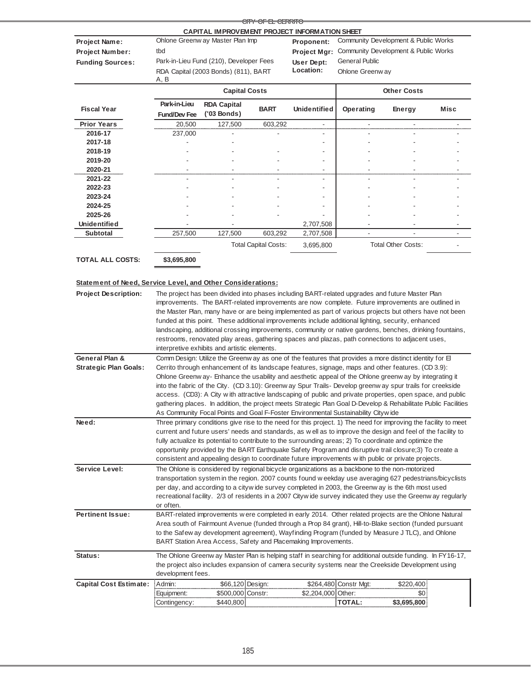|                                                             |                     |                                                                                                                 | <del>CITY OF EL CERRITO</del> |                          |                          |                                      |             |  |
|-------------------------------------------------------------|---------------------|-----------------------------------------------------------------------------------------------------------------|-------------------------------|--------------------------|--------------------------|--------------------------------------|-------------|--|
|                                                             |                     | CAPITAL IMPROVEMENT PROJECT INFORMATION SHEET                                                                   |                               |                          |                          |                                      |             |  |
| Project Name:                                               |                     | Ohlone Greenw ay Master Plan Imp                                                                                |                               | Proponent:               |                          | Community Development & Public Works |             |  |
| Project Number:                                             | tbd                 |                                                                                                                 |                               | Project Mgr:             |                          | Community Development & Public Works |             |  |
| <b>Funding Sources:</b>                                     |                     | Park-in-Lieu Fund (210), Developer Fees                                                                         |                               | User Dept:               | <b>General Public</b>    |                                      |             |  |
|                                                             | A, B                | RDA Capital (2003 Bonds) (811), BART                                                                            |                               | Location:                | Ohlone Greenway          |                                      |             |  |
|                                                             |                     | <b>Capital Costs</b>                                                                                            |                               |                          | <b>Other Costs</b>       |                                      |             |  |
|                                                             | Park-in-Lieu        | <b>RDA Capital</b>                                                                                              |                               |                          |                          |                                      |             |  |
| <b>Fiscal Year</b>                                          | <b>Fund/Dev Fee</b> | $(03$ Bonds)                                                                                                    | <b>BART</b>                   | <b>Unidentified</b>      | Operating                | Energy                               | <b>Misc</b> |  |
| <b>Prior Years</b>                                          | 20,500              | 127,500                                                                                                         | 603,292                       | $\overline{\phantom{a}}$ | $\overline{\phantom{a}}$ | $\overline{\phantom{a}}$             |             |  |
| 2016-17                                                     | 237,000             |                                                                                                                 |                               |                          |                          |                                      |             |  |
| 2017-18                                                     |                     |                                                                                                                 |                               |                          |                          |                                      |             |  |
| 2018-19                                                     |                     |                                                                                                                 |                               |                          |                          |                                      |             |  |
| 2019-20                                                     |                     |                                                                                                                 |                               |                          |                          |                                      |             |  |
| 2020-21                                                     |                     |                                                                                                                 |                               |                          |                          |                                      |             |  |
| 2021-22                                                     |                     |                                                                                                                 |                               |                          |                          |                                      |             |  |
| 2022-23                                                     |                     |                                                                                                                 |                               |                          |                          |                                      |             |  |
| 2023-24                                                     |                     |                                                                                                                 |                               |                          |                          |                                      |             |  |
| 2024-25                                                     |                     |                                                                                                                 |                               |                          |                          |                                      |             |  |
| 2025-26                                                     |                     |                                                                                                                 |                               |                          |                          |                                      |             |  |
| Unidentified                                                |                     |                                                                                                                 |                               | 2,707,508                |                          |                                      |             |  |
| <b>Subtotal</b>                                             | 257,500             | 127,500                                                                                                         | 603,292                       | 2,707,508                |                          |                                      | ÷,          |  |
|                                                             |                     |                                                                                                                 | <b>Total Capital Costs:</b>   | 3,695,800                |                          | <b>Total Other Costs:</b>            |             |  |
| <b>TOTAL ALL COSTS:</b>                                     | \$3,695,800         |                                                                                                                 |                               |                          |                          |                                      |             |  |
| Statement of Need, Service Level, and Other Considerations: |                     |                                                                                                                 |                               |                          |                          |                                      |             |  |
| <b>Project Description:</b>                                 |                     | The project has been divided into phases including BART-related upgrades and future Master Plan                 |                               |                          |                          |                                      |             |  |
|                                                             |                     | improvements. The BART-related improvements are now complete. Future improvements are outlined in               |                               |                          |                          |                                      |             |  |
|                                                             |                     | the Master Plan, many have or are being implemented as part of various projects but others have not been        |                               |                          |                          |                                      |             |  |
|                                                             |                     | funded at this point. These additional improvements include additional lighting, security, enhanced             |                               |                          |                          |                                      |             |  |
|                                                             |                     | landscaping, additional crossing improvements, community or native gardens, benches, drinking fountains,        |                               |                          |                          |                                      |             |  |
|                                                             |                     | restrooms, renovated play areas, gathering spaces and plazas, path connections to adjacent uses,                |                               |                          |                          |                                      |             |  |
|                                                             |                     | interpretive exhibits and artistic elements.                                                                    |                               |                          |                          |                                      |             |  |
| <b>General Plan &amp;</b>                                   |                     | Comm Design: Utilize the Greenw ay as one of the features that provides a more distinct identity for El         |                               |                          |                          |                                      |             |  |
| <b>Strategic Plan Goals:</b>                                |                     | Cerrito through enhancement of its landscape features, signage, maps and other features. (CD 3.9):              |                               |                          |                          |                                      |             |  |
|                                                             |                     | Ohlone Greenw ay-Enhance the usability and aesthetic appeal of the Ohlone greenw ay by integrating it           |                               |                          |                          |                                      |             |  |
|                                                             |                     | into the fabric of the City. (CD 3.10): Greenw ay Spur Trails- Develop greenw ay spur trails for creekside      |                               |                          |                          |                                      |             |  |
|                                                             |                     | access. (CD3): A City with attractive landscaping of public and private properties, open space, and public      |                               |                          |                          |                                      |             |  |
|                                                             |                     | gathering places. In addition, the project meets Strategic Plan Goal D-Develop & Rehabilitate Public Facilities |                               |                          |                          |                                      |             |  |

| General Plan &                                                                                     |                                                                                                     |                                                                                                             |                  | Comm Design: Utilize the Greenw ay as one of the features that provides a more distinct identity for E          |                       |             |  |  |  |
|----------------------------------------------------------------------------------------------------|-----------------------------------------------------------------------------------------------------|-------------------------------------------------------------------------------------------------------------|------------------|-----------------------------------------------------------------------------------------------------------------|-----------------------|-------------|--|--|--|
| <b>Strategic Plan Goals:</b>                                                                       |                                                                                                     |                                                                                                             |                  | Cerrito through enhancement of its landscape features, signage, maps and other features. (CD 3.9):              |                       |             |  |  |  |
|                                                                                                    |                                                                                                     |                                                                                                             |                  | Ohlone Greenw ay- Enhance the usability and aesthetic appeal of the Ohlone greenw ay by integrating it          |                       |             |  |  |  |
|                                                                                                    |                                                                                                     |                                                                                                             |                  | into the fabric of the City. (CD 3.10): Greenw ay Spur Trails- Develop greenw ay spur trails for creekside      |                       |             |  |  |  |
|                                                                                                    |                                                                                                     |                                                                                                             |                  | access. (CD3): A City with attractive landscaping of public and private properties, open space, and public      |                       |             |  |  |  |
|                                                                                                    |                                                                                                     |                                                                                                             |                  | gathering places. In addition, the project meets Strategic Plan Goal D-Develop & Rehabilitate Public Facilities |                       |             |  |  |  |
|                                                                                                    |                                                                                                     | As Community Focal Points and Goal F-Foster Environmental Sustainability Citywide                           |                  |                                                                                                                 |                       |             |  |  |  |
| Need:                                                                                              |                                                                                                     |                                                                                                             |                  | Three primary conditions give rise to the need for this project. 1) The need for improving the facility to meet |                       |             |  |  |  |
|                                                                                                    |                                                                                                     |                                                                                                             |                  | current and future users' needs and standards, as well as to improve the design and feel of the facility to     |                       |             |  |  |  |
|                                                                                                    |                                                                                                     |                                                                                                             |                  | fully actualize its potential to contribute to the surrounding areas; 2) To coordinate and optimize the         |                       |             |  |  |  |
|                                                                                                    |                                                                                                     |                                                                                                             |                  | opportunity provided by the BART Earthquake Safety Program and disruptive trail closure; 3) To create a         |                       |             |  |  |  |
| consistent and appealing design to coordinate future improvements with public or private projects. |                                                                                                     |                                                                                                             |                  |                                                                                                                 |                       |             |  |  |  |
| Service Level:                                                                                     |                                                                                                     |                                                                                                             |                  | The Ohlone is considered by regional bicycle organizations as a backbone to the non-motorized                   |                       |             |  |  |  |
|                                                                                                    |                                                                                                     |                                                                                                             |                  | transportation system in the region. 2007 counts found weekday use averaging 627 pedestrians/bicyclists         |                       |             |  |  |  |
|                                                                                                    |                                                                                                     | per day, and according to a citywide survey completed in 2003, the Greenway is the 6th most used            |                  |                                                                                                                 |                       |             |  |  |  |
|                                                                                                    |                                                                                                     | recreational facility. 2/3 of residents in a 2007 Citywide survey indicated they use the Greenway regularly |                  |                                                                                                                 |                       |             |  |  |  |
|                                                                                                    | or often.                                                                                           |                                                                                                             |                  |                                                                                                                 |                       |             |  |  |  |
| <b>Pertinent Issue:</b>                                                                            |                                                                                                     |                                                                                                             |                  | BART-related improvements w ere completed in early 2014. Other related projects are the Ohlone Natural          |                       |             |  |  |  |
|                                                                                                    |                                                                                                     |                                                                                                             |                  | Area south of Fairmount Avenue (funded through a Prop 84 grant), Hill-to-Blake section (funded pursuant         |                       |             |  |  |  |
|                                                                                                    |                                                                                                     |                                                                                                             |                  | to the Safew ay development agreement), Wayfinding Program (funded by Measure J TLC), and Ohlone                |                       |             |  |  |  |
|                                                                                                    |                                                                                                     | BART Station Area Access, Safety and Placemaking Improvements.                                              |                  |                                                                                                                 |                       |             |  |  |  |
| Status:                                                                                            |                                                                                                     | The Ohlone Greenw ay Master Plan is helping staff in searching for additional outside funding. In FY16-17,  |                  |                                                                                                                 |                       |             |  |  |  |
|                                                                                                    | the project also includes expansion of camera security systems near the Creekside Development using |                                                                                                             |                  |                                                                                                                 |                       |             |  |  |  |
|                                                                                                    | development fees.                                                                                   |                                                                                                             |                  |                                                                                                                 |                       |             |  |  |  |
| <b>Capital Cost Estimate:</b>                                                                      | Admin:                                                                                              |                                                                                                             | \$66,120 Design: |                                                                                                                 | \$264,480 Constr Mat: | \$220,400   |  |  |  |
|                                                                                                    | Equipment:                                                                                          | \$500,000 Constr:                                                                                           |                  | \$2,204,000 Other:                                                                                              |                       | \$0         |  |  |  |
|                                                                                                    | Contingency:                                                                                        | \$440,800                                                                                                   |                  |                                                                                                                 | <b>TOTAL:</b>         | \$3,695,800 |  |  |  |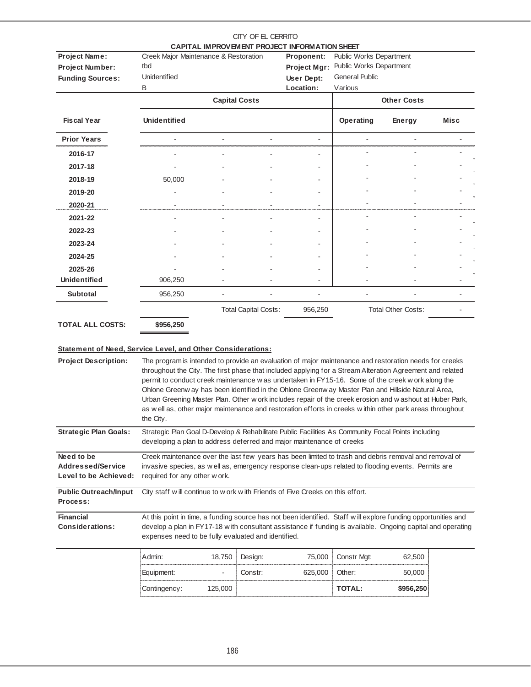|                                                                 |                                                                                                                                                                                                                                                                                                                                                                                                                                                                                                                                                                                                                                                                      |                      | CITY OF EL CERRITO          | CAPITAL IMPROVEMENT PROJECT INFORMATION SHEET |                                  |                    |      |  |  |
|-----------------------------------------------------------------|----------------------------------------------------------------------------------------------------------------------------------------------------------------------------------------------------------------------------------------------------------------------------------------------------------------------------------------------------------------------------------------------------------------------------------------------------------------------------------------------------------------------------------------------------------------------------------------------------------------------------------------------------------------------|----------------------|-----------------------------|-----------------------------------------------|----------------------------------|--------------------|------|--|--|
| <b>Project Name:</b>                                            | Creek Major Maintenance & Restoration                                                                                                                                                                                                                                                                                                                                                                                                                                                                                                                                                                                                                                |                      |                             | Proponent:                                    | Public Works Department          |                    |      |  |  |
| Project Number:                                                 | tbd                                                                                                                                                                                                                                                                                                                                                                                                                                                                                                                                                                                                                                                                  |                      |                             | Project Mgr:                                  | Public Works Department          |                    |      |  |  |
| <b>Funding Sources:</b>                                         | <b>Unidentified</b><br>В                                                                                                                                                                                                                                                                                                                                                                                                                                                                                                                                                                                                                                             |                      |                             | User Dept:<br>Location:                       | <b>General Public</b><br>Various |                    |      |  |  |
|                                                                 |                                                                                                                                                                                                                                                                                                                                                                                                                                                                                                                                                                                                                                                                      | <b>Capital Costs</b> |                             |                                               |                                  | <b>Other Costs</b> |      |  |  |
| <b>Fiscal Year</b>                                              | <b>Unidentified</b>                                                                                                                                                                                                                                                                                                                                                                                                                                                                                                                                                                                                                                                  |                      |                             |                                               | Operating                        | <b>Energy</b>      | Misc |  |  |
| <b>Prior Years</b>                                              |                                                                                                                                                                                                                                                                                                                                                                                                                                                                                                                                                                                                                                                                      |                      |                             | ÷.                                            |                                  |                    |      |  |  |
| 2016-17                                                         |                                                                                                                                                                                                                                                                                                                                                                                                                                                                                                                                                                                                                                                                      |                      |                             |                                               |                                  |                    |      |  |  |
| 2017-18                                                         |                                                                                                                                                                                                                                                                                                                                                                                                                                                                                                                                                                                                                                                                      |                      |                             |                                               |                                  |                    |      |  |  |
| 2018-19                                                         | 50,000                                                                                                                                                                                                                                                                                                                                                                                                                                                                                                                                                                                                                                                               |                      |                             |                                               |                                  |                    |      |  |  |
| 2019-20                                                         |                                                                                                                                                                                                                                                                                                                                                                                                                                                                                                                                                                                                                                                                      |                      |                             |                                               |                                  |                    |      |  |  |
| 2020-21                                                         |                                                                                                                                                                                                                                                                                                                                                                                                                                                                                                                                                                                                                                                                      |                      |                             |                                               |                                  |                    |      |  |  |
| 2021-22                                                         |                                                                                                                                                                                                                                                                                                                                                                                                                                                                                                                                                                                                                                                                      |                      |                             |                                               |                                  |                    |      |  |  |
| 2022-23                                                         |                                                                                                                                                                                                                                                                                                                                                                                                                                                                                                                                                                                                                                                                      |                      |                             |                                               |                                  |                    |      |  |  |
| 2023-24                                                         |                                                                                                                                                                                                                                                                                                                                                                                                                                                                                                                                                                                                                                                                      |                      |                             |                                               |                                  |                    |      |  |  |
| 2024-25                                                         |                                                                                                                                                                                                                                                                                                                                                                                                                                                                                                                                                                                                                                                                      |                      |                             |                                               |                                  |                    |      |  |  |
| 2025-26                                                         |                                                                                                                                                                                                                                                                                                                                                                                                                                                                                                                                                                                                                                                                      |                      |                             |                                               |                                  |                    |      |  |  |
| <b>Unidentified</b>                                             | 906,250                                                                                                                                                                                                                                                                                                                                                                                                                                                                                                                                                                                                                                                              |                      |                             |                                               |                                  |                    |      |  |  |
| <b>Subtotal</b>                                                 | 956,250                                                                                                                                                                                                                                                                                                                                                                                                                                                                                                                                                                                                                                                              |                      |                             |                                               |                                  |                    |      |  |  |
|                                                                 |                                                                                                                                                                                                                                                                                                                                                                                                                                                                                                                                                                                                                                                                      |                      | <b>Total Capital Costs:</b> | 956,250                                       | <b>Total Other Costs:</b>        |                    |      |  |  |
| <b>TOTAL ALL COSTS:</b>                                         | \$956,250                                                                                                                                                                                                                                                                                                                                                                                                                                                                                                                                                                                                                                                            |                      |                             |                                               |                                  |                    |      |  |  |
| Statement of Need, Service Level, and Other Considerations:     |                                                                                                                                                                                                                                                                                                                                                                                                                                                                                                                                                                                                                                                                      |                      |                             |                                               |                                  |                    |      |  |  |
| <b>Project Description:</b>                                     | The program is intended to provide an evaluation of major maintenance and restoration needs for creeks<br>throughout the City. The first phase that included applying for a Stream Alteration Agreement and related<br>permit to conduct creek maintenance w as undertaken in FY15-16. Some of the creek w ork along the<br>Ohlone Greenw ay has been identified in the Ohlone Greenw ay Master Plan and Hillside Natural Area,<br>Urban Greening Master Plan. Other w ork includes repair of the creek erosion and w ashout at Huber Park,<br>as well as, other major maintenance and restoration efforts in creeks within other park areas throughout<br>the City. |                      |                             |                                               |                                  |                    |      |  |  |
| <b>Strategic Plan Goals:</b>                                    | Strategic Plan Goal D-Develop & Rehabilitate Public Facilities As Community Focal Points including<br>developing a plan to address deferred and major maintenance of creeks                                                                                                                                                                                                                                                                                                                                                                                                                                                                                          |                      |                             |                                               |                                  |                    |      |  |  |
| Need to be<br><b>Addressed/Service</b><br>Level to be Achieved: | Creek maintenance over the last few years has been limited to trash and debris removal and removal of<br>invasive species, as well as, emergency response clean-ups related to flooding events. Permits are<br>required for any other work.                                                                                                                                                                                                                                                                                                                                                                                                                          |                      |                             |                                               |                                  |                    |      |  |  |
| <b>Public Outreach/Input</b><br>Process:                        | City staff will continue to w ork with Friends of Five Creeks on this effort.                                                                                                                                                                                                                                                                                                                                                                                                                                                                                                                                                                                        |                      |                             |                                               |                                  |                    |      |  |  |
| <b>Financial</b><br><b>Considerations:</b>                      | At this point in time, a funding source has not been identified. Staff will explore funding opportunities and<br>develop a plan in FY17-18 with consultant assistance if funding is available. Ongoing capital and operating<br>expenses need to be fully evaluated and identified.                                                                                                                                                                                                                                                                                                                                                                                  |                      |                             |                                               |                                  |                    |      |  |  |
|                                                                 | Admin:                                                                                                                                                                                                                                                                                                                                                                                                                                                                                                                                                                                                                                                               |                      |                             |                                               |                                  |                    |      |  |  |

| Equipment:   |               | .cnstr: | 525,0 | Other:        |  |
|--------------|---------------|---------|-------|---------------|--|
| Contingency: | <b>25,000</b> |         |       | <b>TOTAL:</b> |  |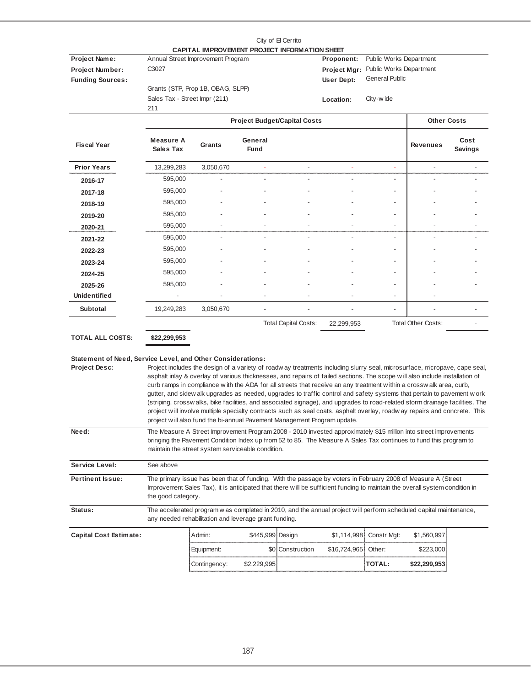|                                                                                            |                                               |                                                                                                                                                                                                                                                                                                                                                                                                                                                                                                                                                                                                                                                                                                                                                                                                                                                    |                  | City of El Cerrito                  |                                                              |                                                                                          |                           |                        |
|--------------------------------------------------------------------------------------------|-----------------------------------------------|----------------------------------------------------------------------------------------------------------------------------------------------------------------------------------------------------------------------------------------------------------------------------------------------------------------------------------------------------------------------------------------------------------------------------------------------------------------------------------------------------------------------------------------------------------------------------------------------------------------------------------------------------------------------------------------------------------------------------------------------------------------------------------------------------------------------------------------------------|------------------|-------------------------------------|--------------------------------------------------------------|------------------------------------------------------------------------------------------|---------------------------|------------------------|
| Project Name:<br><b>Project Number:</b><br><b>Funding Sources:</b>                         | C3027<br>Sales Tax - Street Impr (211)<br>211 | CAPITAL IMPROVEMENT PROJECT INFORMATION SHEET<br>Annual Street Improvement Program<br>Grants (STP, Prop 1B, OBAG, SLPP)                                                                                                                                                                                                                                                                                                                                                                                                                                                                                                                                                                                                                                                                                                                            |                  |                                     | Proponent:<br><b>Project Mgr:</b><br>User Dept:<br>Location: | Public Works Department<br>Public Works Department<br><b>General Public</b><br>City-wide |                           |                        |
|                                                                                            |                                               |                                                                                                                                                                                                                                                                                                                                                                                                                                                                                                                                                                                                                                                                                                                                                                                                                                                    |                  | <b>Project Budget/Capital Costs</b> |                                                              |                                                                                          | <b>Other Costs</b>        |                        |
| <b>Fiscal Year</b>                                                                         | Measure A<br><b>Sales Tax</b>                 | Grants                                                                                                                                                                                                                                                                                                                                                                                                                                                                                                                                                                                                                                                                                                                                                                                                                                             | General<br>Fund  |                                     |                                                              |                                                                                          | <b>Revenues</b>           | Cost<br><b>Savings</b> |
| <b>Prior Years</b>                                                                         | 13,299,283                                    | 3,050,670                                                                                                                                                                                                                                                                                                                                                                                                                                                                                                                                                                                                                                                                                                                                                                                                                                          |                  |                                     |                                                              |                                                                                          | L,                        |                        |
| 2016-17                                                                                    | 595,000                                       |                                                                                                                                                                                                                                                                                                                                                                                                                                                                                                                                                                                                                                                                                                                                                                                                                                                    |                  |                                     |                                                              |                                                                                          |                           |                        |
| 2017-18                                                                                    | 595,000                                       |                                                                                                                                                                                                                                                                                                                                                                                                                                                                                                                                                                                                                                                                                                                                                                                                                                                    |                  |                                     |                                                              |                                                                                          |                           |                        |
| 2018-19                                                                                    | 595,000                                       |                                                                                                                                                                                                                                                                                                                                                                                                                                                                                                                                                                                                                                                                                                                                                                                                                                                    |                  |                                     |                                                              |                                                                                          |                           |                        |
| 2019-20                                                                                    | 595,000                                       |                                                                                                                                                                                                                                                                                                                                                                                                                                                                                                                                                                                                                                                                                                                                                                                                                                                    |                  |                                     |                                                              |                                                                                          |                           |                        |
| 2020-21                                                                                    | 595,000                                       |                                                                                                                                                                                                                                                                                                                                                                                                                                                                                                                                                                                                                                                                                                                                                                                                                                                    |                  |                                     |                                                              | $\overline{\phantom{a}}$                                                                 |                           |                        |
| 2021-22                                                                                    | 595,000                                       | $\overline{a}$                                                                                                                                                                                                                                                                                                                                                                                                                                                                                                                                                                                                                                                                                                                                                                                                                                     | $\overline{a}$   | $\overline{\phantom{a}}$            | ÷,                                                           | $\overline{\phantom{a}}$                                                                 |                           |                        |
| 2022-23                                                                                    | 595,000                                       |                                                                                                                                                                                                                                                                                                                                                                                                                                                                                                                                                                                                                                                                                                                                                                                                                                                    |                  |                                     |                                                              |                                                                                          |                           |                        |
| 2023-24                                                                                    | 595,000                                       |                                                                                                                                                                                                                                                                                                                                                                                                                                                                                                                                                                                                                                                                                                                                                                                                                                                    |                  |                                     |                                                              |                                                                                          |                           |                        |
| 2024-25                                                                                    | 595,000                                       |                                                                                                                                                                                                                                                                                                                                                                                                                                                                                                                                                                                                                                                                                                                                                                                                                                                    |                  |                                     |                                                              |                                                                                          |                           |                        |
| 2025-26                                                                                    | 595,000                                       |                                                                                                                                                                                                                                                                                                                                                                                                                                                                                                                                                                                                                                                                                                                                                                                                                                                    |                  |                                     |                                                              |                                                                                          |                           |                        |
| <b>Unidentified</b>                                                                        |                                               |                                                                                                                                                                                                                                                                                                                                                                                                                                                                                                                                                                                                                                                                                                                                                                                                                                                    |                  |                                     |                                                              | $\overline{\phantom{a}}$                                                                 |                           |                        |
| <b>Subtotal</b>                                                                            | 19,249,283                                    | 3,050,670                                                                                                                                                                                                                                                                                                                                                                                                                                                                                                                                                                                                                                                                                                                                                                                                                                          | $\overline{a}$   | $\overline{a}$                      |                                                              | $\overline{\phantom{a}}$                                                                 |                           |                        |
|                                                                                            |                                               |                                                                                                                                                                                                                                                                                                                                                                                                                                                                                                                                                                                                                                                                                                                                                                                                                                                    |                  | <b>Total Capital Costs:</b>         | 22,299,953                                                   |                                                                                          | <b>Total Other Costs:</b> |                        |
| <b>TOTAL ALL COSTS:</b>                                                                    | \$22,299,953                                  |                                                                                                                                                                                                                                                                                                                                                                                                                                                                                                                                                                                                                                                                                                                                                                                                                                                    |                  |                                     |                                                              |                                                                                          |                           |                        |
| <b>Statement of Need, Service Level, and Other Considerations:</b><br><b>Project Desc:</b> |                                               | Project includes the design of a variety of roadw ay treatments including slurry seal, microsurface, micropave, cape seal,<br>asphalt inlay & overlay of various thicknesses, and repairs of failed sections. The scope will also include installation of<br>curb ramps in compliance with the ADA for all streets that receive an any treatment within a crosswalk area, curb,<br>gutter, and sidew alk upgrades as needed, upgrades to traffic control and safety systems that pertain to pavement work<br>(striping, crosswalks, bike facilities, and associated signage), and upgrades to road-related storm drainage facilities. The<br>project will involve multiple specialty contracts such as seal coats, asphalt overlay, roadway repairs and concrete. This<br>project will also fund the bi-annual Pavement Management Program update. |                  |                                     |                                                              |                                                                                          |                           |                        |
| Need:                                                                                      |                                               | The Measure A Street Improvement Program 2008 - 2010 invested approximately \$15 million into street improvements<br>bringing the Pavement Condition Index up from 52 to 85. The Measure A Sales Tax continues to fund this program to<br>maintain the street system serviceable condition.                                                                                                                                                                                                                                                                                                                                                                                                                                                                                                                                                        |                  |                                     |                                                              |                                                                                          |                           |                        |
| Service Level:                                                                             | See above                                     |                                                                                                                                                                                                                                                                                                                                                                                                                                                                                                                                                                                                                                                                                                                                                                                                                                                    |                  |                                     |                                                              |                                                                                          |                           |                        |
| <b>Pertinent Issue:</b>                                                                    | the good category.                            | The primary issue has been that of funding. With the passage by voters in February 2008 of Measure A (Street<br>Improvement Sales Tax), it is anticipated that there will be sufficient funding to maintain the overall system condition in                                                                                                                                                                                                                                                                                                                                                                                                                                                                                                                                                                                                        |                  |                                     |                                                              |                                                                                          |                           |                        |
| Status:                                                                                    |                                               | The accelerated program w as completed in 2010, and the annual project will perform scheduled capital maintenance,<br>any needed rehabilitation and leverage grant funding.                                                                                                                                                                                                                                                                                                                                                                                                                                                                                                                                                                                                                                                                        |                  |                                     |                                                              |                                                                                          |                           |                        |
| <b>Capital Cost Estimate:</b>                                                              |                                               | Admin:                                                                                                                                                                                                                                                                                                                                                                                                                                                                                                                                                                                                                                                                                                                                                                                                                                             | \$445,999 Design |                                     | \$1,114,998                                                  | Constr Mgt:                                                                              | \$1,560,997               |                        |
|                                                                                            |                                               | Equipment:                                                                                                                                                                                                                                                                                                                                                                                                                                                                                                                                                                                                                                                                                                                                                                                                                                         |                  | \$0   Construction                  | \$16,724,965                                                 | Other:                                                                                   | \$223,000                 |                        |
|                                                                                            |                                               | Contingency:                                                                                                                                                                                                                                                                                                                                                                                                                                                                                                                                                                                                                                                                                                                                                                                                                                       | \$2,229,995      |                                     |                                                              | <b>TOTAL:</b>                                                                            | \$22,299,953              |                        |

187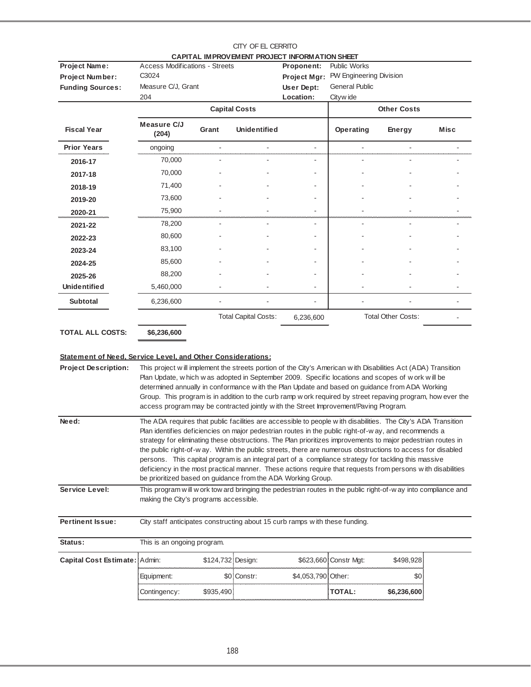| Project Name:           | <b>Access Modifications - Streets</b> |       | CAPITAL IMPROVEMENT PROJECT INFORMATION SHEET | Proponent:              | <b>Public Works</b>             |                           |             |  |
|-------------------------|---------------------------------------|-------|-----------------------------------------------|-------------------------|---------------------------------|---------------------------|-------------|--|
|                         | C3024                                 |       |                                               |                         | PW Engineering Division         |                           |             |  |
| <b>Project Number:</b>  | Measure C/J, Grant                    |       |                                               | Project Mgr:            | <b>General Public</b>           |                           |             |  |
| <b>Funding Sources:</b> |                                       |       |                                               | User Dept:<br>Location: |                                 |                           |             |  |
|                         | 204                                   |       | <b>Capital Costs</b>                          |                         | Cityw ide<br><b>Other Costs</b> |                           |             |  |
|                         |                                       |       |                                               |                         |                                 |                           |             |  |
| <b>Fiscal Year</b>      | Measure C/J<br>(204)                  | Grant | <b>Unidentified</b>                           |                         | Operating                       | Energy                    | <b>Misc</b> |  |
| <b>Prior Years</b>      | ongoing                               |       |                                               | ÷,                      |                                 |                           |             |  |
| 2016-17                 | 70,000                                |       |                                               | ۰                       |                                 |                           |             |  |
| 2017-18                 | 70,000                                |       |                                               |                         |                                 |                           |             |  |
| 2018-19                 | 71,400                                |       |                                               |                         |                                 |                           |             |  |
| 2019-20                 | 73,600                                |       |                                               | ۰                       |                                 |                           |             |  |
| 2020-21                 | 75,900                                |       |                                               |                         |                                 |                           |             |  |
| 2021-22                 | 78,200                                |       |                                               | ٠                       |                                 |                           |             |  |
| 2022-23                 | 80,600                                |       |                                               |                         |                                 |                           |             |  |
| 2023-24                 | 83,100                                |       |                                               |                         |                                 |                           |             |  |
| 2024-25                 | 85,600                                |       |                                               |                         |                                 |                           |             |  |
| 2025-26                 | 88,200                                |       |                                               | ٠                       |                                 |                           |             |  |
| <b>Unidentified</b>     | 5,460,000                             |       |                                               | $\blacksquare$          |                                 |                           |             |  |
| <b>Subtotal</b>         | 6,236,600                             |       |                                               |                         |                                 |                           |             |  |
|                         |                                       |       | <b>Total Capital Costs:</b>                   | 6,236,600               |                                 | <b>Total Other Costs:</b> |             |  |
| <b>TOTAL ALL COSTS:</b> | \$6,236,600                           |       |                                               |                         |                                 |                           |             |  |

## **Statement of Need, Service Level, and Other Considerations:**

| <b>Project Description:</b>   | This project will implement the streets portion of the City's American with Disabilities Act (ADA) Transition<br>Plan Update, w hich w as adopted in September 2009. Specific locations and scopes of w ork w ill be<br>determined annually in conformance with the Plan Update and based on guidance from ADA Working<br>Group. This program is in addition to the curb ramp w ork required by street repaving program, how ever the<br>access program may be contracted jointly with the Street Improvement/Paving Program. |                                                                                                                                                                                                                                                                                                                                                                                                                                                                                                                                                                                                                                                                                                                                            |             |                                                                             |                       |             |  |  |  |  |
|-------------------------------|-------------------------------------------------------------------------------------------------------------------------------------------------------------------------------------------------------------------------------------------------------------------------------------------------------------------------------------------------------------------------------------------------------------------------------------------------------------------------------------------------------------------------------|--------------------------------------------------------------------------------------------------------------------------------------------------------------------------------------------------------------------------------------------------------------------------------------------------------------------------------------------------------------------------------------------------------------------------------------------------------------------------------------------------------------------------------------------------------------------------------------------------------------------------------------------------------------------------------------------------------------------------------------------|-------------|-----------------------------------------------------------------------------|-----------------------|-------------|--|--|--|--|
| Need:                         |                                                                                                                                                                                                                                                                                                                                                                                                                                                                                                                               | The ADA requires that public facilities are accessible to people with disabilities. The City's ADA Transition<br>Plan identifies deficiencies on major pedestrian routes in the public right-of-way, and recommends a<br>strategy for eliminating these obstructions. The Plan prioritizes improvements to major pedestrian routes in<br>the public right-of-way. Within the public streets, there are numerous obstructions to access for disabled<br>persons. This capital program is an integral part of a compliance strategy for tackling this massive<br>deficiency in the most practical manner. These actions require that requests from persons with disabilities<br>be prioritized based on guidance from the ADA Working Group. |             |                                                                             |                       |             |  |  |  |  |
| <b>Service Level:</b>         | This program will w ork tow ard bringing the pedestrian routes in the public right-of-w ay into compliance and<br>making the City's programs accessible.                                                                                                                                                                                                                                                                                                                                                                      |                                                                                                                                                                                                                                                                                                                                                                                                                                                                                                                                                                                                                                                                                                                                            |             |                                                                             |                       |             |  |  |  |  |
| <b>Pertinent Issue:</b>       |                                                                                                                                                                                                                                                                                                                                                                                                                                                                                                                               |                                                                                                                                                                                                                                                                                                                                                                                                                                                                                                                                                                                                                                                                                                                                            |             | City staff anticipates constructing about 15 curb ramps with these funding. |                       |             |  |  |  |  |
| Status:                       | This is an ongoing program.                                                                                                                                                                                                                                                                                                                                                                                                                                                                                                   |                                                                                                                                                                                                                                                                                                                                                                                                                                                                                                                                                                                                                                                                                                                                            |             |                                                                             |                       |             |  |  |  |  |
| Capital Cost Estimate: Admin: |                                                                                                                                                                                                                                                                                                                                                                                                                                                                                                                               | \$124,732 Design:                                                                                                                                                                                                                                                                                                                                                                                                                                                                                                                                                                                                                                                                                                                          |             |                                                                             | \$623,660 Constr Mgt: | \$498,928   |  |  |  |  |
|                               | Equipment:                                                                                                                                                                                                                                                                                                                                                                                                                                                                                                                    |                                                                                                                                                                                                                                                                                                                                                                                                                                                                                                                                                                                                                                                                                                                                            | \$0 Constr: | \$4,053,790 Other:                                                          |                       | \$0         |  |  |  |  |
|                               | Contingency:                                                                                                                                                                                                                                                                                                                                                                                                                                                                                                                  | \$935,490                                                                                                                                                                                                                                                                                                                                                                                                                                                                                                                                                                                                                                                                                                                                  |             |                                                                             | <b>TOTAL:</b>         | \$6,236,600 |  |  |  |  |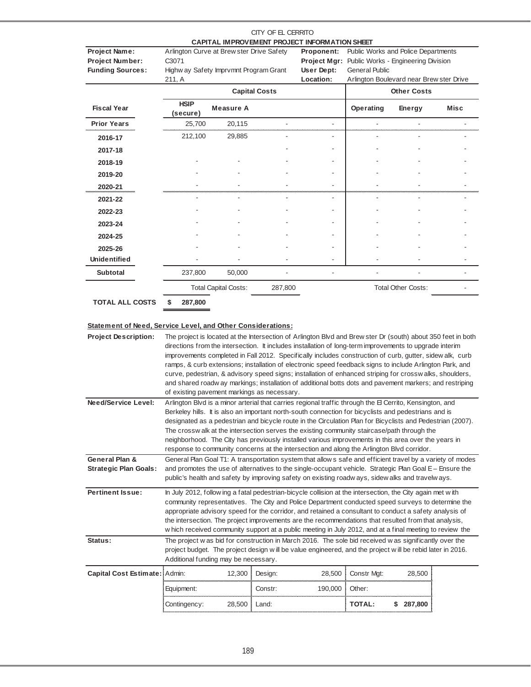| CAPITAL IMPROVEMENT PROJECT INFORMATION SHEET<br>Public Works and Police Departments<br>Project Name:<br>Arlington Curve at Brew ster Drive Safety<br>Proponent:<br><b>Project Number:</b><br>C3071<br>Project Mgr: Public Works - Engineering Division<br><b>Funding Sources:</b><br>User Dept:<br>Highw ay Safety Imprvmnt Program Grant<br><b>General Public</b><br>Arlington Boulevard near Brew ster Drive<br>Location:<br>211, A |      |
|----------------------------------------------------------------------------------------------------------------------------------------------------------------------------------------------------------------------------------------------------------------------------------------------------------------------------------------------------------------------------------------------------------------------------------------|------|
|                                                                                                                                                                                                                                                                                                                                                                                                                                        |      |
|                                                                                                                                                                                                                                                                                                                                                                                                                                        |      |
|                                                                                                                                                                                                                                                                                                                                                                                                                                        |      |
|                                                                                                                                                                                                                                                                                                                                                                                                                                        |      |
|                                                                                                                                                                                                                                                                                                                                                                                                                                        |      |
| <b>Capital Costs</b><br><b>Other Costs</b>                                                                                                                                                                                                                                                                                                                                                                                             |      |
| <b>HSIP</b><br><b>Fiscal Year</b><br><b>Measure A</b><br>Operating<br>Energy<br>(secure)                                                                                                                                                                                                                                                                                                                                               | Misc |
| <b>Prior Years</b><br>20,115<br>25,700                                                                                                                                                                                                                                                                                                                                                                                                 |      |
| 212,100<br>29,885<br>2016-17                                                                                                                                                                                                                                                                                                                                                                                                           |      |
| 2017-18                                                                                                                                                                                                                                                                                                                                                                                                                                |      |
| 2018-19                                                                                                                                                                                                                                                                                                                                                                                                                                |      |
| 2019-20                                                                                                                                                                                                                                                                                                                                                                                                                                |      |
| 2020-21                                                                                                                                                                                                                                                                                                                                                                                                                                |      |
| 2021-22                                                                                                                                                                                                                                                                                                                                                                                                                                |      |
| 2022-23                                                                                                                                                                                                                                                                                                                                                                                                                                |      |
| 2023-24                                                                                                                                                                                                                                                                                                                                                                                                                                |      |
| 2024-25                                                                                                                                                                                                                                                                                                                                                                                                                                |      |
| 2025-26                                                                                                                                                                                                                                                                                                                                                                                                                                |      |
| <b>Unidentified</b>                                                                                                                                                                                                                                                                                                                                                                                                                    |      |
| <b>Subtotal</b><br>237,800<br>50,000                                                                                                                                                                                                                                                                                                                                                                                                   |      |
| <b>Total Capital Costs:</b><br><b>Total Other Costs:</b><br>287,800                                                                                                                                                                                                                                                                                                                                                                    |      |

**\$ 287,800 TOTAL ALL COSTS**

#### **Statement of Need, Service Level, and Other Considerations:**

**Project Description: Pertinent Issue: Status: Capital Cost Estimate:** Admin: 12,300 Design: 28,500 Constr Mgt: 28,500 Equipment: Constr: 190,000 Other: Contingency: 28,500 Land: **TOTAL: 287,800 \$** The project w as bid for construction in March 2016. The sole bid received w as significantly over the project budget. The project design w ill be value engineered, and the project w ill be rebid later in 2016. Additional funding may be necessary. **Need/Service Level:** Arlington Blvd is a minor arterial that carries regional traffic through the El Cerrito, Kensington, and Berkeley hills. It is also an important north-south connection for bicyclists and pedestrians and is designated as a pedestrian and bicycle route in the Circulation Plan for Bicyclists and Pedestrian (2007). The crossw alk at the intersection serves the existing community staircase/path through the neighborhood. The City has previously installed various improvements in this area over the years in response to community concerns at the intersection and along the Arlington Blvd corridor. General Plan Goal T1: A transportation system that allow s safe and efficient travel by a variety of modes and promotes the use of alternatives to the single-occupant vehicle. Strategic Plan Goal E – Ensure the public's health and safety by improving safety on existing roadw ays, sidew alks and travelw ays. In July 2012, follow ing a fatal pedestrian-bicycle collision at the intersection, the City again met w ith community representatives. The City and Police Department conducted speed surveys to determine the appropriate advisory speed for the corridor, and retained a consultant to conduct a safety analysis of the intersection. The project improvements are the recommendations that resulted from that analysis, w hich received community support at a public meeting in July 2012, and at a final meeting to review the **General Plan & Strategic Plan Goals:** The project is located at the Intersection of Arlington Blvd and Brew ster Dr (south) about 350 feet in both directions from the intersection. It includes installation of long-term improvements to upgrade interim improvements completed in Fall 2012. Specifically includes construction of curb, gutter, sidew alk, curb ramps, & curb extensions; installation of electronic speed feedback signs to include Arlington Park, and curve, pedestrian, & advisory speed signs; installation of enhanced striping for crossw alks, shoulders, and shared roadw ay markings; installation of additional botts dots and pavement markers; and restriping of existing pavement markings as necessary.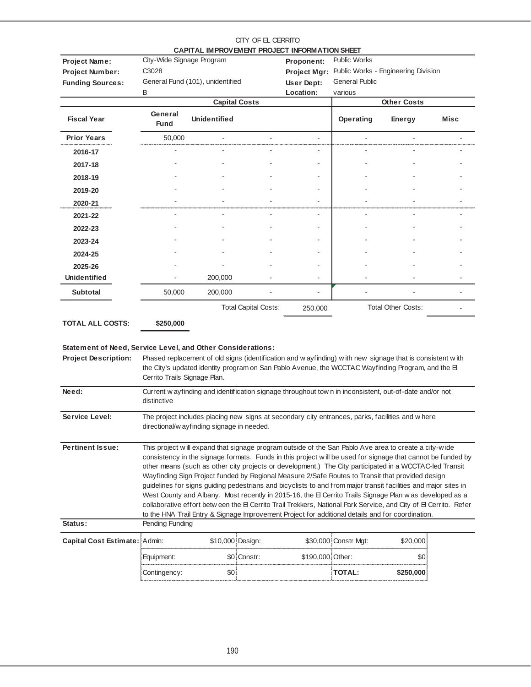|                                                                                            |                                                                                                                                                                                                                                                                                                                                                                                                                                                                                                                                                                                                                                                                                                                                                                                                                                                                                              |                                            | CITY OF EL CERRITO          | CAPITAL IMPROVEMENT PROJECT INFORMATION SHEET |                                              |                                                                                                                                                                                                                 |      |  |  |
|--------------------------------------------------------------------------------------------|----------------------------------------------------------------------------------------------------------------------------------------------------------------------------------------------------------------------------------------------------------------------------------------------------------------------------------------------------------------------------------------------------------------------------------------------------------------------------------------------------------------------------------------------------------------------------------------------------------------------------------------------------------------------------------------------------------------------------------------------------------------------------------------------------------------------------------------------------------------------------------------------|--------------------------------------------|-----------------------------|-----------------------------------------------|----------------------------------------------|-----------------------------------------------------------------------------------------------------------------------------------------------------------------------------------------------------------------|------|--|--|
| Project Name:<br><b>Project Number:</b><br><b>Funding Sources:</b>                         | City-Wide Signage Program<br>C3028                                                                                                                                                                                                                                                                                                                                                                                                                                                                                                                                                                                                                                                                                                                                                                                                                                                           | General Fund (101), unidentified           |                             | Proponent:<br>Project Mgr:<br>User Dept:      | <b>Public Works</b><br><b>General Public</b> | Public Works - Engineering Division                                                                                                                                                                             |      |  |  |
|                                                                                            | B                                                                                                                                                                                                                                                                                                                                                                                                                                                                                                                                                                                                                                                                                                                                                                                                                                                                                            | <b>Capital Costs</b>                       |                             | Location:                                     | various                                      | <b>Other Costs</b>                                                                                                                                                                                              |      |  |  |
| <b>Fiscal Year</b>                                                                         | General<br><b>Fund</b>                                                                                                                                                                                                                                                                                                                                                                                                                                                                                                                                                                                                                                                                                                                                                                                                                                                                       | <b>Unidentified</b>                        |                             |                                               | Operating                                    | Energy                                                                                                                                                                                                          | Misc |  |  |
| <b>Prior Years</b>                                                                         | 50,000                                                                                                                                                                                                                                                                                                                                                                                                                                                                                                                                                                                                                                                                                                                                                                                                                                                                                       |                                            |                             | $\overline{\phantom{a}}$                      |                                              |                                                                                                                                                                                                                 |      |  |  |
| 2016-17                                                                                    |                                                                                                                                                                                                                                                                                                                                                                                                                                                                                                                                                                                                                                                                                                                                                                                                                                                                                              |                                            |                             |                                               |                                              |                                                                                                                                                                                                                 |      |  |  |
| 2017-18                                                                                    |                                                                                                                                                                                                                                                                                                                                                                                                                                                                                                                                                                                                                                                                                                                                                                                                                                                                                              |                                            |                             |                                               |                                              |                                                                                                                                                                                                                 |      |  |  |
| 2018-19                                                                                    |                                                                                                                                                                                                                                                                                                                                                                                                                                                                                                                                                                                                                                                                                                                                                                                                                                                                                              |                                            |                             |                                               |                                              |                                                                                                                                                                                                                 |      |  |  |
| 2019-20                                                                                    |                                                                                                                                                                                                                                                                                                                                                                                                                                                                                                                                                                                                                                                                                                                                                                                                                                                                                              |                                            |                             |                                               |                                              |                                                                                                                                                                                                                 |      |  |  |
| 2020-21                                                                                    |                                                                                                                                                                                                                                                                                                                                                                                                                                                                                                                                                                                                                                                                                                                                                                                                                                                                                              |                                            |                             |                                               |                                              |                                                                                                                                                                                                                 |      |  |  |
| 2021-22                                                                                    | ÷.                                                                                                                                                                                                                                                                                                                                                                                                                                                                                                                                                                                                                                                                                                                                                                                                                                                                                           | $\sim$                                     |                             | $\blacksquare$                                | L.                                           | ٠                                                                                                                                                                                                               |      |  |  |
| 2022-23                                                                                    |                                                                                                                                                                                                                                                                                                                                                                                                                                                                                                                                                                                                                                                                                                                                                                                                                                                                                              |                                            |                             |                                               |                                              |                                                                                                                                                                                                                 |      |  |  |
| 2023-24                                                                                    |                                                                                                                                                                                                                                                                                                                                                                                                                                                                                                                                                                                                                                                                                                                                                                                                                                                                                              |                                            |                             |                                               |                                              |                                                                                                                                                                                                                 |      |  |  |
| 2024-25                                                                                    |                                                                                                                                                                                                                                                                                                                                                                                                                                                                                                                                                                                                                                                                                                                                                                                                                                                                                              |                                            |                             |                                               |                                              |                                                                                                                                                                                                                 |      |  |  |
| 2025-26                                                                                    |                                                                                                                                                                                                                                                                                                                                                                                                                                                                                                                                                                                                                                                                                                                                                                                                                                                                                              |                                            |                             |                                               |                                              |                                                                                                                                                                                                                 |      |  |  |
| Unidentified                                                                               |                                                                                                                                                                                                                                                                                                                                                                                                                                                                                                                                                                                                                                                                                                                                                                                                                                                                                              | 200,000                                    |                             |                                               |                                              |                                                                                                                                                                                                                 |      |  |  |
| <b>Subtotal</b>                                                                            | 50,000                                                                                                                                                                                                                                                                                                                                                                                                                                                                                                                                                                                                                                                                                                                                                                                                                                                                                       | 200,000                                    |                             | ä,                                            |                                              |                                                                                                                                                                                                                 |      |  |  |
|                                                                                            |                                                                                                                                                                                                                                                                                                                                                                                                                                                                                                                                                                                                                                                                                                                                                                                                                                                                                              |                                            | <b>Total Capital Costs:</b> | 250,000                                       |                                              | <b>Total Other Costs:</b>                                                                                                                                                                                       |      |  |  |
| <b>TOTAL ALL COSTS:</b>                                                                    | \$250,000                                                                                                                                                                                                                                                                                                                                                                                                                                                                                                                                                                                                                                                                                                                                                                                                                                                                                    |                                            |                             |                                               |                                              |                                                                                                                                                                                                                 |      |  |  |
| Statement of Need, Service Level, and Other Considerations:<br><b>Project Description:</b> | Cerrito Trails Signage Plan.                                                                                                                                                                                                                                                                                                                                                                                                                                                                                                                                                                                                                                                                                                                                                                                                                                                                 |                                            |                             |                                               |                                              | Phased replacement of old signs (identification and w ayfinding) with new signage that is consistent with<br>the City's updated identity program on San Pablo Avenue, the WCCTAC Wayfinding Program, and the El |      |  |  |
| Need:                                                                                      | distinctive                                                                                                                                                                                                                                                                                                                                                                                                                                                                                                                                                                                                                                                                                                                                                                                                                                                                                  |                                            |                             |                                               |                                              | Current w ayfinding and identification signage throughout town in inconsistent, out-of-date and/or not                                                                                                          |      |  |  |
| Service Level:                                                                             |                                                                                                                                                                                                                                                                                                                                                                                                                                                                                                                                                                                                                                                                                                                                                                                                                                                                                              | directional/w ayfinding signage in needed. |                             |                                               |                                              | The project includes placing new signs at secondary city entrances, parks, facilities and w here                                                                                                                |      |  |  |
| <b>Pertinent Issue:</b>                                                                    | This project will expand that signage program outside of the San Pablo Ave area to create a city-wide<br>consistency in the signage formats. Funds in this project will be used for signage that cannot be funded by<br>other means (such as other city projects or development.) The City participated in a WCCTAC-led Transit<br>Wayfinding Sign Project funded by Regional Measure 2/Safe Routes to Transit that provided design<br>guidelines for signs guiding pedestrians and bicyclists to and from major transit facilities and major sites in<br>West County and Albany. Most recently in 2015-16, the El Cerrito Trails Signage Plan w as developed as a<br>collaborative effort betw een the El Cerrito Trail Trekkers, National Park Service, and City of El Cerrito. Refer<br>to the HNA Trail Entry & Signage Improvement Project for additional details and for coordination. |                                            |                             |                                               |                                              |                                                                                                                                                                                                                 |      |  |  |
| Status:                                                                                    | Pending Funding                                                                                                                                                                                                                                                                                                                                                                                                                                                                                                                                                                                                                                                                                                                                                                                                                                                                              |                                            |                             |                                               |                                              |                                                                                                                                                                                                                 |      |  |  |
| Capital Cost Estimate: Admin:                                                              |                                                                                                                                                                                                                                                                                                                                                                                                                                                                                                                                                                                                                                                                                                                                                                                                                                                                                              | \$10,000 Design:                           |                             |                                               | \$30,000 Constr Mgt:                         | \$20,000                                                                                                                                                                                                        |      |  |  |
|                                                                                            | Equipment:                                                                                                                                                                                                                                                                                                                                                                                                                                                                                                                                                                                                                                                                                                                                                                                                                                                                                   |                                            | \$0 Constr:                 | \$190,000 Other:                              |                                              | \$0                                                                                                                                                                                                             |      |  |  |
|                                                                                            | Contingency:                                                                                                                                                                                                                                                                                                                                                                                                                                                                                                                                                                                                                                                                                                                                                                                                                                                                                 | \$0                                        |                             |                                               | <b>TOTAL:</b>                                | \$250,000                                                                                                                                                                                                       |      |  |  |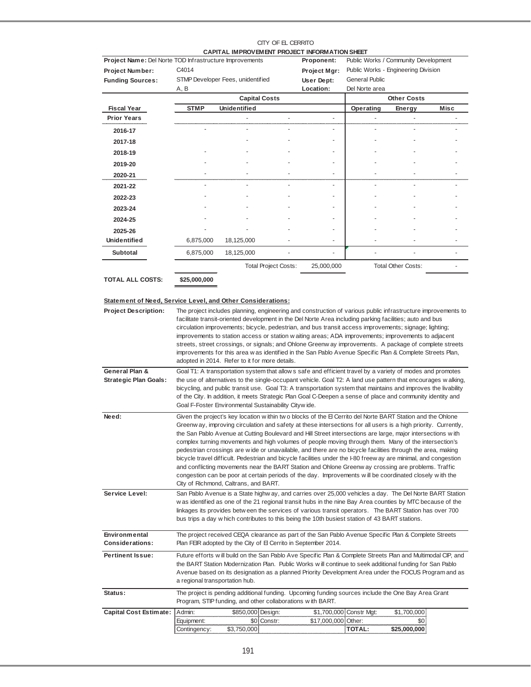|                                                         |                                      | CAPITAL IMPROVEMENT PROJECT INFORMATION SHEET                                                                                                                                                                                                                                                                                                                                                                                                                                                                                                                                                                                                                                                                                                                                                                                                                                                                                                    | CITY OF EL CERRITO |                     |                                          |                                     |      |  |  |
|---------------------------------------------------------|--------------------------------------|--------------------------------------------------------------------------------------------------------------------------------------------------------------------------------------------------------------------------------------------------------------------------------------------------------------------------------------------------------------------------------------------------------------------------------------------------------------------------------------------------------------------------------------------------------------------------------------------------------------------------------------------------------------------------------------------------------------------------------------------------------------------------------------------------------------------------------------------------------------------------------------------------------------------------------------------------|--------------------|---------------------|------------------------------------------|-------------------------------------|------|--|--|
| Project Name: Del Norte TOD Infrastructure Improvements |                                      |                                                                                                                                                                                                                                                                                                                                                                                                                                                                                                                                                                                                                                                                                                                                                                                                                                                                                                                                                  |                    | Proponent:          | Public Works / Community Development     |                                     |      |  |  |
| <b>Project Number:</b>                                  | C <sub>4014</sub>                    |                                                                                                                                                                                                                                                                                                                                                                                                                                                                                                                                                                                                                                                                                                                                                                                                                                                                                                                                                  |                    | Project Mgr:        |                                          | Public Works - Engineering Division |      |  |  |
| <b>Funding Sources:</b>                                 |                                      | STMP Developer Fees, unidentified                                                                                                                                                                                                                                                                                                                                                                                                                                                                                                                                                                                                                                                                                                                                                                                                                                                                                                                |                    | User Dept:          | <b>General Public</b>                    |                                     |      |  |  |
|                                                         | A, B                                 |                                                                                                                                                                                                                                                                                                                                                                                                                                                                                                                                                                                                                                                                                                                                                                                                                                                                                                                                                  | Location:          | Del Norte area      | <b>Other Costs</b>                       |                                     |      |  |  |
| <b>Fiscal Year</b>                                      | <b>STMP</b>                          | <b>Capital Costs</b><br><b>Unidentified</b>                                                                                                                                                                                                                                                                                                                                                                                                                                                                                                                                                                                                                                                                                                                                                                                                                                                                                                      |                    |                     | Operating                                | Energy                              | Misc |  |  |
| <b>Prior Years</b>                                      |                                      |                                                                                                                                                                                                                                                                                                                                                                                                                                                                                                                                                                                                                                                                                                                                                                                                                                                                                                                                                  |                    | $\overline{a}$      |                                          | ÷,                                  |      |  |  |
|                                                         |                                      |                                                                                                                                                                                                                                                                                                                                                                                                                                                                                                                                                                                                                                                                                                                                                                                                                                                                                                                                                  |                    |                     |                                          |                                     |      |  |  |
| 2016-17                                                 |                                      |                                                                                                                                                                                                                                                                                                                                                                                                                                                                                                                                                                                                                                                                                                                                                                                                                                                                                                                                                  |                    |                     |                                          |                                     |      |  |  |
| 2017-18                                                 |                                      |                                                                                                                                                                                                                                                                                                                                                                                                                                                                                                                                                                                                                                                                                                                                                                                                                                                                                                                                                  |                    |                     |                                          |                                     |      |  |  |
| 2018-19                                                 |                                      |                                                                                                                                                                                                                                                                                                                                                                                                                                                                                                                                                                                                                                                                                                                                                                                                                                                                                                                                                  |                    |                     |                                          |                                     |      |  |  |
| 2019-20                                                 |                                      |                                                                                                                                                                                                                                                                                                                                                                                                                                                                                                                                                                                                                                                                                                                                                                                                                                                                                                                                                  |                    |                     |                                          |                                     |      |  |  |
| 2020-21                                                 |                                      |                                                                                                                                                                                                                                                                                                                                                                                                                                                                                                                                                                                                                                                                                                                                                                                                                                                                                                                                                  |                    |                     |                                          |                                     |      |  |  |
| 2021-22                                                 |                                      |                                                                                                                                                                                                                                                                                                                                                                                                                                                                                                                                                                                                                                                                                                                                                                                                                                                                                                                                                  |                    |                     |                                          |                                     |      |  |  |
| 2022-23                                                 |                                      |                                                                                                                                                                                                                                                                                                                                                                                                                                                                                                                                                                                                                                                                                                                                                                                                                                                                                                                                                  |                    |                     |                                          |                                     |      |  |  |
| 2023-24                                                 |                                      |                                                                                                                                                                                                                                                                                                                                                                                                                                                                                                                                                                                                                                                                                                                                                                                                                                                                                                                                                  |                    |                     |                                          |                                     |      |  |  |
| 2024-25                                                 |                                      |                                                                                                                                                                                                                                                                                                                                                                                                                                                                                                                                                                                                                                                                                                                                                                                                                                                                                                                                                  |                    |                     |                                          |                                     |      |  |  |
| 2025-26                                                 |                                      |                                                                                                                                                                                                                                                                                                                                                                                                                                                                                                                                                                                                                                                                                                                                                                                                                                                                                                                                                  |                    |                     |                                          |                                     |      |  |  |
| <b>Unidentified</b>                                     | 6,875,000                            | 18,125,000                                                                                                                                                                                                                                                                                                                                                                                                                                                                                                                                                                                                                                                                                                                                                                                                                                                                                                                                       |                    |                     |                                          |                                     |      |  |  |
| <b>Subtotal</b>                                         | 6,875,000                            | 18,125,000                                                                                                                                                                                                                                                                                                                                                                                                                                                                                                                                                                                                                                                                                                                                                                                                                                                                                                                                       |                    |                     |                                          |                                     |      |  |  |
|                                                         |                                      | <b>Total Project Costs:</b>                                                                                                                                                                                                                                                                                                                                                                                                                                                                                                                                                                                                                                                                                                                                                                                                                                                                                                                      |                    | 25,000,000          |                                          | <b>Total Other Costs:</b>           |      |  |  |
| <b>TOTAL ALL COSTS:</b>                                 | \$25,000,000                         |                                                                                                                                                                                                                                                                                                                                                                                                                                                                                                                                                                                                                                                                                                                                                                                                                                                                                                                                                  |                    |                     |                                          |                                     |      |  |  |
| General Plan &                                          |                                      | facilitate transit-oriented development in the Del Norte Area including parking facilities; auto and bus<br>circulation improvements; bicycle, pedestrian, and bus transit access improvements; signage; lighting;<br>improvements to station access or station w aiting areas; ADA improvements; improvements to adjacent<br>streets, street crossings, or signals; and Ohlone Greenw ay improvements. A package of complete streets<br>improvements for this area w as identified in the San Pablo Avenue Specific Plan & Complete Streets Plan,<br>adopted in 2014. Refer to it for more details.<br>Goal T1: A transportation system that allows safe and efficient travel by a variety of modes and promotes                                                                                                                                                                                                                                |                    |                     |                                          |                                     |      |  |  |
| <b>Strategic Plan Goals:</b>                            |                                      | the use of alternatives to the single-occupant vehicle. Goal T2: A land use pattern that encourages w alking,<br>bicycling, and public transit use. Goal T3: A transportation system that maintains and improves the livability<br>of the City. In addition, it meets Strategic Plan Goal C-Deepen a sense of place and community identity and<br>Goal F-Foster Environmental Sustainability Citywide.                                                                                                                                                                                                                                                                                                                                                                                                                                                                                                                                           |                    |                     |                                          |                                     |      |  |  |
| Need:                                                   |                                      | Given the project's key location within two blocks of the El Cerrito del Norte BART Station and the Ohlone<br>Greenw ay, improving circulation and safety at these intersections for all users is a high priority. Currently,<br>the San Pablo Avenue at Cutting Boulevard and Hill Street intersections are large, major intersections with<br>complex turning movements and high volumes of people moving through them. Many of the intersection's<br>pedestrian crossings are wide or unavailable, and there are no bicycle facilities through the area, making<br>bicycle travel difficult. Pedestrian and bicycle facilities under the I-80 freew ay are minimal, and congestion<br>and conflicting movements near the BART Station and Ohlone Greenw ay crossing are problems. Traffic<br>congestion can be poor at certain periods of the day. Improvements will be coordinated closely with the<br>City of Richmond, Caltrans, and BART. |                    |                     |                                          |                                     |      |  |  |
| Service Level:                                          |                                      | San Pablo Avenue is a State highway, and carries over 25,000 vehicles a day. The Del Norte BART Station<br>w as identified as one of the 21 regional transit hubs in the nine Bay Area counties by MTC because of the<br>linkages its provides between the services of various transit operators. The BART Station has over 700<br>bus trips a day w hich contributes to this being the 10th busiest station of 43 BART stations.                                                                                                                                                                                                                                                                                                                                                                                                                                                                                                                |                    |                     |                                          |                                     |      |  |  |
| Environmental<br><b>Considerations:</b>                 |                                      | The project received CEQA clearance as part of the San Pablo Avenue Specific Plan & Complete Streets<br>Plan FEIR adopted by the City of El Cerrito in September 2014.                                                                                                                                                                                                                                                                                                                                                                                                                                                                                                                                                                                                                                                                                                                                                                           |                    |                     |                                          |                                     |      |  |  |
| <b>Pertinent Issue:</b>                                 |                                      | Future efforts will build on the San Pablo Ave Specific Plan & Complete Streets Plan and Multimodal CIP, and<br>the BART Station Modernization Plan. Public Works w ill continue to seek additional funding for San Pablo<br>Avenue based on its designation as a planned Priority Development Area under the FOCUS Program and as<br>a regional transportation hub.                                                                                                                                                                                                                                                                                                                                                                                                                                                                                                                                                                             |                    |                     |                                          |                                     |      |  |  |
| Status:                                                 |                                      | The project is pending additional funding. Upcoming funding sources include the One Bay Area Grant<br>Program, STIP funding, and other collaborations with BART.                                                                                                                                                                                                                                                                                                                                                                                                                                                                                                                                                                                                                                                                                                                                                                                 |                    |                     |                                          |                                     |      |  |  |
| <b>Capital Cost Estimate:</b>                           | Admin:<br>Equipment:<br>Contingency: | \$850,000 Design:<br>\$0 Constr:<br>\$3,750,000                                                                                                                                                                                                                                                                                                                                                                                                                                                                                                                                                                                                                                                                                                                                                                                                                                                                                                  |                    | \$17,000,000 Other: | \$1,700,000 Constr Mgt:<br><b>TOTAL:</b> | \$1,700,000<br>\$0<br>\$25,000,000  |      |  |  |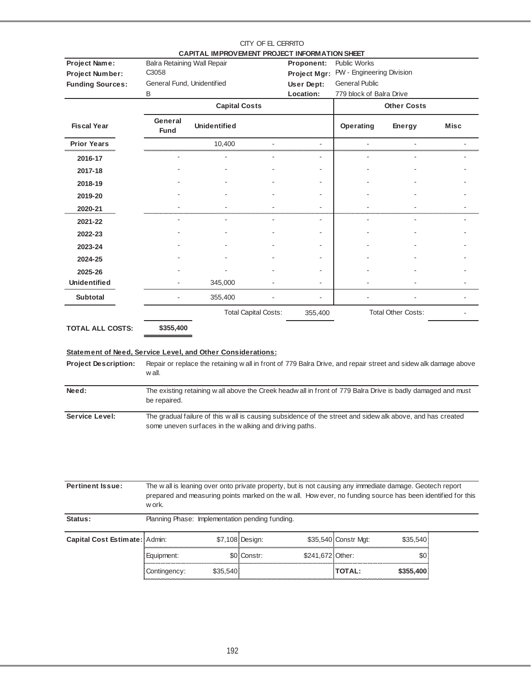| CAPITAL IMPROVEMENT PROJECT INFORMATION SHEET<br>Project Name:<br>Balra Retaining Wall Repair<br>Proponent:<br><b>Public Works</b><br>C3058<br>PW - Engineering Division<br>Project Number:<br>Project Mgr:<br>General Fund, Unidentified<br><b>General Public</b><br>User Dept:<br><b>Funding Sources:</b><br>Location:<br>779 block of Balra Drive<br>B<br><b>Capital Costs</b><br><b>Other Costs</b><br>General<br><b>Unidentified</b><br><b>Fiscal Year</b><br>Operating<br>Energy<br><b>Fund</b><br><b>Prior Years</b><br>10,400<br>$\overline{\phantom{a}}$<br>$\blacksquare$<br>ä,<br>٠<br>2016-17<br>2017-18<br>٠<br>2018-19<br>۰<br>٠<br>2019-20<br>$\overline{\phantom{a}}$<br>2020-21<br>÷.<br>2021-22<br>2022-23<br>٠<br>2023-24<br>۰<br>٠<br>2024-25<br>2025-26<br><b>Unidentified</b><br>345,000<br>٠ |             |  | CITY OF EL CERRITO |         |                 |
|---------------------------------------------------------------------------------------------------------------------------------------------------------------------------------------------------------------------------------------------------------------------------------------------------------------------------------------------------------------------------------------------------------------------------------------------------------------------------------------------------------------------------------------------------------------------------------------------------------------------------------------------------------------------------------------------------------------------------------------------------------------------------------------------------------------------|-------------|--|--------------------|---------|-----------------|
|                                                                                                                                                                                                                                                                                                                                                                                                                                                                                                                                                                                                                                                                                                                                                                                                                     |             |  |                    |         |                 |
|                                                                                                                                                                                                                                                                                                                                                                                                                                                                                                                                                                                                                                                                                                                                                                                                                     |             |  |                    |         |                 |
|                                                                                                                                                                                                                                                                                                                                                                                                                                                                                                                                                                                                                                                                                                                                                                                                                     |             |  |                    |         |                 |
|                                                                                                                                                                                                                                                                                                                                                                                                                                                                                                                                                                                                                                                                                                                                                                                                                     |             |  |                    |         |                 |
|                                                                                                                                                                                                                                                                                                                                                                                                                                                                                                                                                                                                                                                                                                                                                                                                                     |             |  |                    |         |                 |
|                                                                                                                                                                                                                                                                                                                                                                                                                                                                                                                                                                                                                                                                                                                                                                                                                     |             |  |                    |         |                 |
|                                                                                                                                                                                                                                                                                                                                                                                                                                                                                                                                                                                                                                                                                                                                                                                                                     | <b>Misc</b> |  |                    |         |                 |
|                                                                                                                                                                                                                                                                                                                                                                                                                                                                                                                                                                                                                                                                                                                                                                                                                     |             |  |                    |         |                 |
|                                                                                                                                                                                                                                                                                                                                                                                                                                                                                                                                                                                                                                                                                                                                                                                                                     |             |  |                    |         |                 |
|                                                                                                                                                                                                                                                                                                                                                                                                                                                                                                                                                                                                                                                                                                                                                                                                                     |             |  |                    |         |                 |
|                                                                                                                                                                                                                                                                                                                                                                                                                                                                                                                                                                                                                                                                                                                                                                                                                     |             |  |                    |         |                 |
|                                                                                                                                                                                                                                                                                                                                                                                                                                                                                                                                                                                                                                                                                                                                                                                                                     |             |  |                    |         |                 |
|                                                                                                                                                                                                                                                                                                                                                                                                                                                                                                                                                                                                                                                                                                                                                                                                                     |             |  |                    |         |                 |
|                                                                                                                                                                                                                                                                                                                                                                                                                                                                                                                                                                                                                                                                                                                                                                                                                     |             |  |                    |         |                 |
|                                                                                                                                                                                                                                                                                                                                                                                                                                                                                                                                                                                                                                                                                                                                                                                                                     |             |  |                    |         |                 |
|                                                                                                                                                                                                                                                                                                                                                                                                                                                                                                                                                                                                                                                                                                                                                                                                                     |             |  |                    |         |                 |
|                                                                                                                                                                                                                                                                                                                                                                                                                                                                                                                                                                                                                                                                                                                                                                                                                     |             |  |                    |         |                 |
|                                                                                                                                                                                                                                                                                                                                                                                                                                                                                                                                                                                                                                                                                                                                                                                                                     |             |  |                    |         |                 |
|                                                                                                                                                                                                                                                                                                                                                                                                                                                                                                                                                                                                                                                                                                                                                                                                                     |             |  |                    |         |                 |
| ٠                                                                                                                                                                                                                                                                                                                                                                                                                                                                                                                                                                                                                                                                                                                                                                                                                   |             |  |                    | 355,400 | <b>Subtotal</b> |
| <b>Total Other Costs:</b><br><b>Total Capital Costs:</b><br>355,400                                                                                                                                                                                                                                                                                                                                                                                                                                                                                                                                                                                                                                                                                                                                                 |             |  |                    |         |                 |
| <b>TOTAL ALL COSTS:</b><br>\$355,400                                                                                                                                                                                                                                                                                                                                                                                                                                                                                                                                                                                                                                                                                                                                                                                |             |  |                    |         |                 |

## **Statement of Need, Service Level, and Other Considerations:**

Project Description: Repair or replace the retaining w all in front of 779 Balra Drive, and repair street and sidew alk damage above w all.

| Need:                 | The existing retaining wall above the Creek headwall in front of 779 Balra Drive is badly damaged and must<br>be repaired. |
|-----------------------|----------------------------------------------------------------------------------------------------------------------------|
| <b>Service Level:</b> | The gradual failure of this wall is causing subsidence of the street and sidewalk above, and has created                   |

| r <b>vice Level:</b> | The gradual failure of this w all is causing subsidence of the street and sidew alk above, and has created |
|----------------------|------------------------------------------------------------------------------------------------------------|
|                      | some uneven surfaces in the walking and driving paths.                                                     |

| <b>Pertinent Issue:</b>       | w ork.       | The w all is leaning over onto private property, but is not causing any immediate damage. Geotech report<br>prepared and measuring points marked on the wall. How ever, no funding source has been identified for this |                 |                  |                      |           |  |  |  |  |
|-------------------------------|--------------|------------------------------------------------------------------------------------------------------------------------------------------------------------------------------------------------------------------------|-----------------|------------------|----------------------|-----------|--|--|--|--|
| Status:                       |              | Planning Phase: Implementation pending funding.                                                                                                                                                                        |                 |                  |                      |           |  |  |  |  |
| Capital Cost Estimate: Admin: |              |                                                                                                                                                                                                                        | \$7,108 Design: |                  | \$35,540 Constr Mgt: | \$35,540  |  |  |  |  |
|                               | Equipment:   |                                                                                                                                                                                                                        | \$0 Constr:     | \$241.672 Other: |                      | \$0       |  |  |  |  |
|                               | Contingency: | \$35,540                                                                                                                                                                                                               |                 |                  | TOTAL:               | \$355,400 |  |  |  |  |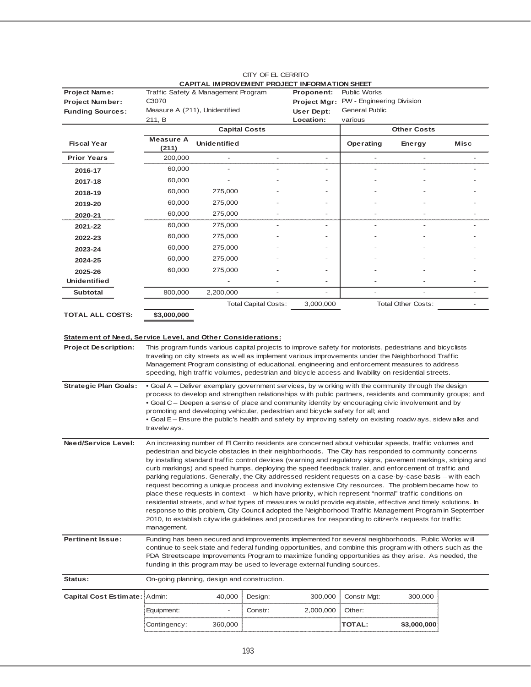| <b>Project Name:</b>                                               |                           | Traffic Safety & Management Program         |                             | <b>CALLIAL INITIOVENIBYLI INCOLO I INI CIWATION OFILET</b><br>Proponent:  | <b>Public Works</b>                                                            |                                                                                                                                                                                                                 |      |
|--------------------------------------------------------------------|---------------------------|---------------------------------------------|-----------------------------|---------------------------------------------------------------------------|--------------------------------------------------------------------------------|-----------------------------------------------------------------------------------------------------------------------------------------------------------------------------------------------------------------|------|
| <b>Project Number:</b>                                             | C3070                     |                                             |                             | <b>Project Mgr:</b>                                                       | PW - Engineering Division                                                      |                                                                                                                                                                                                                 |      |
| <b>Funding Sources:</b>                                            |                           | Measure A (211), Unidentified               |                             | User Dept:                                                                | <b>General Public</b>                                                          |                                                                                                                                                                                                                 |      |
|                                                                    | 211, B                    |                                             |                             | Location:                                                                 | various                                                                        |                                                                                                                                                                                                                 |      |
|                                                                    |                           |                                             | <b>Capital Costs</b>        |                                                                           |                                                                                | <b>Other Costs</b>                                                                                                                                                                                              |      |
| <b>Fiscal Year</b>                                                 | <b>Measure A</b><br>(211) | <b>Unidentified</b>                         |                             |                                                                           | Operating                                                                      | Energy                                                                                                                                                                                                          | Misc |
| <b>Prior Years</b>                                                 | 200,000                   |                                             |                             | $\overline{\phantom{a}}$                                                  |                                                                                |                                                                                                                                                                                                                 |      |
| 2016-17                                                            | 60,000                    |                                             |                             | ٠                                                                         |                                                                                |                                                                                                                                                                                                                 |      |
| 2017-18                                                            | 60,000                    |                                             |                             |                                                                           |                                                                                |                                                                                                                                                                                                                 |      |
| 2018-19                                                            | 60,000                    | 275,000                                     |                             |                                                                           |                                                                                |                                                                                                                                                                                                                 |      |
| 2019-20                                                            | 60,000                    | 275,000                                     |                             |                                                                           |                                                                                |                                                                                                                                                                                                                 |      |
| 2020-21                                                            | 60,000                    | 275,000                                     |                             |                                                                           |                                                                                |                                                                                                                                                                                                                 |      |
| 2021-22                                                            | 60,000                    | 275,000                                     |                             |                                                                           |                                                                                |                                                                                                                                                                                                                 |      |
| 2022-23                                                            | 60,000                    | 275,000                                     |                             |                                                                           |                                                                                |                                                                                                                                                                                                                 |      |
| 2023-24                                                            | 60,000                    | 275,000                                     |                             |                                                                           |                                                                                |                                                                                                                                                                                                                 |      |
| 2024-25                                                            | 60,000                    | 275,000                                     |                             |                                                                           |                                                                                |                                                                                                                                                                                                                 |      |
| 2025-26                                                            | 60,000                    | 275,000                                     |                             |                                                                           |                                                                                |                                                                                                                                                                                                                 |      |
| <b>Unidentified</b>                                                |                           |                                             |                             |                                                                           |                                                                                |                                                                                                                                                                                                                 |      |
| <b>Subtotal</b>                                                    | 800,000                   | 2,200,000                                   |                             |                                                                           |                                                                                |                                                                                                                                                                                                                 |      |
|                                                                    |                           |                                             | <b>Total Capital Costs:</b> | 3,000,000                                                                 |                                                                                | <b>Total Other Costs:</b>                                                                                                                                                                                       |      |
| <b>TOTAL ALL COSTS:</b>                                            | \$3,000,000               |                                             |                             |                                                                           |                                                                                |                                                                                                                                                                                                                 |      |
|                                                                    |                           |                                             |                             |                                                                           |                                                                                |                                                                                                                                                                                                                 |      |
| <b>Statement of Need, Service Level, and Other Considerations:</b> |                           |                                             |                             |                                                                           |                                                                                |                                                                                                                                                                                                                 |      |
| <b>Project Description:</b>                                        |                           |                                             |                             |                                                                           |                                                                                | This program funds various capital projects to improve safety for motorists, pedestrians and bicyclists                                                                                                         |      |
|                                                                    |                           |                                             |                             |                                                                           |                                                                                | traveling on city streets as well as implement various improvements under the Neighborhood Traffic                                                                                                              |      |
|                                                                    |                           |                                             |                             |                                                                           |                                                                                | Management Program consisting of educational, engineering and enforcement measures to address<br>speeding, high traffic volumes, pedestrian and bicycle access and livability on residential streets.           |      |
| <b>Strategic Plan Goals:</b>                                       |                           |                                             |                             |                                                                           |                                                                                | • Goal A - Deliver exemplary government services, by w orking with the community through the design                                                                                                             |      |
|                                                                    |                           |                                             |                             |                                                                           |                                                                                | process to develop and strengthen relationships w ith public partners, residents and community groups; and                                                                                                      |      |
|                                                                    |                           |                                             |                             |                                                                           |                                                                                | • Goal C – Deepen a sense of place and community identity by encouraging civic involvement and by                                                                                                               |      |
|                                                                    |                           |                                             |                             |                                                                           | promoting and developing vehicular, pedestrian and bicycle safety for all; and |                                                                                                                                                                                                                 |      |
|                                                                    | travelw ays.              |                                             |                             |                                                                           |                                                                                | • Goal E – Ensure the public's health and safety by improving safety on existing roadw ays, sidew alks and                                                                                                      |      |
|                                                                    |                           |                                             |                             |                                                                           |                                                                                |                                                                                                                                                                                                                 |      |
| Need/Service Level:                                                |                           |                                             |                             |                                                                           |                                                                                | An increasing number of El Cerrito residents are concerned about vehicular speeds, traffic volumes and<br>pedestrian and bicycle obstacles in their neighborhoods. The City has responded to community concerns |      |
|                                                                    |                           |                                             |                             |                                                                           |                                                                                | by installing standard traffic control devices (w arning and regulatory signs, pavement markings, striping and                                                                                                  |      |
|                                                                    |                           |                                             |                             |                                                                           |                                                                                | curb markings) and speed humps, deploying the speed feedback trailer, and enforcement of traffic and                                                                                                            |      |
|                                                                    |                           |                                             |                             |                                                                           |                                                                                | parking regulations. Generally, the City addressed resident requests on a case-by-case basis – w ith each                                                                                                       |      |
|                                                                    |                           |                                             |                             |                                                                           |                                                                                | request becoming a unique process and involving extensive City resources. The problem became how to<br>place these requests in context – w hich have priority, w hich represent "normal" traffic conditions on  |      |
|                                                                    |                           |                                             |                             |                                                                           |                                                                                | residential streets, and w hat types of measures w ould provide equitable, effective and timely solutions. In                                                                                                   |      |
|                                                                    |                           |                                             |                             |                                                                           |                                                                                | response to this problem, City Council adopted the Neighborhood Traffic Management Program in September                                                                                                         |      |
|                                                                    | management.               |                                             |                             |                                                                           |                                                                                | 2010, to establish citywide guidelines and procedures for responding to citizen's requests for traffic                                                                                                          |      |
| <b>Pertinent Issue:</b>                                            |                           |                                             |                             |                                                                           |                                                                                | Funding has been secured and improvements implemented for several neighborhoods. Public Works will                                                                                                              |      |
|                                                                    |                           |                                             |                             |                                                                           |                                                                                | continue to seek state and federal funding opportunities, and combine this program with others such as the                                                                                                      |      |
|                                                                    |                           |                                             |                             |                                                                           |                                                                                | PDA Streetscape Improvements Program to maximize funding opportunities as they arise. As needed, the                                                                                                            |      |
|                                                                    |                           |                                             |                             | funding in this program may be used to leverage external funding sources. |                                                                                |                                                                                                                                                                                                                 |      |
| Status:                                                            |                           | On-going planning, design and construction. |                             |                                                                           |                                                                                |                                                                                                                                                                                                                 |      |
| Capital Cost Estimate: Admin:                                      |                           | 40,000                                      | Design:                     | 300,000                                                                   | Constr Mgt:                                                                    | 300,000                                                                                                                                                                                                         |      |
|                                                                    | Equipment:                |                                             | Constr:                     | 2,000,000                                                                 | Other:                                                                         |                                                                                                                                                                                                                 |      |
|                                                                    | Contingency:              | 360,000                                     |                             |                                                                           | TOTAL:                                                                         | \$3,000,000                                                                                                                                                                                                     |      |
|                                                                    |                           |                                             |                             |                                                                           |                                                                                |                                                                                                                                                                                                                 |      |

#### CITY OF EL CERRITO **CAPITAL IMPROVEMENT PROJECT INFORMATION SHEET**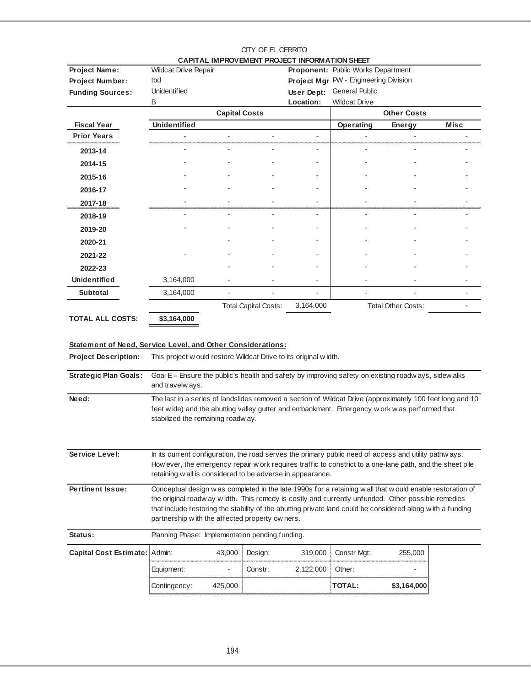|                                                                                            |                                                                                                                                                                                                                                                                                                                                                                                  |                      |                             | CAPITAL IMPROVEMENT PROJECT INFORMATION SHEET |                                       |                           |      |  |
|--------------------------------------------------------------------------------------------|----------------------------------------------------------------------------------------------------------------------------------------------------------------------------------------------------------------------------------------------------------------------------------------------------------------------------------------------------------------------------------|----------------------|-----------------------------|-----------------------------------------------|---------------------------------------|---------------------------|------|--|
| Project Name:                                                                              | <b>Wildcat Drive Repair</b>                                                                                                                                                                                                                                                                                                                                                      |                      |                             |                                               | Proponent: Public Works Department    |                           |      |  |
| Project Number:                                                                            | tbd                                                                                                                                                                                                                                                                                                                                                                              |                      |                             |                                               | Project Mgr PW - Engineering Division |                           |      |  |
| <b>Funding Sources:</b>                                                                    | <b>Unidentified</b>                                                                                                                                                                                                                                                                                                                                                              |                      |                             | User Dept:                                    | <b>General Public</b>                 |                           |      |  |
|                                                                                            | B                                                                                                                                                                                                                                                                                                                                                                                |                      |                             | Location:                                     | <b>Wildcat Drive</b>                  |                           |      |  |
|                                                                                            |                                                                                                                                                                                                                                                                                                                                                                                  | <b>Capital Costs</b> |                             |                                               |                                       | <b>Other Costs</b>        |      |  |
| <b>Fiscal Year</b><br><b>Prior Years</b>                                                   | <b>Unidentified</b>                                                                                                                                                                                                                                                                                                                                                              |                      |                             | $\overline{\phantom{0}}$                      | Operating                             | <b>Energy</b>             | Misc |  |
|                                                                                            |                                                                                                                                                                                                                                                                                                                                                                                  |                      |                             |                                               |                                       |                           |      |  |
| 2013-14                                                                                    |                                                                                                                                                                                                                                                                                                                                                                                  |                      |                             | $\overline{a}$                                |                                       |                           |      |  |
| 2014-15                                                                                    |                                                                                                                                                                                                                                                                                                                                                                                  |                      |                             |                                               |                                       |                           |      |  |
| 2015-16                                                                                    |                                                                                                                                                                                                                                                                                                                                                                                  |                      |                             |                                               |                                       |                           |      |  |
| 2016-17                                                                                    |                                                                                                                                                                                                                                                                                                                                                                                  |                      |                             |                                               |                                       |                           |      |  |
| 2017-18                                                                                    |                                                                                                                                                                                                                                                                                                                                                                                  |                      |                             |                                               |                                       |                           |      |  |
| 2018-19                                                                                    |                                                                                                                                                                                                                                                                                                                                                                                  |                      |                             | $\overline{a}$                                |                                       |                           |      |  |
| 2019-20                                                                                    |                                                                                                                                                                                                                                                                                                                                                                                  |                      |                             |                                               |                                       |                           |      |  |
| 2020-21                                                                                    |                                                                                                                                                                                                                                                                                                                                                                                  |                      |                             |                                               |                                       |                           |      |  |
| 2021-22                                                                                    |                                                                                                                                                                                                                                                                                                                                                                                  |                      |                             |                                               |                                       |                           |      |  |
| 2022-23                                                                                    |                                                                                                                                                                                                                                                                                                                                                                                  |                      |                             |                                               |                                       |                           |      |  |
| <b>Unidentified</b>                                                                        | 3,164,000                                                                                                                                                                                                                                                                                                                                                                        |                      |                             |                                               |                                       |                           |      |  |
| <b>Subtotal</b>                                                                            | 3,164,000                                                                                                                                                                                                                                                                                                                                                                        |                      |                             |                                               |                                       |                           |      |  |
|                                                                                            |                                                                                                                                                                                                                                                                                                                                                                                  |                      | <b>Total Capital Costs:</b> | 3,164,000                                     |                                       | <b>Total Other Costs:</b> |      |  |
| <b>TOTAL ALL COSTS:</b>                                                                    | \$3,164,000                                                                                                                                                                                                                                                                                                                                                                      |                      |                             |                                               |                                       |                           |      |  |
| Statement of Need, Service Level, and Other Considerations:<br><b>Project Description:</b> | This project w ould restore Wildcat Drive to its original width.                                                                                                                                                                                                                                                                                                                 |                      |                             |                                               |                                       |                           |      |  |
| <b>Strategic Plan Goals:</b>                                                               | Goal E - Ensure the public's health and safety by improving safety on existing roadw ays, sidew alks<br>and travelw ays.                                                                                                                                                                                                                                                         |                      |                             |                                               |                                       |                           |      |  |
| Need:                                                                                      | The last in a series of landslides removed a section of Wildcat Drive (approximately 100 feet long and 10<br>feet wide) and the abutting valley gutter and embankment. Emergency work was performed that<br>stabilized the remaining roadw ay.                                                                                                                                   |                      |                             |                                               |                                       |                           |      |  |
| Service Level:                                                                             | In its current configuration, the road serves the primary public need of access and utility pathways.<br>How ever, the emergency repair w ork requires traffic to constrict to a one-lane path, and the sheet pile<br>retaining w all is considered to be adverse in appearance.                                                                                                 |                      |                             |                                               |                                       |                           |      |  |
| <b>Pertinent Issue:</b>                                                                    | Conceptual design w as completed in the late 1990s for a retaining w all that w ould enable restoration of<br>the original roadw ay width. This remedy is costly and currently unfunded. Other possible remedies<br>that include restoring the stability of the abutting private land could be considered along with a funding<br>partnership with the affected property owners. |                      |                             |                                               |                                       |                           |      |  |
| Status:                                                                                    | Planning Phase: Implementation pending funding.                                                                                                                                                                                                                                                                                                                                  |                      |                             |                                               |                                       |                           |      |  |
| Capital Cost Estimate: Admin:                                                              |                                                                                                                                                                                                                                                                                                                                                                                  | 43,000               | Design:                     | 319,000                                       | Constr Mgt:                           | 255,000                   |      |  |
|                                                                                            | Equipment:                                                                                                                                                                                                                                                                                                                                                                       |                      | Constr:                     | 2,122,000                                     | Other:                                |                           |      |  |
|                                                                                            | Contingency:                                                                                                                                                                                                                                                                                                                                                                     | 425,000              |                             |                                               | <b>TOTAL:</b>                         | \$3,164,000               |      |  |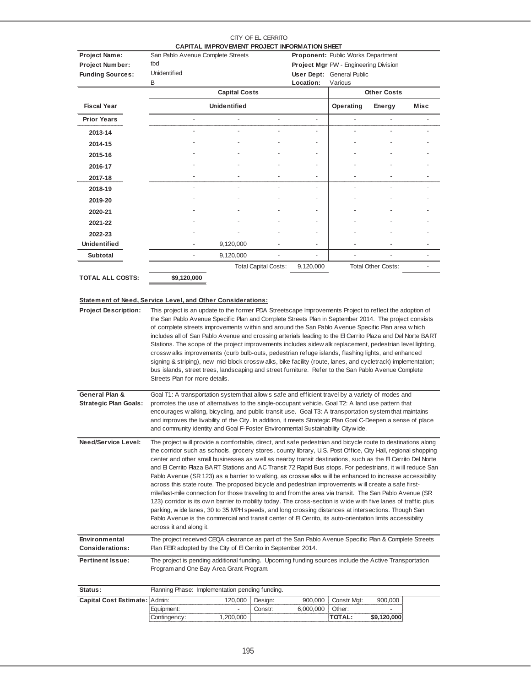|                                                                                                   |                                                                                                                                                                                                                                                                                                                                                                                                                                                                                                                                                                                                                                                                                                                                                                                                                                                                                                                                                                                                                                                                                                                                                                                                                                                                 | CAPITAL IMPROVEMENT PROJECT INFORMATION SHEET |    |           |                                              |                           |      |
|---------------------------------------------------------------------------------------------------|-----------------------------------------------------------------------------------------------------------------------------------------------------------------------------------------------------------------------------------------------------------------------------------------------------------------------------------------------------------------------------------------------------------------------------------------------------------------------------------------------------------------------------------------------------------------------------------------------------------------------------------------------------------------------------------------------------------------------------------------------------------------------------------------------------------------------------------------------------------------------------------------------------------------------------------------------------------------------------------------------------------------------------------------------------------------------------------------------------------------------------------------------------------------------------------------------------------------------------------------------------------------|-----------------------------------------------|----|-----------|----------------------------------------------|---------------------------|------|
| <b>Project Name:</b>                                                                              | San Pablo Avenue Complete Streets                                                                                                                                                                                                                                                                                                                                                                                                                                                                                                                                                                                                                                                                                                                                                                                                                                                                                                                                                                                                                                                                                                                                                                                                                               |                                               |    |           | <b>Proponent:</b> Public Works Department    |                           |      |
| <b>Project Number:</b>                                                                            | tbd                                                                                                                                                                                                                                                                                                                                                                                                                                                                                                                                                                                                                                                                                                                                                                                                                                                                                                                                                                                                                                                                                                                                                                                                                                                             |                                               |    |           | <b>Project Mgr PW - Engineering Division</b> |                           |      |
| <b>Funding Sources:</b>                                                                           | <b>Unidentified</b>                                                                                                                                                                                                                                                                                                                                                                                                                                                                                                                                                                                                                                                                                                                                                                                                                                                                                                                                                                                                                                                                                                                                                                                                                                             |                                               |    |           | <b>User Dept: General Public</b>             |                           |      |
|                                                                                                   | В                                                                                                                                                                                                                                                                                                                                                                                                                                                                                                                                                                                                                                                                                                                                                                                                                                                                                                                                                                                                                                                                                                                                                                                                                                                               |                                               |    | Location: | Various                                      | <b>Other Costs</b>        |      |
|                                                                                                   |                                                                                                                                                                                                                                                                                                                                                                                                                                                                                                                                                                                                                                                                                                                                                                                                                                                                                                                                                                                                                                                                                                                                                                                                                                                                 | <b>Capital Costs</b>                          |    |           |                                              |                           |      |
| <b>Fiscal Year</b>                                                                                |                                                                                                                                                                                                                                                                                                                                                                                                                                                                                                                                                                                                                                                                                                                                                                                                                                                                                                                                                                                                                                                                                                                                                                                                                                                                 | <b>Unidentified</b>                           |    |           | Operating                                    | Energy                    | Misc |
| <b>Prior Years</b>                                                                                |                                                                                                                                                                                                                                                                                                                                                                                                                                                                                                                                                                                                                                                                                                                                                                                                                                                                                                                                                                                                                                                                                                                                                                                                                                                                 |                                               | ÷, | ÷,        | ÷,                                           |                           |      |
| 2013-14                                                                                           |                                                                                                                                                                                                                                                                                                                                                                                                                                                                                                                                                                                                                                                                                                                                                                                                                                                                                                                                                                                                                                                                                                                                                                                                                                                                 |                                               |    |           |                                              |                           |      |
| 2014-15                                                                                           |                                                                                                                                                                                                                                                                                                                                                                                                                                                                                                                                                                                                                                                                                                                                                                                                                                                                                                                                                                                                                                                                                                                                                                                                                                                                 |                                               |    |           |                                              |                           |      |
| 2015-16                                                                                           |                                                                                                                                                                                                                                                                                                                                                                                                                                                                                                                                                                                                                                                                                                                                                                                                                                                                                                                                                                                                                                                                                                                                                                                                                                                                 |                                               |    |           |                                              |                           |      |
| 2016-17                                                                                           |                                                                                                                                                                                                                                                                                                                                                                                                                                                                                                                                                                                                                                                                                                                                                                                                                                                                                                                                                                                                                                                                                                                                                                                                                                                                 |                                               |    |           |                                              |                           |      |
| 2017-18                                                                                           |                                                                                                                                                                                                                                                                                                                                                                                                                                                                                                                                                                                                                                                                                                                                                                                                                                                                                                                                                                                                                                                                                                                                                                                                                                                                 |                                               |    |           |                                              |                           |      |
| 2018-19                                                                                           |                                                                                                                                                                                                                                                                                                                                                                                                                                                                                                                                                                                                                                                                                                                                                                                                                                                                                                                                                                                                                                                                                                                                                                                                                                                                 |                                               |    |           | ٠                                            |                           |      |
| 2019-20                                                                                           |                                                                                                                                                                                                                                                                                                                                                                                                                                                                                                                                                                                                                                                                                                                                                                                                                                                                                                                                                                                                                                                                                                                                                                                                                                                                 |                                               |    |           |                                              |                           |      |
| 2020-21                                                                                           |                                                                                                                                                                                                                                                                                                                                                                                                                                                                                                                                                                                                                                                                                                                                                                                                                                                                                                                                                                                                                                                                                                                                                                                                                                                                 |                                               |    |           |                                              |                           |      |
| 2021-22                                                                                           |                                                                                                                                                                                                                                                                                                                                                                                                                                                                                                                                                                                                                                                                                                                                                                                                                                                                                                                                                                                                                                                                                                                                                                                                                                                                 |                                               |    |           |                                              |                           |      |
| 2022-23                                                                                           |                                                                                                                                                                                                                                                                                                                                                                                                                                                                                                                                                                                                                                                                                                                                                                                                                                                                                                                                                                                                                                                                                                                                                                                                                                                                 |                                               |    |           |                                              |                           |      |
| <b>Unidentified</b>                                                                               |                                                                                                                                                                                                                                                                                                                                                                                                                                                                                                                                                                                                                                                                                                                                                                                                                                                                                                                                                                                                                                                                                                                                                                                                                                                                 | 9,120,000                                     |    |           |                                              |                           |      |
| <b>Subtotal</b>                                                                                   |                                                                                                                                                                                                                                                                                                                                                                                                                                                                                                                                                                                                                                                                                                                                                                                                                                                                                                                                                                                                                                                                                                                                                                                                                                                                 | 9,120,000                                     |    |           |                                              |                           |      |
|                                                                                                   |                                                                                                                                                                                                                                                                                                                                                                                                                                                                                                                                                                                                                                                                                                                                                                                                                                                                                                                                                                                                                                                                                                                                                                                                                                                                 | <b>Total Capital Costs:</b>                   |    | 9,120,000 |                                              | <b>Total Other Costs:</b> |      |
| <b>TOTAL ALL COSTS:</b>                                                                           | \$9,120,000                                                                                                                                                                                                                                                                                                                                                                                                                                                                                                                                                                                                                                                                                                                                                                                                                                                                                                                                                                                                                                                                                                                                                                                                                                                     |                                               |    |           |                                              |                           |      |
| <b>Statement of Need, Service Level, and Other Considerations:</b><br><b>Project Description:</b> | This project is an update to the former PDA Streetscape Improvements Project to reflect the adoption of<br>the San Pablo Avenue Specific Plan and Complete Streets Plan in September 2014. The project consists<br>of complete streets improvements within and around the San Pablo Avenue Specific Plan area which<br>includes all of San Pablo Avenue and crossing arterials leading to the El Cerrito Plaza and Del Norte BART<br>Stations. The scope of the project improvements includes sidew alk replacement, pedestrian level lighting,<br>crossw alks improvements (curb bulb-outs, pedestrian refuge islands, flashing lights, and enhanced<br>signing & striping), new mid-block crossw alks, bike facility (route, lanes, and cycletrack) implementation;<br>bus islands, street trees, landscaping and street furniture. Refer to the San Pablo Avenue Complete<br>Streets Plan for more details.                                                                                                                                                                                                                                                                                                                                                  |                                               |    |           |                                              |                           |      |
| <b>General Plan &amp;</b><br><b>Strategic Plan Goals:</b>                                         | Goal T1: A transportation system that allow s safe and efficient travel by a variety of modes and<br>promotes the use of alternatives to the single-occupant vehicle. Goal T2: A land use pattern that<br>encourages w alking, bicycling, and public transit use. Goal T3: A transportation system that maintains<br>and improves the livability of the City. In addition, it meets Strategic Plan Goal C-Deepen a sense of place<br>and community identity and Goal F-Foster Environmental Sustainability Citywide.                                                                                                                                                                                                                                                                                                                                                                                                                                                                                                                                                                                                                                                                                                                                            |                                               |    |           |                                              |                           |      |
| Need/Service Level:<br>Environmental                                                              | The project will provide a comfortable, direct, and safe pedestrian and bicycle route to destinations along<br>the corridor such as schools, grocery stores, county library, U.S. Post Office, City Hall, regional shopping<br>center and other small businesses as well as nearby transit destinations, such as the El Cerrito Del Norte<br>and El Cerrito Plaza BART Stations and AC Transit 72 Rapid Bus stops. For pedestrians, it will reduce San<br>Pablo Avenue (SR 123) as a barrier to w alking, as crossw alks w ill be enhanced to increase accessibility<br>across this state route. The proposed bicycle and pedestrian improvements will create a safe first-<br>mile/last-mile connection for those traveling to and from the area via transit. The San Pablo Avenue (SR<br>123) corridor is its own barrier to mobility today. The cross-section is wide with five lanes of traffic plus<br>parking, wide lanes, 30 to 35 MPH speeds, and long crossing distances at intersections. Though San<br>Pablo Avenue is the commercial and transit center of El Cerrito, its auto-orientation limits accessibility<br>across it and along it.<br>The project received CEQA clearance as part of the San Pablo Avenue Specific Plan & Complete Streets |                                               |    |           |                                              |                           |      |
| <b>Considerations:</b>                                                                            | Plan FEIR adopted by the City of El Cerrito in September 2014.                                                                                                                                                                                                                                                                                                                                                                                                                                                                                                                                                                                                                                                                                                                                                                                                                                                                                                                                                                                                                                                                                                                                                                                                  |                                               |    |           |                                              |                           |      |

**Pertinent Issue:** The project is pending additional funding. Upcoming funding sources include the Active Transportation Program and One Bay Area Grant Program.

| . Cost Estimate: ¡Admin: |                          |  |  |  |   |  |  |  |
|--------------------------|--------------------------|--|--|--|---|--|--|--|
|                          | $\overline{\phantom{a}}$ |  |  |  | - |  |  |  |
|                          |                          |  |  |  |   |  |  |  |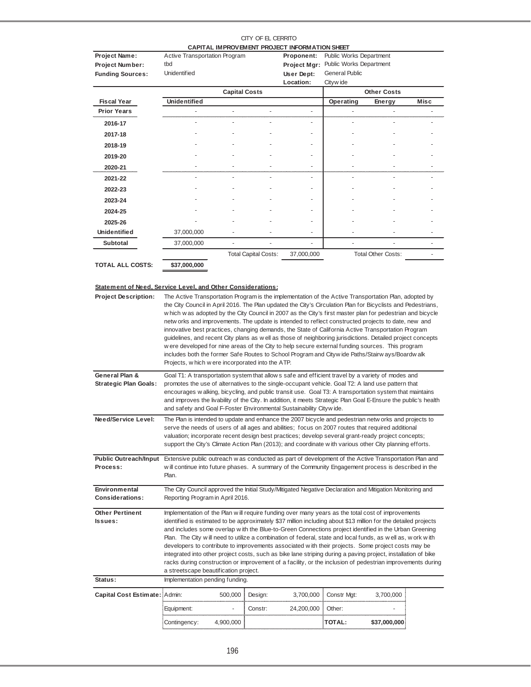#### CITY OF EL CERRITO **CAPITAL IMPROVEMENT PROJECT INFORMATION SHEET**

| Project Name:           | Active Transportation Program |                      |                             | Proponent:   | Public Works Department |                           |      |
|-------------------------|-------------------------------|----------------------|-----------------------------|--------------|-------------------------|---------------------------|------|
| Project Number:         | tbd                           |                      |                             | Project Mgr: | Public Works Department |                           |      |
| <b>Funding Sources:</b> | <b>Unidentified</b>           |                      |                             | User Dept:   | <b>General Public</b>   |                           |      |
|                         |                               |                      |                             | Location:    | Cityw ide               |                           |      |
|                         |                               | <b>Capital Costs</b> |                             |              |                         | <b>Other Costs</b>        |      |
| <b>Fiscal Year</b>      | <b>Unidentified</b>           |                      |                             |              | Operating               | Energy                    | Misc |
| <b>Prior Years</b>      |                               |                      |                             |              |                         |                           |      |
| 2016-17                 |                               |                      |                             |              |                         |                           |      |
| 2017-18                 |                               |                      |                             |              |                         |                           |      |
| 2018-19                 |                               |                      |                             |              |                         |                           |      |
| 2019-20                 |                               |                      |                             |              |                         |                           |      |
| 2020-21                 |                               |                      |                             |              |                         |                           |      |
| 2021-22                 |                               |                      |                             |              |                         |                           |      |
| 2022-23                 |                               |                      |                             |              |                         |                           |      |
| 2023-24                 |                               |                      |                             |              |                         |                           |      |
| 2024-25                 |                               |                      |                             |              |                         |                           |      |
| 2025-26                 |                               |                      |                             |              |                         |                           |      |
| <b>Unidentified</b>     | 37,000,000                    |                      |                             |              |                         |                           |      |
| Subtotal                | 37,000,000                    |                      |                             |              |                         |                           |      |
|                         |                               |                      | <b>Total Capital Costs:</b> | 37,000,000   |                         | <b>Total Other Costs:</b> |      |
| <b>TOTAL ALL COSTS:</b> | \$37,000,000                  |                      |                             |              |                         |                           |      |

## **Statement of Need, Service Level, and Other Considerations:**

| <b>Project Description:</b>                                                                                                |                                                                                                                                                                                                                      | The Active Transportation Program is the implementation of the Active Transportation Plan, adopted by<br>the City Council in April 2016. The Plan updated the City's Circulation Plan for Bicyclists and Pedestrians,<br>which was adopted by the City Council in 2007 as the City's first master plan for pedestrian and bicycle<br>netw orks and improvements. The update is intended to reflect constructed projects to date, new and<br>innovative best practices, changing demands, the State of California Active Transportation Program<br>guidelines, and recent City plans as w ell as those of neighboring jurisdictions. Detailed project concepts<br>w ere developed for nine areas of the City to help secure external funding sources. This program<br>includes both the former Safe Routes to School Program and Citywide Paths/Stairw ays/Boardw alk<br>Projects, which were incorporated into the ATP.<br>Goal T1: A transportation system that allow s safe and efficient travel by a variety of modes and |         |            |             |              |  |  |  |  |
|----------------------------------------------------------------------------------------------------------------------------|----------------------------------------------------------------------------------------------------------------------------------------------------------------------------------------------------------------------|------------------------------------------------------------------------------------------------------------------------------------------------------------------------------------------------------------------------------------------------------------------------------------------------------------------------------------------------------------------------------------------------------------------------------------------------------------------------------------------------------------------------------------------------------------------------------------------------------------------------------------------------------------------------------------------------------------------------------------------------------------------------------------------------------------------------------------------------------------------------------------------------------------------------------------------------------------------------------------------------------------------------------|---------|------------|-------------|--------------|--|--|--|--|
| General Plan &                                                                                                             |                                                                                                                                                                                                                      |                                                                                                                                                                                                                                                                                                                                                                                                                                                                                                                                                                                                                                                                                                                                                                                                                                                                                                                                                                                                                              |         |            |             |              |  |  |  |  |
| <b>Strategic Plan Goals:</b>                                                                                               |                                                                                                                                                                                                                      | promotes the use of alternatives to the single-occupant vehicle. Goal T2: A land use pattern that                                                                                                                                                                                                                                                                                                                                                                                                                                                                                                                                                                                                                                                                                                                                                                                                                                                                                                                            |         |            |             |              |  |  |  |  |
|                                                                                                                            | encourages w alking, bicycling, and public transit use. Goal T3: A transportation system that maintains                                                                                                              |                                                                                                                                                                                                                                                                                                                                                                                                                                                                                                                                                                                                                                                                                                                                                                                                                                                                                                                                                                                                                              |         |            |             |              |  |  |  |  |
|                                                                                                                            | and improves the livability of the City. In addition, it meets Strategic Plan Goal E-Ensure the public's health<br>and safety and Goal F-Foster Environmental Sustainability Citywide.                               |                                                                                                                                                                                                                                                                                                                                                                                                                                                                                                                                                                                                                                                                                                                                                                                                                                                                                                                                                                                                                              |         |            |             |              |  |  |  |  |
| Need/Service Level:                                                                                                        |                                                                                                                                                                                                                      |                                                                                                                                                                                                                                                                                                                                                                                                                                                                                                                                                                                                                                                                                                                                                                                                                                                                                                                                                                                                                              |         |            |             |              |  |  |  |  |
|                                                                                                                            |                                                                                                                                                                                                                      | The Plan is intended to update and enhance the 2007 bicycle and pedestrian netw orks and projects to<br>serve the needs of users of all ages and abilities; focus on 2007 routes that required additional                                                                                                                                                                                                                                                                                                                                                                                                                                                                                                                                                                                                                                                                                                                                                                                                                    |         |            |             |              |  |  |  |  |
|                                                                                                                            | valuation; incorporate recent design best practices; develop several grant-ready project concepts;                                                                                                                   |                                                                                                                                                                                                                                                                                                                                                                                                                                                                                                                                                                                                                                                                                                                                                                                                                                                                                                                                                                                                                              |         |            |             |              |  |  |  |  |
|                                                                                                                            | support the City's Climate Action Plan (2013); and coordinate with various other City planning efforts.                                                                                                              |                                                                                                                                                                                                                                                                                                                                                                                                                                                                                                                                                                                                                                                                                                                                                                                                                                                                                                                                                                                                                              |         |            |             |              |  |  |  |  |
| Public Outreach/Input Extensive public outreach was conducted as part of development of the Active Transportation Plan and |                                                                                                                                                                                                                      |                                                                                                                                                                                                                                                                                                                                                                                                                                                                                                                                                                                                                                                                                                                                                                                                                                                                                                                                                                                                                              |         |            |             |              |  |  |  |  |
| Process:                                                                                                                   | will continue into future phases. A summary of the Community Engagement process is described in the<br>Plan.                                                                                                         |                                                                                                                                                                                                                                                                                                                                                                                                                                                                                                                                                                                                                                                                                                                                                                                                                                                                                                                                                                                                                              |         |            |             |              |  |  |  |  |
| Environmental                                                                                                              | The City Council approved the Initial Study/Mitigated Negative Declaration and Mitigation Monitoring and                                                                                                             |                                                                                                                                                                                                                                                                                                                                                                                                                                                                                                                                                                                                                                                                                                                                                                                                                                                                                                                                                                                                                              |         |            |             |              |  |  |  |  |
| <b>Considerations:</b>                                                                                                     | Reporting Program in April 2016.                                                                                                                                                                                     |                                                                                                                                                                                                                                                                                                                                                                                                                                                                                                                                                                                                                                                                                                                                                                                                                                                                                                                                                                                                                              |         |            |             |              |  |  |  |  |
|                                                                                                                            |                                                                                                                                                                                                                      |                                                                                                                                                                                                                                                                                                                                                                                                                                                                                                                                                                                                                                                                                                                                                                                                                                                                                                                                                                                                                              |         |            |             |              |  |  |  |  |
| <b>Other Pertinent</b><br>Issues:                                                                                          | Implementation of the Plan will require funding over many years as the total cost of improvements<br>identified is estimated to be approximately \$37 million including about \$13 million for the detailed projects |                                                                                                                                                                                                                                                                                                                                                                                                                                                                                                                                                                                                                                                                                                                                                                                                                                                                                                                                                                                                                              |         |            |             |              |  |  |  |  |
|                                                                                                                            | and includes some overlap with the Blue-to-Green Connections project identified in the Urban Greening                                                                                                                |                                                                                                                                                                                                                                                                                                                                                                                                                                                                                                                                                                                                                                                                                                                                                                                                                                                                                                                                                                                                                              |         |            |             |              |  |  |  |  |
|                                                                                                                            | Plan. The City will need to utilize a combination of federal, state and local funds, as well as, w ork with                                                                                                          |                                                                                                                                                                                                                                                                                                                                                                                                                                                                                                                                                                                                                                                                                                                                                                                                                                                                                                                                                                                                                              |         |            |             |              |  |  |  |  |
|                                                                                                                            | developers to contribute to improvements associated with their projects. Some project costs may be                                                                                                                   |                                                                                                                                                                                                                                                                                                                                                                                                                                                                                                                                                                                                                                                                                                                                                                                                                                                                                                                                                                                                                              |         |            |             |              |  |  |  |  |
|                                                                                                                            | integrated into other project costs, such as bike lane striping during a paving project, installation of bike                                                                                                        |                                                                                                                                                                                                                                                                                                                                                                                                                                                                                                                                                                                                                                                                                                                                                                                                                                                                                                                                                                                                                              |         |            |             |              |  |  |  |  |
|                                                                                                                            | racks during construction or improvement of a facility, or the inclusion of pedestrian improvements during                                                                                                           |                                                                                                                                                                                                                                                                                                                                                                                                                                                                                                                                                                                                                                                                                                                                                                                                                                                                                                                                                                                                                              |         |            |             |              |  |  |  |  |
| Status:                                                                                                                    | a streetscape beautification project.<br>Implementation pending funding.                                                                                                                                             |                                                                                                                                                                                                                                                                                                                                                                                                                                                                                                                                                                                                                                                                                                                                                                                                                                                                                                                                                                                                                              |         |            |             |              |  |  |  |  |
|                                                                                                                            |                                                                                                                                                                                                                      |                                                                                                                                                                                                                                                                                                                                                                                                                                                                                                                                                                                                                                                                                                                                                                                                                                                                                                                                                                                                                              |         |            |             |              |  |  |  |  |
| Capital Cost Estimate: Admin:                                                                                              |                                                                                                                                                                                                                      | 500,000                                                                                                                                                                                                                                                                                                                                                                                                                                                                                                                                                                                                                                                                                                                                                                                                                                                                                                                                                                                                                      | Design: | 3,700,000  | Constr Mgt: | 3,700,000    |  |  |  |  |
|                                                                                                                            | Equipment:                                                                                                                                                                                                           |                                                                                                                                                                                                                                                                                                                                                                                                                                                                                                                                                                                                                                                                                                                                                                                                                                                                                                                                                                                                                              | Constr: | 24,200,000 | Other:      |              |  |  |  |  |
|                                                                                                                            | Contingency:                                                                                                                                                                                                         | 4,900,000                                                                                                                                                                                                                                                                                                                                                                                                                                                                                                                                                                                                                                                                                                                                                                                                                                                                                                                                                                                                                    |         |            | TOTAL:      | \$37,000,000 |  |  |  |  |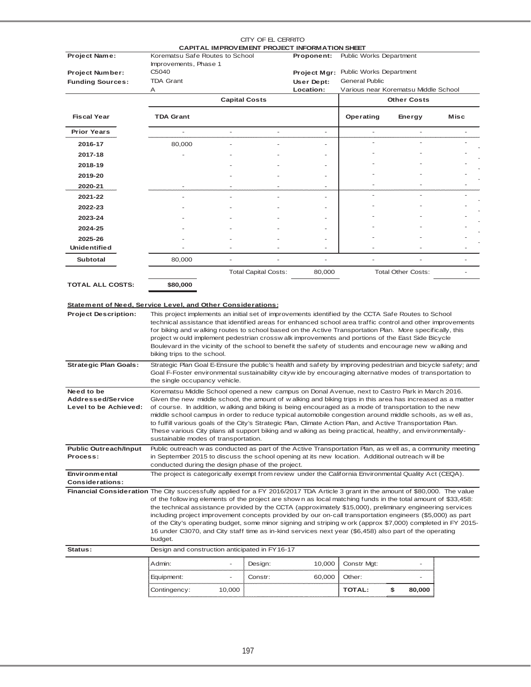|                                                                                                                                   |                                                                                                                                                                                                                                                                                                                                                                                                                                                                                                                                                                             |                          | CITY OF EL CERRITO          |                          |                                |                                      |      |  |  |  |  |
|-----------------------------------------------------------------------------------------------------------------------------------|-----------------------------------------------------------------------------------------------------------------------------------------------------------------------------------------------------------------------------------------------------------------------------------------------------------------------------------------------------------------------------------------------------------------------------------------------------------------------------------------------------------------------------------------------------------------------------|--------------------------|-----------------------------|--------------------------|--------------------------------|--------------------------------------|------|--|--|--|--|
| Project Name:                                                                                                                     | CAPITAL IMPROVEMENT PROJECT INFORMATION SHEET<br>Korematsu Safe Routes to School<br><b>Public Works Department</b><br>Proponent:                                                                                                                                                                                                                                                                                                                                                                                                                                            |                          |                             |                          |                                |                                      |      |  |  |  |  |
|                                                                                                                                   | Improvements, Phase 1                                                                                                                                                                                                                                                                                                                                                                                                                                                                                                                                                       |                          |                             |                          |                                |                                      |      |  |  |  |  |
| <b>Project Number:</b>                                                                                                            | C <sub>5040</sub>                                                                                                                                                                                                                                                                                                                                                                                                                                                                                                                                                           |                          |                             | Project Mgr:             | <b>Public Works Department</b> |                                      |      |  |  |  |  |
| <b>Funding Sources:</b>                                                                                                           | <b>TDA Grant</b><br>Α                                                                                                                                                                                                                                                                                                                                                                                                                                                                                                                                                       |                          |                             | User Dept:<br>Location:  | <b>General Public</b>          | Various near Korematsu Middle School |      |  |  |  |  |
|                                                                                                                                   |                                                                                                                                                                                                                                                                                                                                                                                                                                                                                                                                                                             |                          | <b>Capital Costs</b>        |                          |                                | <b>Other Costs</b>                   |      |  |  |  |  |
|                                                                                                                                   |                                                                                                                                                                                                                                                                                                                                                                                                                                                                                                                                                                             |                          |                             |                          |                                |                                      |      |  |  |  |  |
| <b>Fiscal Year</b>                                                                                                                | <b>TDA Grant</b>                                                                                                                                                                                                                                                                                                                                                                                                                                                                                                                                                            |                          |                             |                          | Operating                      | Energy                               | Misc |  |  |  |  |
| <b>Prior Years</b>                                                                                                                |                                                                                                                                                                                                                                                                                                                                                                                                                                                                                                                                                                             | $\overline{\phantom{a}}$ | $\overline{\phantom{a}}$    | $\overline{\phantom{a}}$ | ä,                             | ÷,                                   |      |  |  |  |  |
| 2016-17                                                                                                                           | 80,000                                                                                                                                                                                                                                                                                                                                                                                                                                                                                                                                                                      |                          |                             | ä,                       | ä,                             |                                      |      |  |  |  |  |
| 2017-18                                                                                                                           |                                                                                                                                                                                                                                                                                                                                                                                                                                                                                                                                                                             |                          |                             |                          |                                |                                      |      |  |  |  |  |
| 2018-19                                                                                                                           |                                                                                                                                                                                                                                                                                                                                                                                                                                                                                                                                                                             |                          |                             |                          |                                |                                      |      |  |  |  |  |
| 2019-20                                                                                                                           |                                                                                                                                                                                                                                                                                                                                                                                                                                                                                                                                                                             |                          |                             |                          |                                |                                      |      |  |  |  |  |
| 2020-21                                                                                                                           |                                                                                                                                                                                                                                                                                                                                                                                                                                                                                                                                                                             |                          |                             |                          |                                | L.                                   |      |  |  |  |  |
| 2021-22                                                                                                                           |                                                                                                                                                                                                                                                                                                                                                                                                                                                                                                                                                                             |                          |                             |                          |                                | $\overline{\phantom{0}}$             |      |  |  |  |  |
| 2022-23                                                                                                                           |                                                                                                                                                                                                                                                                                                                                                                                                                                                                                                                                                                             |                          |                             |                          |                                |                                      |      |  |  |  |  |
| 2023-24                                                                                                                           |                                                                                                                                                                                                                                                                                                                                                                                                                                                                                                                                                                             |                          |                             |                          |                                |                                      |      |  |  |  |  |
| 2024-25                                                                                                                           |                                                                                                                                                                                                                                                                                                                                                                                                                                                                                                                                                                             |                          |                             |                          |                                |                                      |      |  |  |  |  |
| 2025-26<br><b>Unidentified</b>                                                                                                    |                                                                                                                                                                                                                                                                                                                                                                                                                                                                                                                                                                             |                          |                             |                          |                                |                                      |      |  |  |  |  |
| <b>Subtotal</b>                                                                                                                   | 80,000                                                                                                                                                                                                                                                                                                                                                                                                                                                                                                                                                                      |                          |                             |                          |                                |                                      |      |  |  |  |  |
|                                                                                                                                   |                                                                                                                                                                                                                                                                                                                                                                                                                                                                                                                                                                             |                          |                             |                          |                                | <b>Total Other Costs:</b>            |      |  |  |  |  |
|                                                                                                                                   |                                                                                                                                                                                                                                                                                                                                                                                                                                                                                                                                                                             |                          | <b>Total Capital Costs:</b> | 80,000                   |                                |                                      |      |  |  |  |  |
|                                                                                                                                   | project w ould implement pedestrian crossw alk improvements and portions of the East Side Bicycle<br>Boulevard in the vicinity of the school to benefit the safety of students and encourage new walking and<br>biking trips to the school.                                                                                                                                                                                                                                                                                                                                 |                          |                             |                          |                                |                                      |      |  |  |  |  |
| <b>Strategic Plan Goals:</b>                                                                                                      | Strategic Plan Goal E-Ensure the public's health and safety by improving pedestrian and bicycle safety; and<br>Goal F-Foster environmental sustainability cityw ide by encouraging alternative modes of transportation to<br>the single occupancy vehicle.                                                                                                                                                                                                                                                                                                                  |                          |                             |                          |                                |                                      |      |  |  |  |  |
| Need to be                                                                                                                        | Korematsu Middle School opened a new campus on Donal Avenue, next to Castro Park in March 2016.                                                                                                                                                                                                                                                                                                                                                                                                                                                                             |                          |                             |                          |                                |                                      |      |  |  |  |  |
| <b>Addressed/Service</b>                                                                                                          | Given the new middle school, the amount of w alking and biking trips in this area has increased as a matter                                                                                                                                                                                                                                                                                                                                                                                                                                                                 |                          |                             |                          |                                |                                      |      |  |  |  |  |
| Level to be Achieved:                                                                                                             | of course. In addition, w alking and biking is being encouraged as a mode of transportation to the new<br>middle school campus in order to reduce typical automobile congestion around middle schools, as w ell as,                                                                                                                                                                                                                                                                                                                                                         |                          |                             |                          |                                |                                      |      |  |  |  |  |
|                                                                                                                                   | to fulfill various goals of the City's Strategic Plan, Climate Action Plan, and Active Transportation Plan.                                                                                                                                                                                                                                                                                                                                                                                                                                                                 |                          |                             |                          |                                |                                      |      |  |  |  |  |
|                                                                                                                                   | These various City plans all support biking and w alking as being practical, healthy, and environmentally-                                                                                                                                                                                                                                                                                                                                                                                                                                                                  |                          |                             |                          |                                |                                      |      |  |  |  |  |
|                                                                                                                                   | sustainable modes of transportation.                                                                                                                                                                                                                                                                                                                                                                                                                                                                                                                                        |                          |                             |                          |                                |                                      |      |  |  |  |  |
| <b>Public Outreach/Input</b><br>Process:                                                                                          | Public outreach w as conducted as part of the Active Transportation Plan, as w ell as, a community meeting                                                                                                                                                                                                                                                                                                                                                                                                                                                                  |                          |                             |                          |                                |                                      |      |  |  |  |  |
|                                                                                                                                   | in September 2015 to discuss the school opening at its new location. Additional outreach will be<br>conducted during the design phase of the project.                                                                                                                                                                                                                                                                                                                                                                                                                       |                          |                             |                          |                                |                                      |      |  |  |  |  |
| Environmental                                                                                                                     | The project is categorically exempt from review under the California Environmental Quality Act (CEQA).                                                                                                                                                                                                                                                                                                                                                                                                                                                                      |                          |                             |                          |                                |                                      |      |  |  |  |  |
| <b>Considerations:</b>                                                                                                            |                                                                                                                                                                                                                                                                                                                                                                                                                                                                                                                                                                             |                          |                             |                          |                                |                                      |      |  |  |  |  |
| Financial Consideration The City successfully applied for a FY 2016/2017 TDA Article 3 grant in the amount of \$80,000. The value | of the follow ing elements of the project are show n as local matching funds in the total amount of \$33,458:<br>the technical assistance provided by the CCTA (approximately \$15,000), preliminary engineering services<br>including project improvement concepts provided by our on-call transportation engineers (\$5,000) as part<br>of the City's operating budget, some minor signing and striping w ork (approx \$7,000) completed in FY 2015-<br>16 under C3070, and City staff time as in-kind services next year (\$6,458) also part of the operating<br>budget. |                          |                             |                          |                                |                                      |      |  |  |  |  |
| Status:                                                                                                                           | Design and construction anticipated in FY16-17                                                                                                                                                                                                                                                                                                                                                                                                                                                                                                                              |                          |                             |                          |                                |                                      |      |  |  |  |  |
|                                                                                                                                   | Admin:                                                                                                                                                                                                                                                                                                                                                                                                                                                                                                                                                                      |                          |                             |                          |                                |                                      |      |  |  |  |  |
|                                                                                                                                   |                                                                                                                                                                                                                                                                                                                                                                                                                                                                                                                                                                             | $\blacksquare$           | Design:                     | 10,000                   | Constr Mgt:                    | $\overline{\phantom{0}}$             |      |  |  |  |  |
|                                                                                                                                   |                                                                                                                                                                                                                                                                                                                                                                                                                                                                                                                                                                             | $\overline{\phantom{0}}$ | Constr:                     | 60,000                   | Other:                         |                                      |      |  |  |  |  |
|                                                                                                                                   | Equipment:<br>Contingency:                                                                                                                                                                                                                                                                                                                                                                                                                                                                                                                                                  | 10,000                   |                             |                          | TOTAL:                         | \$<br>80,000                         |      |  |  |  |  |